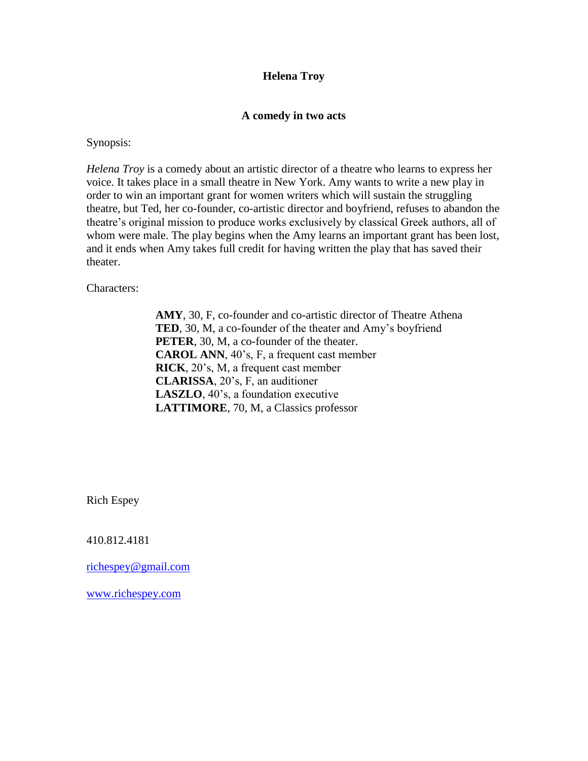### **Helena Troy**

### **A comedy in two acts**

Synopsis:

*Helena Troy* is a comedy about an artistic director of a theatre who learns to express her voice. It takes place in a small theatre in New York. Amy wants to write a new play in order to win an important grant for women writers which will sustain the struggling theatre, but Ted, her co-founder, co-artistic director and boyfriend, refuses to abandon the theatre's original mission to produce works exclusively by classical Greek authors, all of whom were male. The play begins when the Amy learns an important grant has been lost, and it ends when Amy takes full credit for having written the play that has saved their theater.

Characters:

**AMY**, 30, F, co-founder and co-artistic director of Theatre Athena **TED**, 30, M, a co-founder of the theater and Amy's boyfriend **PETER**, 30, M, a co-founder of the theater. **CAROL ANN**, 40's, F, a frequent cast member **RICK**, 20's, M, a frequent cast member **CLARISSA**, 20's, F, an auditioner **LASZLO**, 40's, a foundation executive **LATTIMORE**, 70, M, a Classics professor

Rich Espey

410.812.4181

[richespey@gmail.com](mailto:richespey@gmail.com)

[www.richespey.com](http://www.richespey.com/)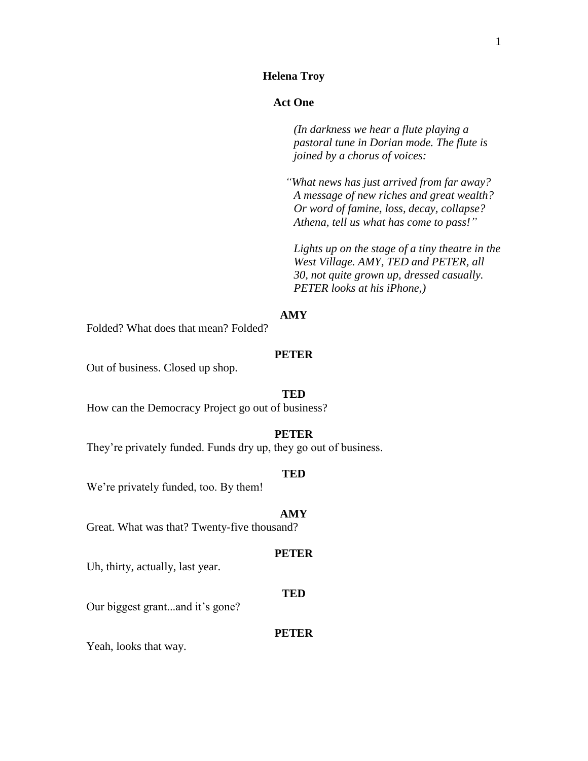### **Helena Troy**

### **Act One**

*(In darkness we hear a flute playing a pastoral tune in Dorian mode. The flute is joined by a chorus of voices:*

*"What news has just arrived from far away? A message of new riches and great wealth? Or word of famine, loss, decay, collapse? Athena, tell us what has come to pass!"*

*Lights up on the stage of a tiny theatre in the West Village. AMY, TED and PETER, all 30, not quite grown up, dressed casually. PETER looks at his iPhone,)*

#### **AMY**

Folded? What does that mean? Folded?

### **PETER**

Out of business. Closed up shop.

#### **TED**

How can the Democracy Project go out of business?

### **PETER**

They're privately funded. Funds dry up, they go out of business.

#### **TED**

We're privately funded, too. By them!

#### **AMY**

Great. What was that? Twenty-five thousand?

#### **PETER**

Uh, thirty, actually, last year.

#### **TED**

Our biggest grant...and it's gone?

#### **PETER**

Yeah, looks that way.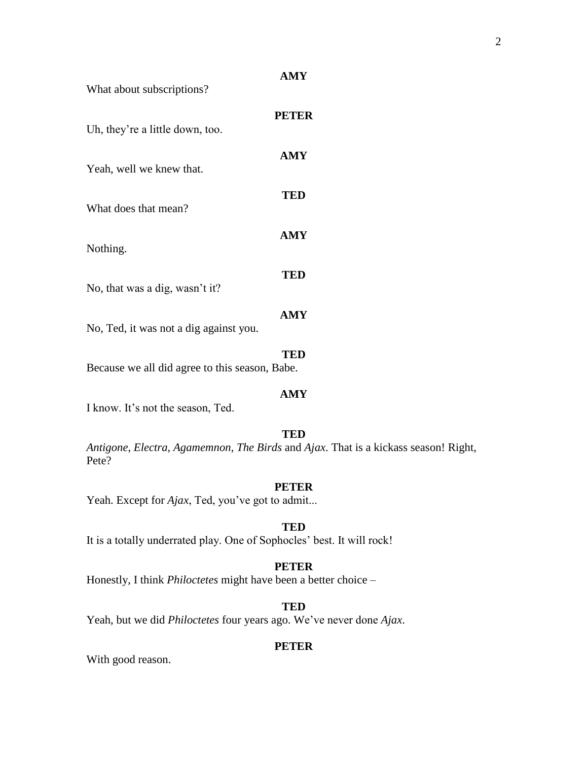What about subscriptions?

| Uh, they're a little down, too.        | <b>PETER</b> |
|----------------------------------------|--------------|
| Yeah, well we knew that.               | AMY          |
| What does that mean?                   | TED          |
| Nothing.                               | AMY          |
| No, that was a dig, wasn't it?         | TED          |
| No, Ted, it was not a dig against you. | AMY          |
|                                        | TED          |

Because we all did agree to this season, Babe.

# I know. It's not the season, Ted.

#### **TED**

**AMY**

*Antigone*, *Electra*, *Agamemnon*, *The Birds* and *Ajax*. That is a kickass season! Right, Pete?

### **PETER**

Yeah. Except for *Ajax*, Ted, you've got to admit...

### **TED**

It is a totally underrated play. One of Sophocles' best. It will rock!

### **PETER**

Honestly, I think *Philoctetes* might have been a better choice –

### **TED**

Yeah, but we did *Philoctetes* four years ago. We've never done *Ajax*.

### **PETER**

With good reason.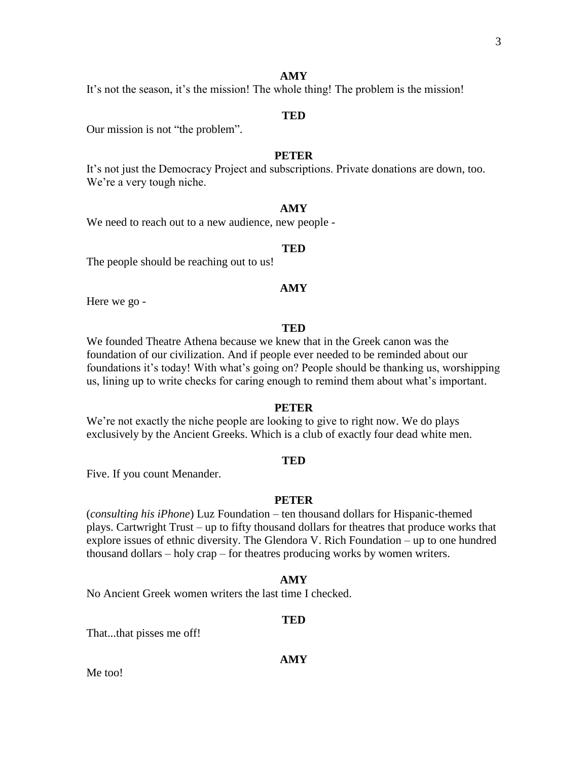It's not the season, it's the mission! The whole thing! The problem is the mission!

### **TED**

Our mission is not "the problem".

### **PETER**

It's not just the Democracy Project and subscriptions. Private donations are down, too. We're a very tough niche.

### **AMY**

We need to reach out to a new audience, new people -

### **TED**

The people should be reaching out to us!

### **AMY**

Here we go -

#### **TED**

We founded Theatre Athena because we knew that in the Greek canon was the foundation of our civilization. And if people ever needed to be reminded about our foundations it's today! With what's going on? People should be thanking us, worshipping us, lining up to write checks for caring enough to remind them about what's important.

#### **PETER**

We're not exactly the niche people are looking to give to right now. We do plays exclusively by the Ancient Greeks. Which is a club of exactly four dead white men.

#### **TED**

Five. If you count Menander.

#### **PETER**

(*consulting his iPhone*) Luz Foundation – ten thousand dollars for Hispanic-themed plays. Cartwright Trust – up to fifty thousand dollars for theatres that produce works that explore issues of ethnic diversity. The Glendora V. Rich Foundation – up to one hundred thousand dollars – holy crap – for theatres producing works by women writers.

#### **AMY**

No Ancient Greek women writers the last time I checked.

#### **TED**

That...that pisses me off!

**AMY**

Me too!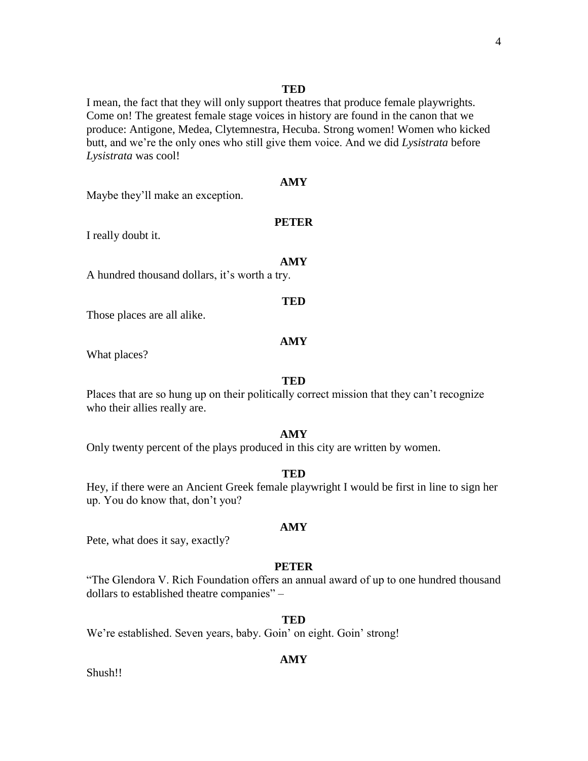#### **TED**

I mean, the fact that they will only support theatres that produce female playwrights. Come on! The greatest female stage voices in history are found in the canon that we produce: Antigone, Medea, Clytemnestra, Hecuba. Strong women! Women who kicked butt, and we're the only ones who still give them voice. And we did *Lysistrata* before *Lysistrata* was cool!

#### **AMY**

Maybe they'll make an exception.

#### **PETER**

I really doubt it.

#### **AMY**

A hundred thousand dollars, it's worth a try.

Those places are all alike.

#### **AMY**

**TED**

What places?

#### **TED**

Places that are so hung up on their politically correct mission that they can't recognize who their allies really are.

#### **AMY**

Only twenty percent of the plays produced in this city are written by women.

#### **TED**

Hey, if there were an Ancient Greek female playwright I would be first in line to sign her up. You do know that, don't you?

#### **AMY**

Pete, what does it say, exactly?

#### **PETER**

"The Glendora V. Rich Foundation offers an annual award of up to one hundred thousand dollars to established theatre companies" –

#### **TED**

We're established. Seven years, baby. Goin' on eight. Goin' strong!

#### **AMY**

Shush!!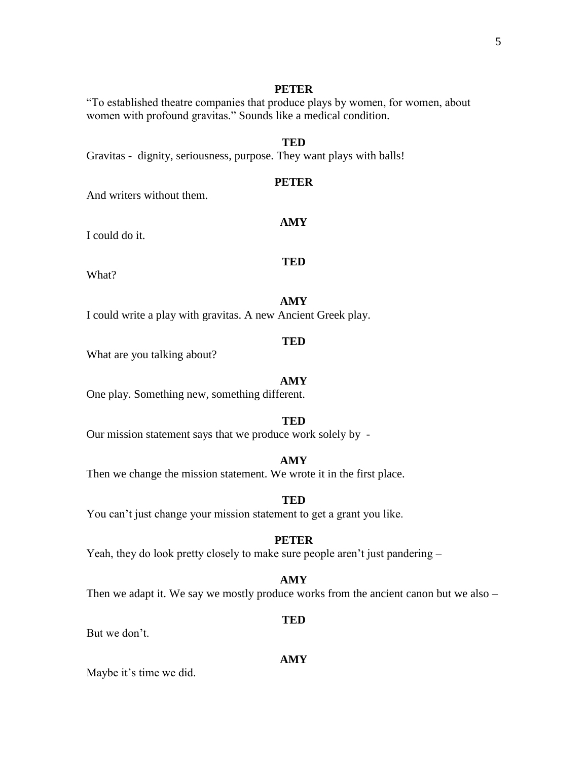### **PETER**

"To established theatre companies that produce plays by women, for women, about women with profound gravitas." Sounds like a medical condition.

### **TED**

Gravitas - dignity, seriousness, purpose. They want plays with balls!

### **PETER**

**AMY**

And writers without them.

I could do it.

What?

**AMY**

**TED**

I could write a play with gravitas. A new Ancient Greek play.

#### **TED**

What are you talking about?

#### **AMY**

One play. Something new, something different.

#### **TED**

Our mission statement says that we produce work solely by -

#### **AMY**

Then we change the mission statement. We wrote it in the first place.

#### **TED**

You can't just change your mission statement to get a grant you like.

#### **PETER**

Yeah, they do look pretty closely to make sure people aren't just pandering –

#### **AMY**

Then we adapt it. We say we mostly produce works from the ancient canon but we also –

**TED**

### But we don't.

Maybe it's time we did.

**AMY**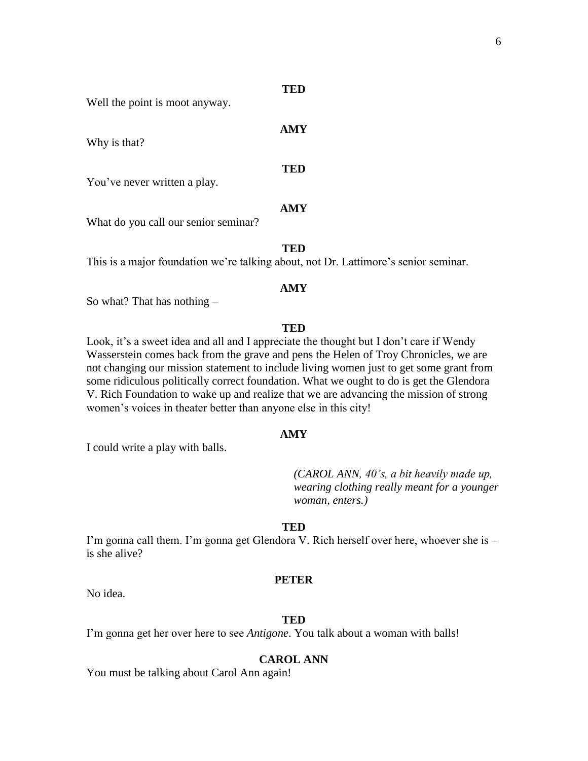#### **TED**

Well the point is moot anyway.

**AMY** Why is that? **TED** You've never written a play. **AMY** What do you call our senior seminar?

**TED**

This is a major foundation we're talking about, not Dr. Lattimore's senior seminar.

#### **AMY**

So what? That has nothing –

#### **TED**

Look, it's a sweet idea and all and I appreciate the thought but I don't care if Wendy Wasserstein comes back from the grave and pens the Helen of Troy Chronicles, we are not changing our mission statement to include living women just to get some grant from some ridiculous politically correct foundation. What we ought to do is get the Glendora V. Rich Foundation to wake up and realize that we are advancing the mission of strong women's voices in theater better than anyone else in this city!

#### **AMY**

I could write a play with balls.

*(CAROL ANN, 40's, a bit heavily made up, wearing clothing really meant for a younger woman, enters.)*

#### **TED**

I'm gonna call them. I'm gonna get Glendora V. Rich herself over here, whoever she is – is she alive?

#### **PETER**

No idea.

#### **TED**

I'm gonna get her over here to see *Antigone*. You talk about a woman with balls!

#### **CAROL ANN**

You must be talking about Carol Ann again!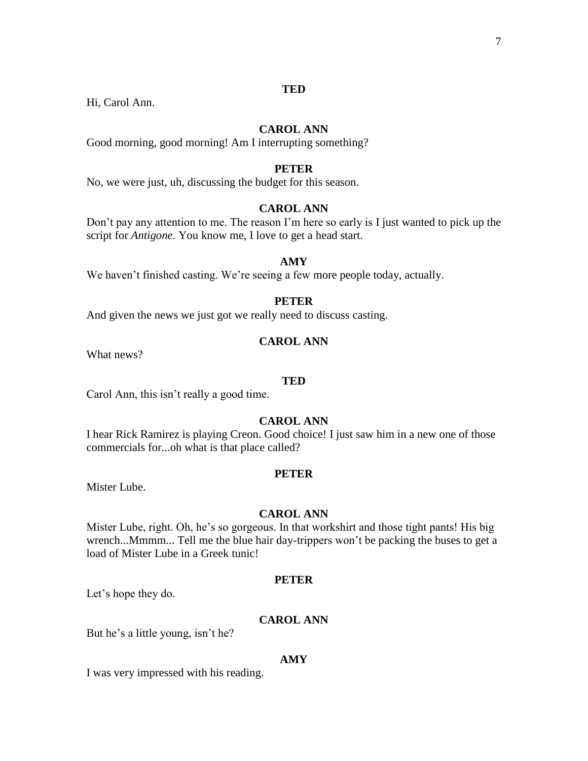### **TED**

Hi, Carol Ann.

### **CAROL ANN**

Good morning, good morning! Am I interrupting something?

### **PETER**

No, we were just, uh, discussing the budget for this season.

### **CAROL ANN**

Don't pay any attention to me. The reason I'm here so early is I just wanted to pick up the script for *Antigone*. You know me, I love to get a head start.

#### **AMY**

We haven't finished casting. We're seeing a few more people today, actually.

#### **PETER**

And given the news we just got we really need to discuss casting.

#### **CAROL ANN**

What news?

#### **TED**

Carol Ann, this isn't really a good time.

#### **CAROL ANN**

I hear Rick Ramirez is playing Creon. Good choice! I just saw him in a new one of those commercials for...oh what is that place called?

#### **PETER**

Mister Lube.

#### **CAROL ANN**

Mister Lube, right. Oh, he's so gorgeous. In that workshirt and those tight pants! His big wrench...Mmmm... Tell me the blue hair day-trippers won't be packing the buses to get a load of Mister Lube in a Greek tunic!

#### **PETER**

Let's hope they do.

### **CAROL ANN**

But he's a little young, isn't he?

#### **AMY**

I was very impressed with his reading.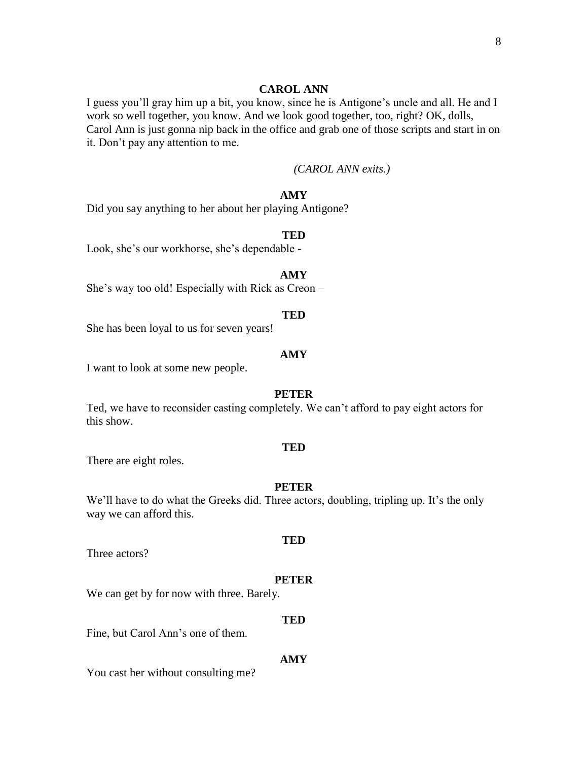#### **CAROL ANN**

I guess you'll gray him up a bit, you know, since he is Antigone's uncle and all. He and I work so well together, you know. And we look good together, too, right? OK, dolls, Carol Ann is just gonna nip back in the office and grab one of those scripts and start in on it. Don't pay any attention to me.

### *(CAROL ANN exits.)*

### **AMY**

Did you say anything to her about her playing Antigone?

#### **TED**

Look, she's our workhorse, she's dependable -

#### **AMY**

She's way too old! Especially with Rick as Creon –

#### **TED**

She has been loyal to us for seven years!

#### **AMY**

I want to look at some new people.

#### **PETER**

Ted, we have to reconsider casting completely. We can't afford to pay eight actors for this show.

#### **TED**

There are eight roles.

### **PETER**

We'll have to do what the Greeks did. Three actors, doubling, tripling up. It's the only way we can afford this.

Three actors?

#### **PETER**

**TED**

We can get by for now with three. Barely.

#### **TED**

Fine, but Carol Ann's one of them.

#### **AMY**

You cast her without consulting me?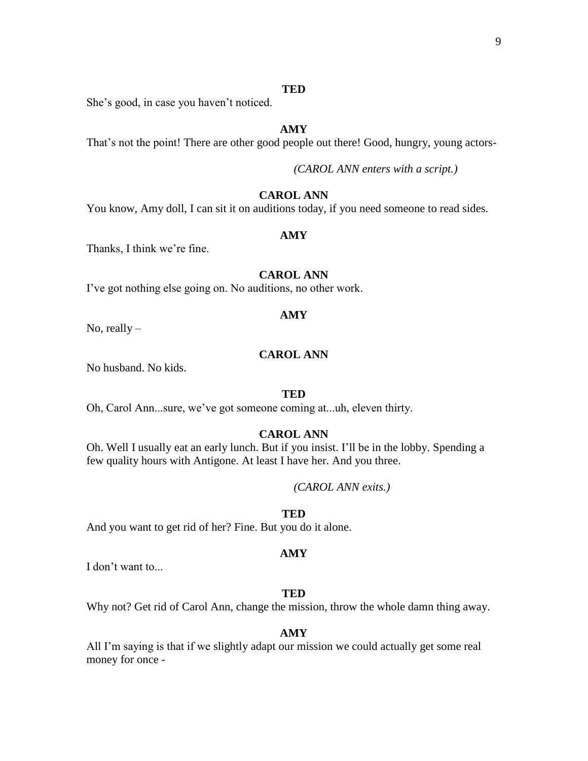### **TED**

She's good, in case you haven't noticed.

### **AMY**

That's not the point! There are other good people out there! Good, hungry, young actors-

*(CAROL ANN enters with a script.)*

### **CAROL ANN**

You know, Amy doll, I can sit it on auditions today, if you need someone to read sides.

#### **AMY**

Thanks, I think we're fine.

### **CAROL ANN**

I've got nothing else going on. No auditions, no other work.

#### **AMY**

No, really  $-$ 

### **CAROL ANN**

No husband. No kids.

#### **TED**

Oh, Carol Ann...sure, we've got someone coming at...uh, eleven thirty.

### **CAROL ANN**

Oh. Well I usually eat an early lunch. But if you insist. I'll be in the lobby. Spending a few quality hours with Antigone. At least I have her. And you three.

*(CAROL ANN exits.)*

### **TED**

And you want to get rid of her? Fine. But you do it alone.

#### **AMY**

I don't want to...

#### **TED**

Why not? Get rid of Carol Ann, change the mission, throw the whole damn thing away.

#### **AMY**

All I'm saying is that if we slightly adapt our mission we could actually get some real money for once -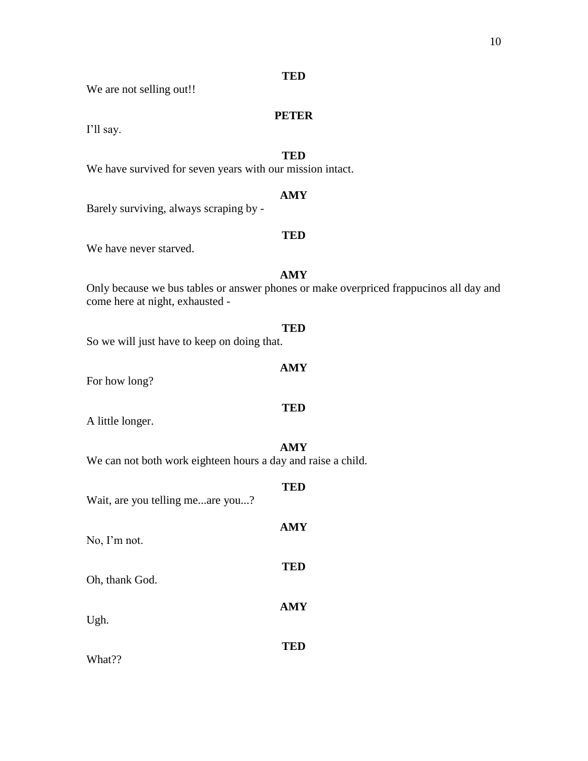### **TED**

We are not selling out!!

### **PETER**

I'll say.

### **TED**

We have survived for seven years with our mission intact.

### **AMY**

Barely surviving, always scraping by -

### **TED**

We have never starved.

### **AMY**

Only because we bus tables or answer phones or make overpriced frappucinos all day and come here at night, exhausted -

**AMY**

**TED**

## **TED** So we will just have to keep on doing that.

For how long?

A little longer.

### **AMY**

**TED**

We can not both work eighteen hours a day and raise a child.

# **TED** Wait, are you telling me...are you...? **AMY** No, I'm not. **TED** Oh, thank God. **AMY** Ugh.

What??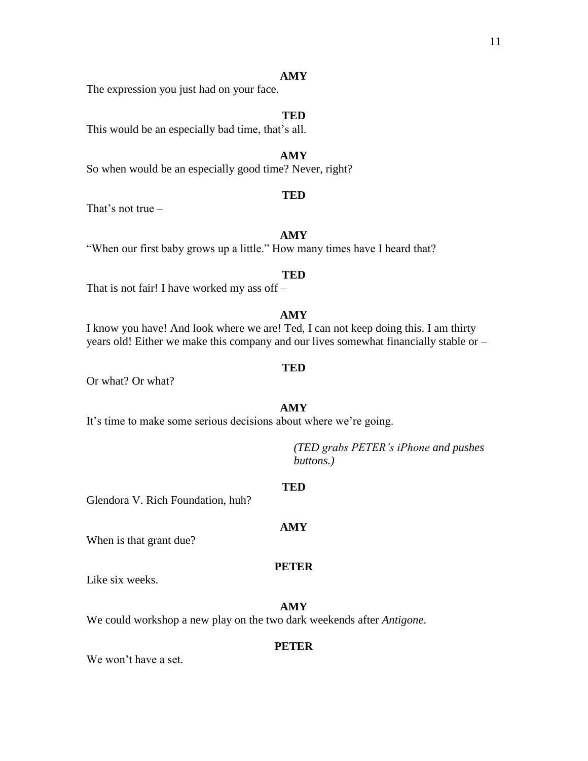The expression you just had on your face.

### **TED**

This would be an especially bad time, that's all.

#### **AMY**

So when would be an especially good time? Never, right?

#### **TED**

That's not true –

### **AMY**

"When our first baby grows up a little." How many times have I heard that?

#### **TED**

That is not fair! I have worked my ass off –

#### **AMY**

I know you have! And look where we are! Ted, I can not keep doing this. I am thirty years old! Either we make this company and our lives somewhat financially stable or –

#### **TED**

Or what? Or what?

### **AMY**

It's time to make some serious decisions about where we're going.

*(TED grabs PETER's iPhone and pushes buttons.)*

#### **TED**

Glendora V. Rich Foundation, huh?

#### **AMY**

When is that grant due?

#### **PETER**

Like six weeks.

### **AMY**

We could workshop a new play on the two dark weekends after *Antigone*.

#### **PETER**

We won't have a set.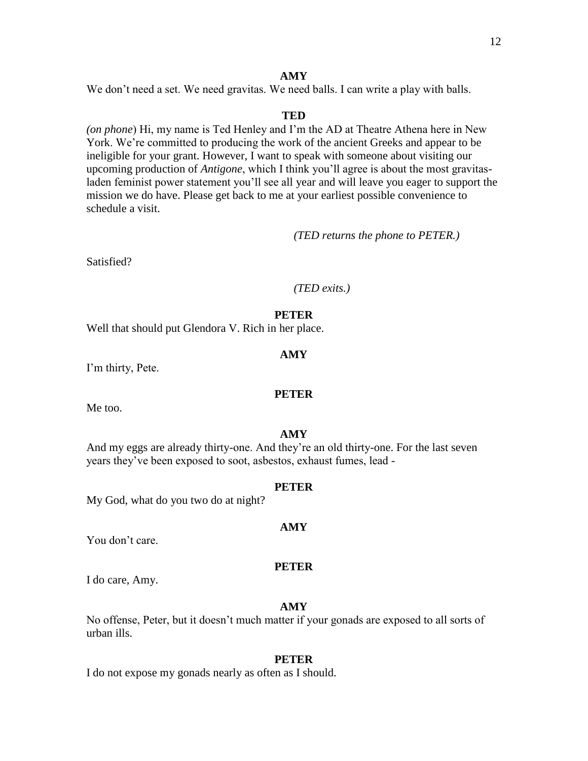We don't need a set. We need gravitas. We need balls. I can write a play with balls.

### **TED**

*(on phone*) Hi, my name is Ted Henley and I'm the AD at Theatre Athena here in New York. We're committed to producing the work of the ancient Greeks and appear to be ineligible for your grant. However, I want to speak with someone about visiting our upcoming production of *Antigone*, which I think you'll agree is about the most gravitasladen feminist power statement you'll see all year and will leave you eager to support the mission we do have. Please get back to me at your earliest possible convenience to schedule a visit.

*(TED returns the phone to PETER.)*

Satisfied?

### *(TED exits.)*

### **PETER**

Well that should put Glendora V. Rich in her place.

### **AMY**

I'm thirty, Pete.

### **PETER**

Me too.

### **AMY**

And my eggs are already thirty-one. And they're an old thirty-one. For the last seven years they've been exposed to soot, asbestos, exhaust fumes, lead -

### **PETER**

My God, what do you two do at night?

### **AMY**

You don't care.

### **PETER**

I do care, Amy.

### **AMY**

No offense, Peter, but it doesn't much matter if your gonads are exposed to all sorts of urban ills.

### **PETER**

I do not expose my gonads nearly as often as I should.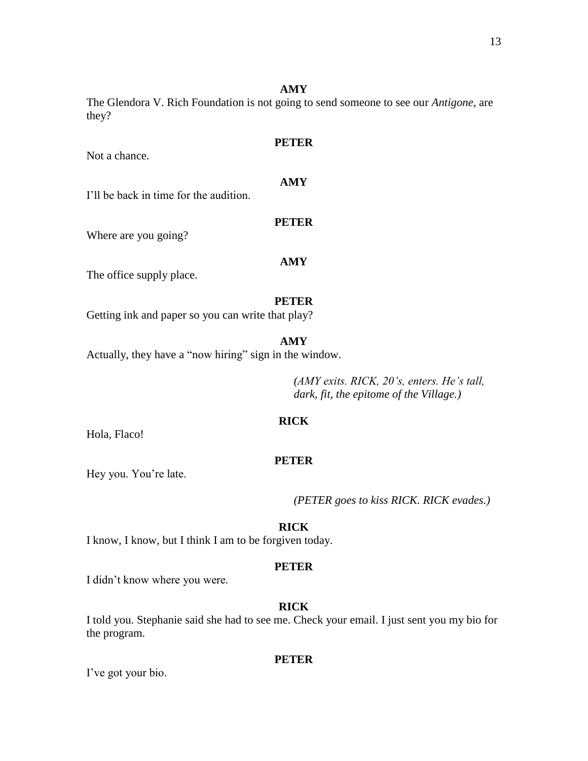The Glendora V. Rich Foundation is not going to send someone to see our *Antigone*, are they?

Not a chance.

**PETER**

### **AMY**

I'll be back in time for the audition.

Where are you going?

### **AMY**

**PETER**

The office supply place.

### **PETER**

Getting ink and paper so you can write that play?

### **AMY**

Actually, they have a "now hiring" sign in the window.

*(AMY exits. RICK, 20's, enters. He's tall, dark, fit, the epitome of the Village.)*

### **RICK**

Hola, Flaco!

### **PETER**

Hey you. You're late.

*(PETER goes to kiss RICK. RICK evades.)*

### **RICK**

I know, I know, but I think I am to be forgiven today.

### **PETER**

I didn't know where you were.

### **RICK**

I told you. Stephanie said she had to see me. Check your email. I just sent you my bio for the program.

### **PETER**

I've got your bio.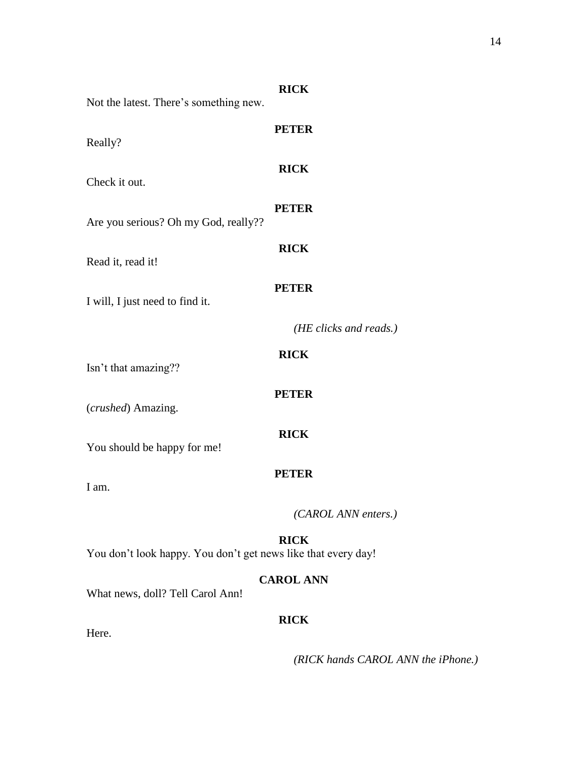| Not the latest. There's something new.                        | <b>RICK</b>            |
|---------------------------------------------------------------|------------------------|
| Really?                                                       | <b>PETER</b>           |
| Check it out.                                                 | <b>RICK</b>            |
| Are you serious? Oh my God, really??                          | <b>PETER</b>           |
| Read it, read it!                                             | <b>RICK</b>            |
| I will, I just need to find it.                               | <b>PETER</b>           |
|                                                               | (HE clicks and reads.) |
| Isn't that amazing??                                          | <b>RICK</b>            |
| (crushed) Amazing.                                            | <b>PETER</b>           |
| You should be happy for me!                                   | <b>RICK</b>            |
| I am.                                                         | <b>PETER</b>           |
|                                                               | (CAROL ANN enters.)    |
| You don't look happy. You don't get news like that every day! | <b>RICK</b>            |
| What news, doll? Tell Carol Ann!                              | <b>CAROL ANN</b>       |
| Here.                                                         | <b>RICK</b>            |

*(RICK hands CAROL ANN the iPhone.)*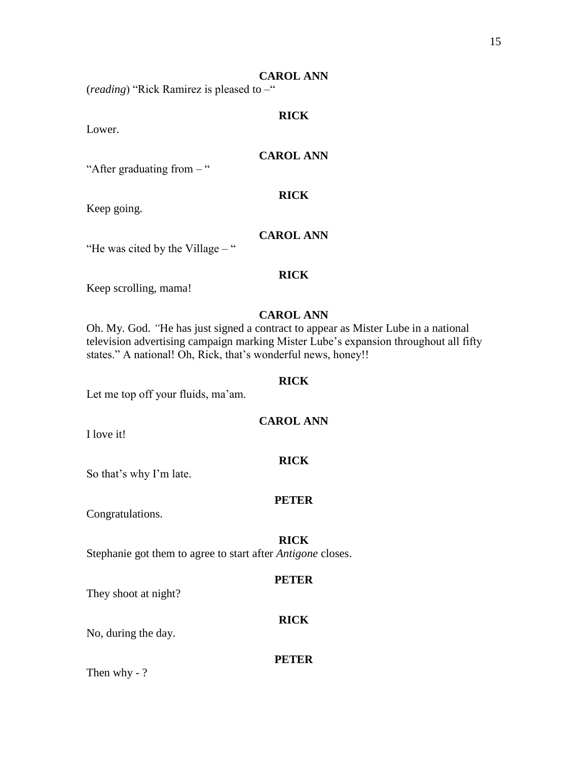### **CAROL ANN**

(*reading*) "Rick Ramirez is pleased to –"

### **RICK**

Lower.

### **CAROL ANN**

"After graduating from – "

### **RICK**

Keep going.

### **CAROL ANN**

"He was cited by the Village – "

### **RICK**

Keep scrolling, mama!

### **CAROL ANN**

Oh. My. God. *"*He has just signed a contract to appear as Mister Lube in a national television advertising campaign marking Mister Lube's expansion throughout all fifty states." A national! Oh, Rick, that's wonderful news, honey!!

#### **RICK**

Let me top off your fluids, ma'am.

### **CAROL ANN**

**RICK**

I love it!

So that's why I'm late.

#### **PETER**

Congratulations.

#### **RICK**

Stephanie got them to agree to start after *Antigone* closes.

#### **PETER**

**RICK**

They shoot at night?

## No, during the day.

### **PETER**

Then why - ?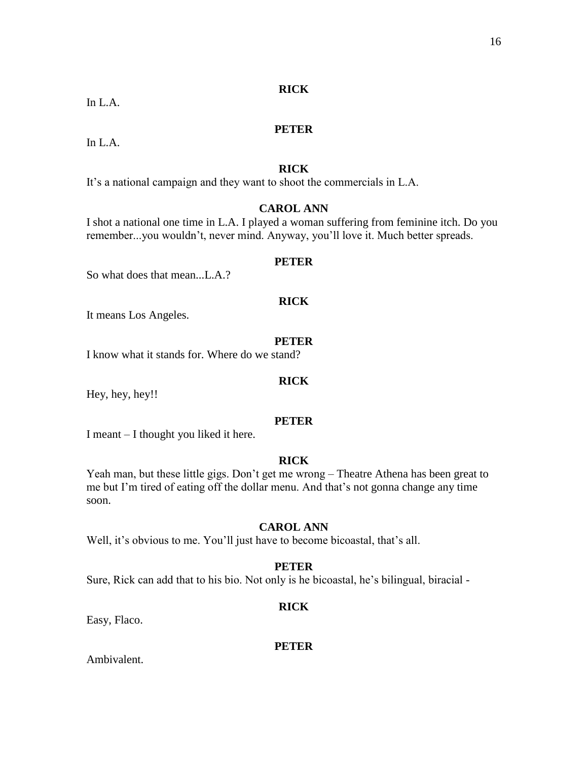### **RICK**

In L.A.

### **PETER**

In  $L.A$ .

### **RICK**

It's a national campaign and they want to shoot the commercials in L.A.

### **CAROL ANN**

I shot a national one time in L.A. I played a woman suffering from feminine itch. Do you remember...you wouldn't, never mind. Anyway, you'll love it. Much better spreads.

#### **PETER**

So what does that mean...L.A.?

### **RICK**

It means Los Angeles.

#### **PETER**

I know what it stands for. Where do we stand?

### **RICK**

Hey, hey, hey!!

#### **PETER**

I meant – I thought you liked it here.

### **RICK**

Yeah man, but these little gigs. Don't get me wrong – Theatre Athena has been great to me but I'm tired of eating off the dollar menu. And that's not gonna change any time soon.

### **CAROL ANN**

Well, it's obvious to me. You'll just have to become bicoastal, that's all.

### **PETER**

Sure, Rick can add that to his bio. Not only is he bicoastal, he's bilingual, biracial -

### **RICK**

Easy, Flaco.

### **PETER**

Ambivalent.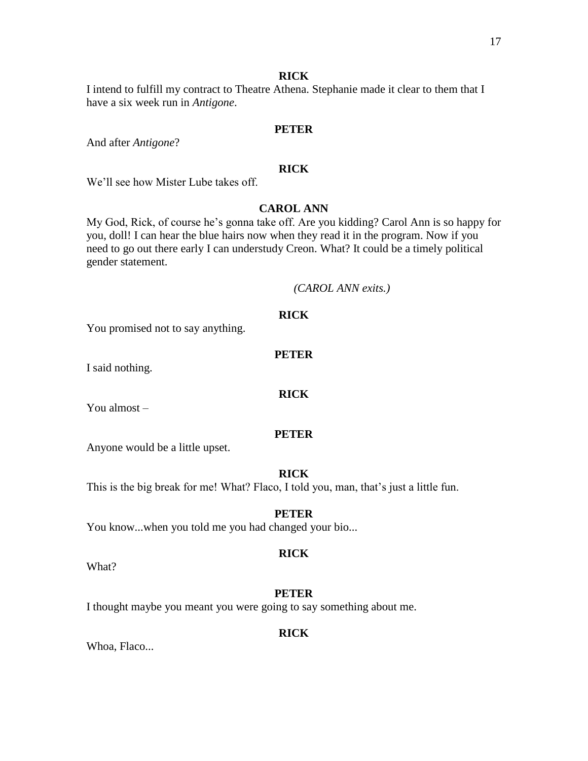### **RICK**

I intend to fulfill my contract to Theatre Athena. Stephanie made it clear to them that I have a six week run in *Antigone*.

#### **PETER**

And after *Antigone*?

### **RICK**

We'll see how Mister Lube takes off.

### **CAROL ANN**

My God, Rick, of course he's gonna take off. Are you kidding? Carol Ann is so happy for you, doll! I can hear the blue hairs now when they read it in the program. Now if you need to go out there early I can understudy Creon. What? It could be a timely political gender statement.

#### *(CAROL ANN exits.)*

You promised not to say anything.

### **PETER**

**RICK**

**RICK**

I said nothing.

You almost –

#### **PETER**

Anyone would be a little upset.

#### **RICK**

This is the big break for me! What? Flaco, I told you, man, that's just a little fun.

#### **PETER**

You know...when you told me you had changed your bio...

#### **RICK**

What?

#### **PETER**

I thought maybe you meant you were going to say something about me.

### **RICK**

Whoa, Flaco...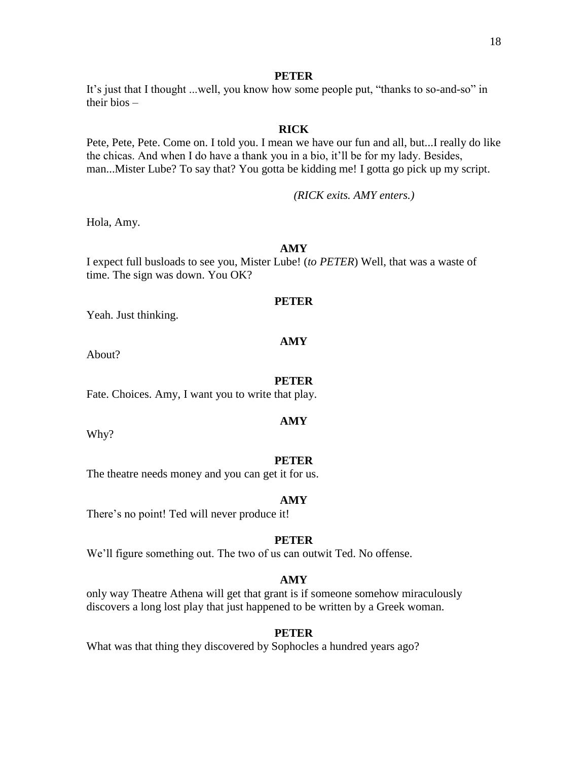#### **PETER**

It's just that I thought ...well, you know how some people put, "thanks to so-and-so" in their bios –

### **RICK**

Pete, Pete, Pete. Come on. I told you. I mean we have our fun and all, but...I really do like the chicas. And when I do have a thank you in a bio, it'll be for my lady. Besides, man...Mister Lube? To say that? You gotta be kidding me! I gotta go pick up my script.

*(RICK exits. AMY enters.)*

Hola, Amy.

### **AMY**

I expect full busloads to see you, Mister Lube! (*to PETER*) Well, that was a waste of time. The sign was down. You OK?

#### **PETER**

Yeah. Just thinking.

#### **AMY**

About?

#### **PETER**

Fate. Choices. Amy, I want you to write that play.

Why?

#### **PETER**

**AMY**

The theatre needs money and you can get it for us.

#### **AMY**

There's no point! Ted will never produce it!

#### **PETER**

We'll figure something out. The two of us can outwit Ted. No offense.

#### **AMY**

only way Theatre Athena will get that grant is if someone somehow miraculously discovers a long lost play that just happened to be written by a Greek woman.

#### **PETER**

What was that thing they discovered by Sophocles a hundred years ago?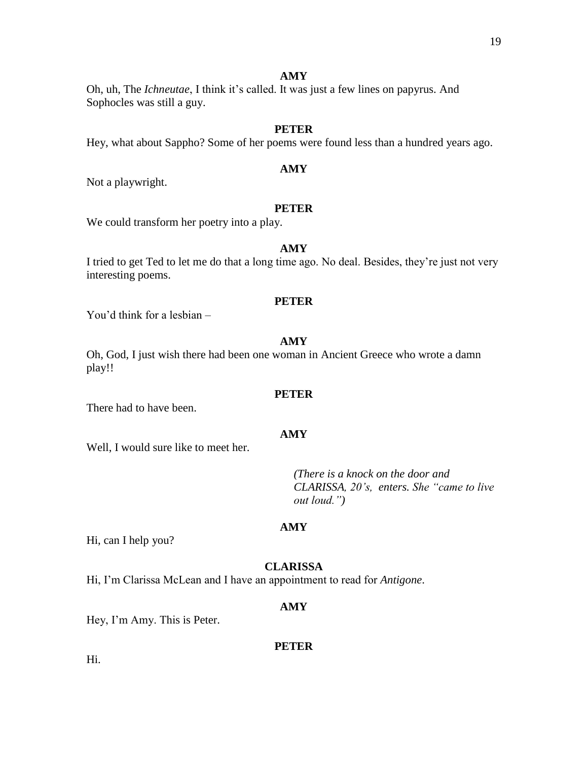Oh, uh, The *Ichneutae*, I think it's called. It was just a few lines on papyrus. And Sophocles was still a guy.

### **PETER**

Hey, what about Sappho? Some of her poems were found less than a hundred years ago.

### **AMY**

Not a playwright.

### **PETER**

We could transform her poetry into a play.

### **AMY**

I tried to get Ted to let me do that a long time ago. No deal. Besides, they're just not very interesting poems.

#### **PETER**

You'd think for a lesbian –

#### **AMY**

Oh, God, I just wish there had been one woman in Ancient Greece who wrote a damn play!!

#### **PETER**

There had to have been.

### **AMY**

Well, I would sure like to meet her.

*(There is a knock on the door and CLARISSA, 20's, enters. She "came to live out loud.")*

#### **AMY**

Hi, can I help you?

### **CLARISSA**

Hi, I'm Clarissa McLean and I have an appointment to read for *Antigone*.

#### **AMY**

Hey, I'm Amy. This is Peter.

#### **PETER**

Hi.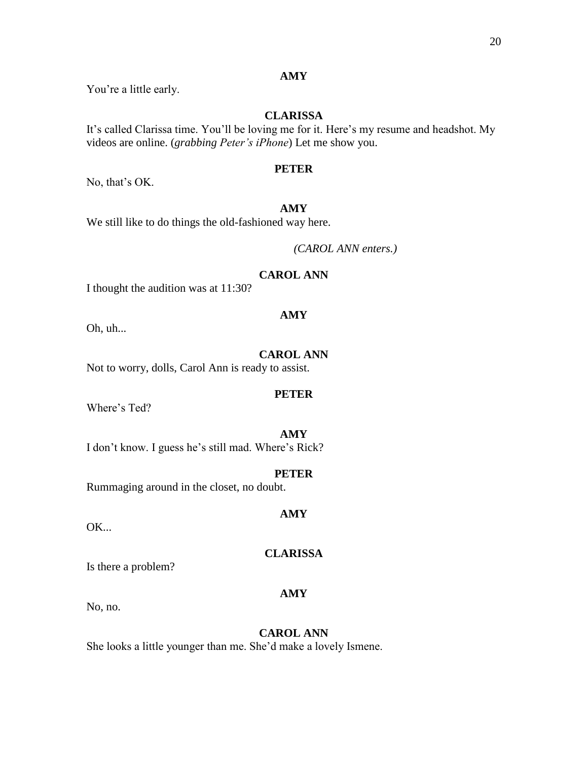You're a little early.

### **CLARISSA**

It's called Clarissa time. You'll be loving me for it. Here's my resume and headshot. My videos are online. (*grabbing Peter's iPhone*) Let me show you.

### **PETER**

No, that's OK.

### **AMY**

We still like to do things the old-fashioned way here.

*(CAROL ANN enters.)*

### **CAROL ANN**

I thought the audition was at 11:30?

Oh, uh...

### **CAROL ANN**

**PETER**

**AMY**

Not to worry, dolls, Carol Ann is ready to assist.

Where's Ted?

# **AMY**

I don't know. I guess he's still mad. Where's Rick?

### **PETER**

**AMY**

Rummaging around in the closet, no doubt.

OK...

### **CLARISSA**

## Is there a problem?

No, no.

**AMY**

## **CAROL ANN**

She looks a little younger than me. She'd make a lovely Ismene.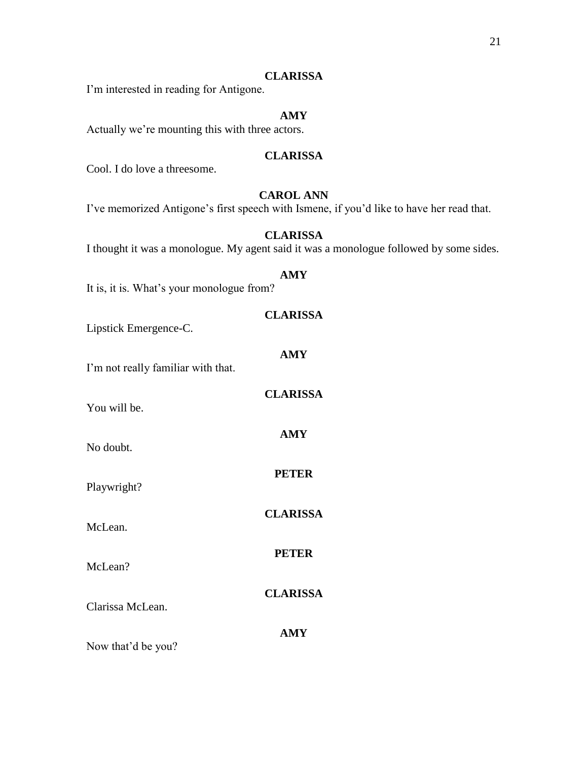I'm interested in reading for Antigone.

### **AMY**

Actually we're mounting this with three actors.

### **CLARISSA**

Cool. I do love a threesome.

### **CAROL ANN**

I've memorized Antigone's first speech with Ismene, if you'd like to have her read that.

### **CLARISSA**

I thought it was a monologue. My agent said it was a monologue followed by some sides.

### **AMY**

It is, it is. What's your monologue from?

### **CLARISSA**

Lipstick Emergence-C.

| I'm not really familiar with that.          | <b>AMY</b>      |
|---------------------------------------------|-----------------|
| You will be.                                | <b>CLARISSA</b> |
| No doubt.                                   | <b>AMY</b>      |
| Playwright?                                 | <b>PETER</b>    |
| McLean.                                     | <b>CLARISSA</b> |
| McLean?                                     | <b>PETER</b>    |
| Clarissa McLean.                            | <b>CLARISSA</b> |
| $\mathbf{M}$ , 41, 42, 41, $\mathbf{L}$ , 0 | <b>AMY</b>      |

Now that'd be you?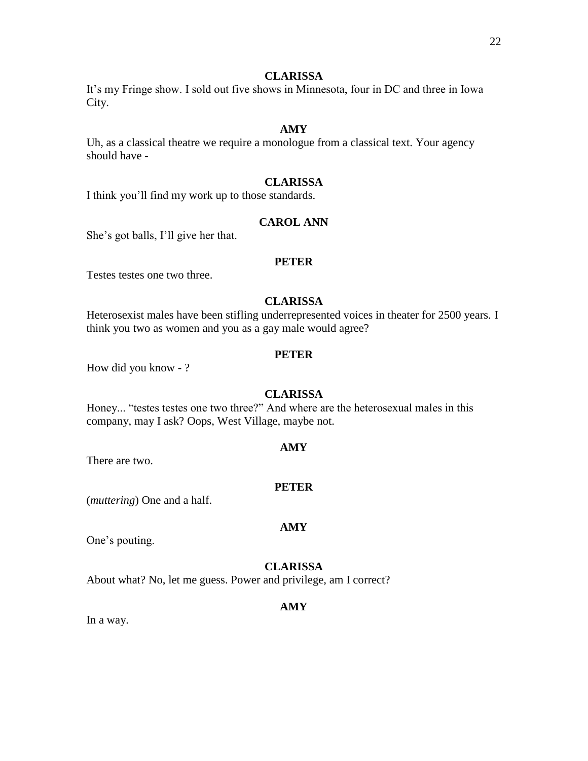It's my Fringe show. I sold out five shows in Minnesota, four in DC and three in Iowa City.

### **AMY**

Uh, as a classical theatre we require a monologue from a classical text. Your agency should have -

### **CLARISSA**

I think you'll find my work up to those standards.

### **CAROL ANN**

She's got balls, I'll give her that.

#### **PETER**

Testes testes one two three.

### **CLARISSA**

Heterosexist males have been stifling underrepresented voices in theater for 2500 years. I think you two as women and you as a gay male would agree?

### **PETER**

How did you know - ?

### **CLARISSA**

Honey... "testes testes one two three?" And where are the heterosexual males in this company, may I ask? Oops, West Village, maybe not.

#### **AMY**

There are two.

#### **PETER**

(*muttering*) One and a half.

#### **AMY**

One's pouting.

### **CLARISSA**

About what? No, let me guess. Power and privilege, am I correct?

#### **AMY**

In a way.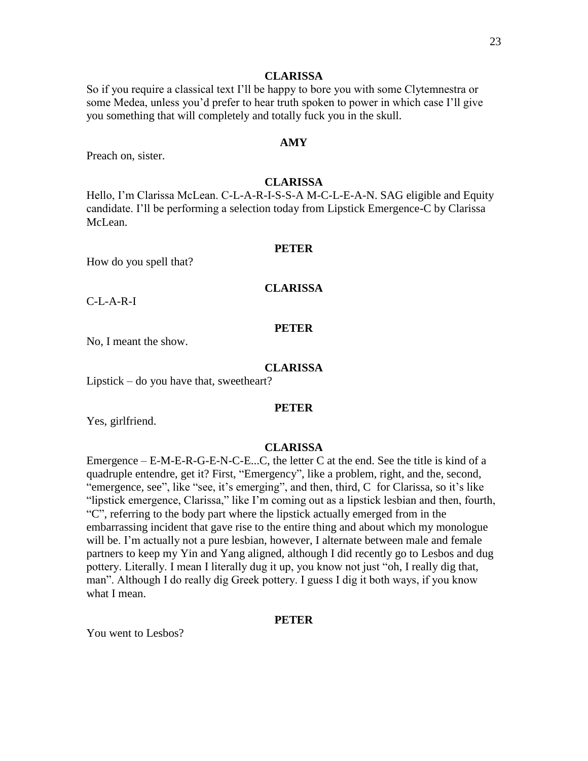So if you require a classical text I'll be happy to bore you with some Clytemnestra or some Medea, unless you'd prefer to hear truth spoken to power in which case I'll give you something that will completely and totally fuck you in the skull.

### **AMY**

Preach on, sister.

#### **CLARISSA**

Hello, I'm Clarissa McLean. C-L-A-R-I-S-S-A M-C-L-E-A-N. SAG eligible and Equity candidate. I'll be performing a selection today from Lipstick Emergence-C by Clarissa McLean.

#### **PETER**

How do you spell that?

#### **CLARISSA**

C-L-A-R-I

### **PETER**

No, I meant the show.

#### **CLARISSA**

Lipstick – do you have that, sweetheart?

#### **PETER**

Yes, girlfriend.

#### **CLARISSA**

Emergence – E-M-E-R-G-E-N-C-E...C, the letter C at the end. See the title is kind of a quadruple entendre, get it? First, "Emergency", like a problem, right, and the, second, "emergence, see", like "see, it's emerging", and then, third, C for Clarissa, so it's like "lipstick emergence, Clarissa," like I'm coming out as a lipstick lesbian and then, fourth, "C", referring to the body part where the lipstick actually emerged from in the embarrassing incident that gave rise to the entire thing and about which my monologue will be. I'm actually not a pure lesbian, however, I alternate between male and female partners to keep my Yin and Yang aligned, although I did recently go to Lesbos and dug pottery. Literally. I mean I literally dug it up, you know not just "oh, I really dig that, man". Although I do really dig Greek pottery. I guess I dig it both ways, if you know what I mean.

#### **PETER**

You went to Lesbos?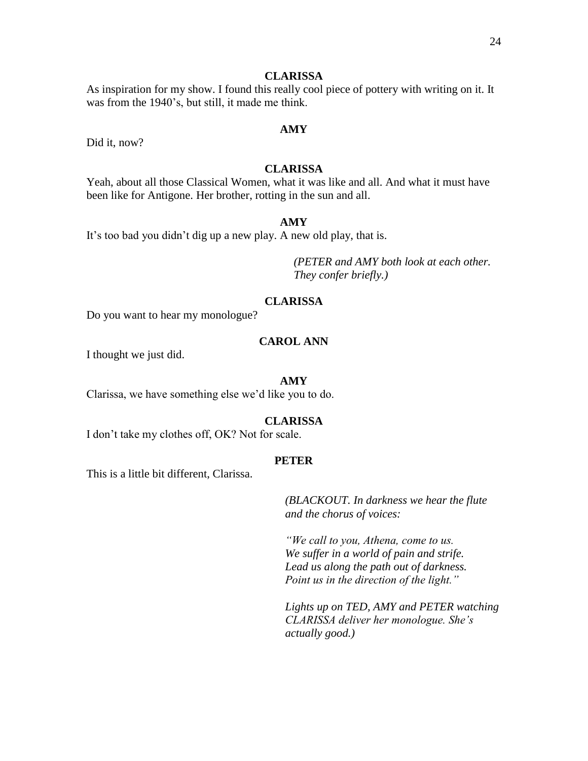As inspiration for my show. I found this really cool piece of pottery with writing on it. It was from the 1940's, but still, it made me think.

Did it, now?

### **CLARISSA**

**AMY**

Yeah, about all those Classical Women, what it was like and all. And what it must have been like for Antigone. Her brother, rotting in the sun and all.

### **AMY**

It's too bad you didn't dig up a new play. A new old play, that is.

*(PETER and AMY both look at each other. They confer briefly.)*

### **CLARISSA**

Do you want to hear my monologue?

### **CAROL ANN**

I thought we just did.

#### **AMY**

Clarissa, we have something else we'd like you to do.

#### **CLARISSA**

I don't take my clothes off, OK? Not for scale.

#### **PETER**

This is a little bit different, Clarissa.

*(BLACKOUT. In darkness we hear the flute and the chorus of voices:*

*"We call to you, Athena, come to us. We suffer in a world of pain and strife. Lead us along the path out of darkness. Point us in the direction of the light."*

*Lights up on TED, AMY and PETER watching CLARISSA deliver her monologue. She's actually good.)*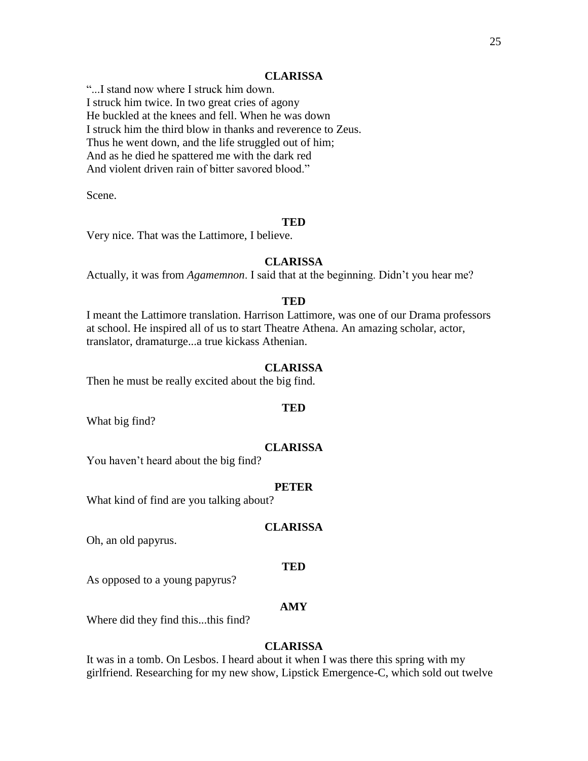"...I stand now where I struck him down. I struck him twice. In two great cries of agony He buckled at the knees and fell. When he was down I struck him the third blow in thanks and reverence to Zeus. Thus he went down, and the life struggled out of him; And as he died he spattered me with the dark red And violent driven rain of bitter savored blood."

Scene.

#### **TED**

Very nice. That was the Lattimore, I believe.

#### **CLARISSA**

Actually, it was from *Agamemnon*. I said that at the beginning. Didn't you hear me?

#### **TED**

I meant the Lattimore translation. Harrison Lattimore, was one of our Drama professors at school. He inspired all of us to start Theatre Athena. An amazing scholar, actor, translator, dramaturge...a true kickass Athenian.

#### **CLARISSA**

Then he must be really excited about the big find.

#### **TED**

What big find?

#### **CLARISSA**

You haven't heard about the big find?

#### **PETER**

What kind of find are you talking about?

#### **CLARISSA**

Oh, an old papyrus.

#### **TED**

As opposed to a young papyrus?

#### **AMY**

Where did they find this...this find?

### **CLARISSA**

It was in a tomb. On Lesbos. I heard about it when I was there this spring with my girlfriend. Researching for my new show, Lipstick Emergence-C, which sold out twelve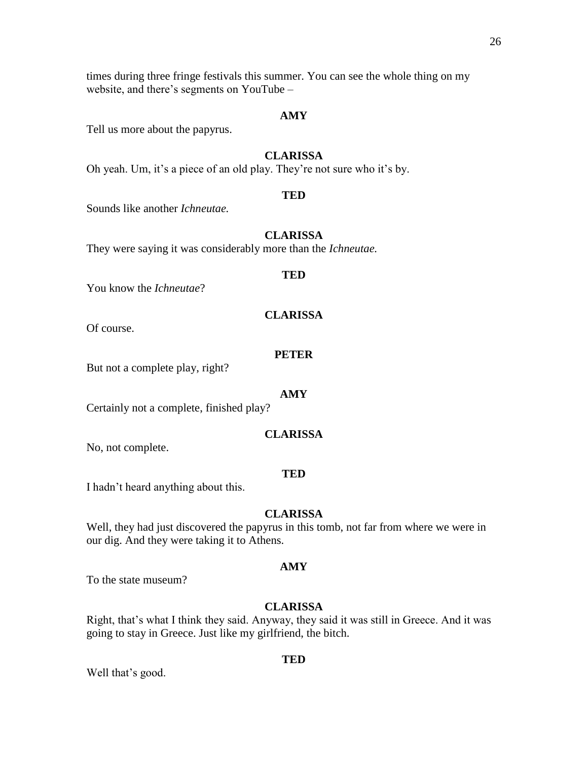26

times during three fringe festivals this summer. You can see the whole thing on my website, and there's segments on YouTube –

### **AMY**

Tell us more about the papyrus.

### **CLARISSA**

Oh yeah. Um, it's a piece of an old play. They're not sure who it's by.

#### **TED**

Sounds like another *Ichneutae.*

### **CLARISSA**

They were saying it was considerably more than the *Ichneutae.*

#### **TED**

You know the *Ichneutae*?

### **CLARISSA**

Of course.

### **PETER**

But not a complete play, right?

#### **AMY**

Certainly not a complete, finished play?

### **CLARISSA**

No, not complete.

#### **TED**

I hadn't heard anything about this.

### **CLARISSA**

Well, they had just discovered the papyrus in this tomb, not far from where we were in our dig. And they were taking it to Athens.

#### **AMY**

To the state museum?

### **CLARISSA**

Right, that's what I think they said. Anyway, they said it was still in Greece. And it was going to stay in Greece. Just like my girlfriend, the bitch.

Well that's good.

#### **TED**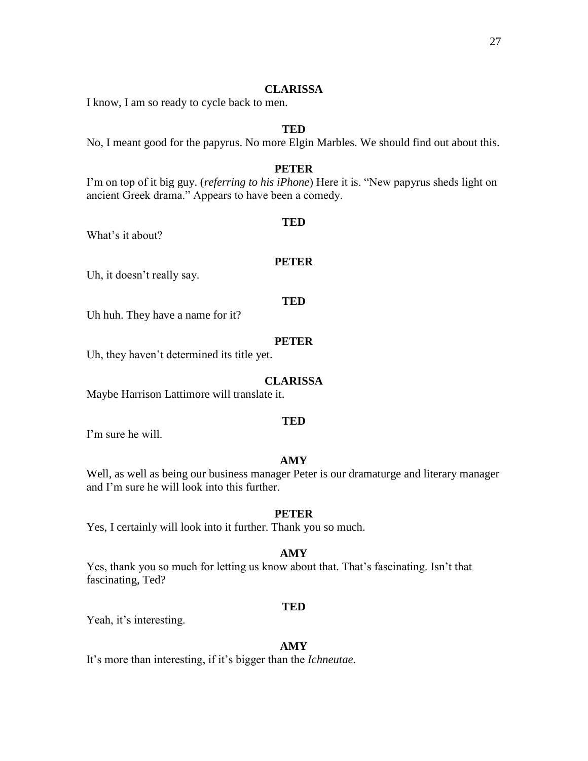I know, I am so ready to cycle back to men.

### **TED**

No, I meant good for the papyrus. No more Elgin Marbles. We should find out about this.

### **PETER**

I'm on top of it big guy. (*referring to his iPhone*) Here it is. "New papyrus sheds light on ancient Greek drama." Appears to have been a comedy.

#### **TED**

What's it about?

#### **PETER**

Uh, it doesn't really say.

### **TED**

Uh huh. They have a name for it?

### **PETER**

Uh, they haven't determined its title yet.

### **CLARISSA**

Maybe Harrison Lattimore will translate it.

#### **TED**

I'm sure he will.

### **AMY**

Well, as well as being our business manager Peter is our dramaturge and literary manager and I'm sure he will look into this further.

### **PETER**

Yes, I certainly will look into it further. Thank you so much.

#### **AMY**

Yes, thank you so much for letting us know about that. That's fascinating. Isn't that fascinating, Ted?

#### **TED**

Yeah, it's interesting.

#### **AMY**

It's more than interesting, if it's bigger than the *Ichneutae*.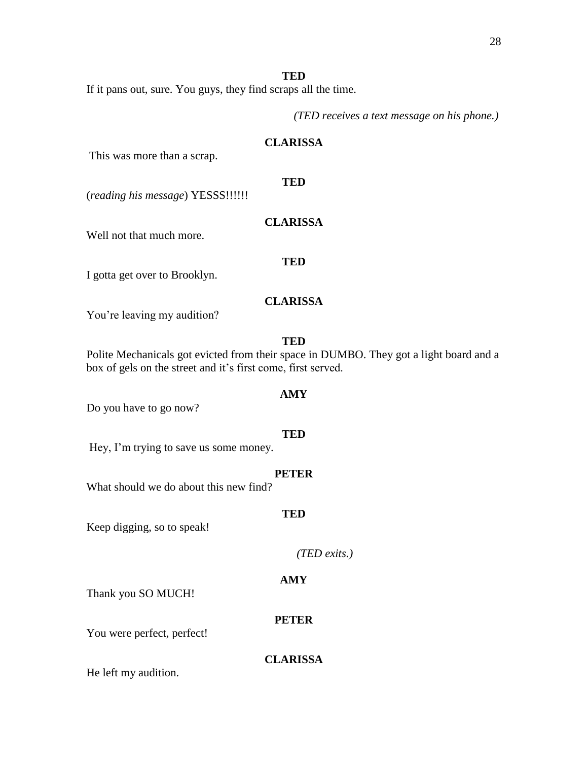### **TED**

If it pans out, sure. You guys, they find scraps all the time.

*(TED receives a text message on his phone.)*

### **CLARISSA**

This was more than a scrap.

### **TED**

**CLARISSA**

(*reading his message*) YESSS!!!!!!

Well not that much more.

#### **TED**

I gotta get over to Brooklyn.

### **CLARISSA**

You're leaving my audition?

### **TED**

Polite Mechanicals got evicted from their space in DUMBO. They got a light board and a box of gels on the street and it's first come, first served.

### **AMY**

Do you have to go now?

#### **TED**

Hey, I'm trying to save us some money.

#### **PETER**

**TED**

What should we do about this new find?

## Keep digging, so to speak!

*(TED exits.)*

#### **AMY**

Thank you SO MUCH!

# **PETER**

You were perfect, perfect!

### **CLARISSA**

He left my audition.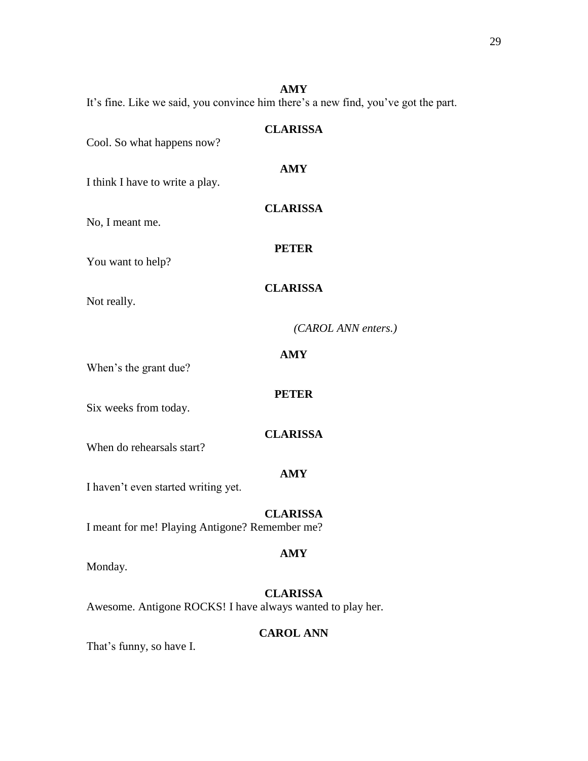**AMY** It's fine. Like we said, you convince him there's a new find, you've got the part.

| Cool. So what happens now?                     | <b>CLARISSA</b>     |
|------------------------------------------------|---------------------|
| I think I have to write a play.                | <b>AMY</b>          |
| No, I meant me.                                | <b>CLARISSA</b>     |
| You want to help?                              | <b>PETER</b>        |
| Not really.                                    | <b>CLARISSA</b>     |
|                                                | (CAROL ANN enters.) |
| When's the grant due?                          | <b>AMY</b>          |
| Six weeks from today.                          | <b>PETER</b>        |
| When do rehearsals start?                      | <b>CLARISSA</b>     |
| I haven't even started writing yet.            | <b>AMY</b>          |
| I meant for me! Playing Antigone? Remember me? | <b>CLARISSA</b>     |
| Monday.                                        | <b>AMY</b>          |

**CLARISSA** Awesome. Antigone ROCKS! I have always wanted to play her.

### **CAROL ANN**

That's funny, so have I.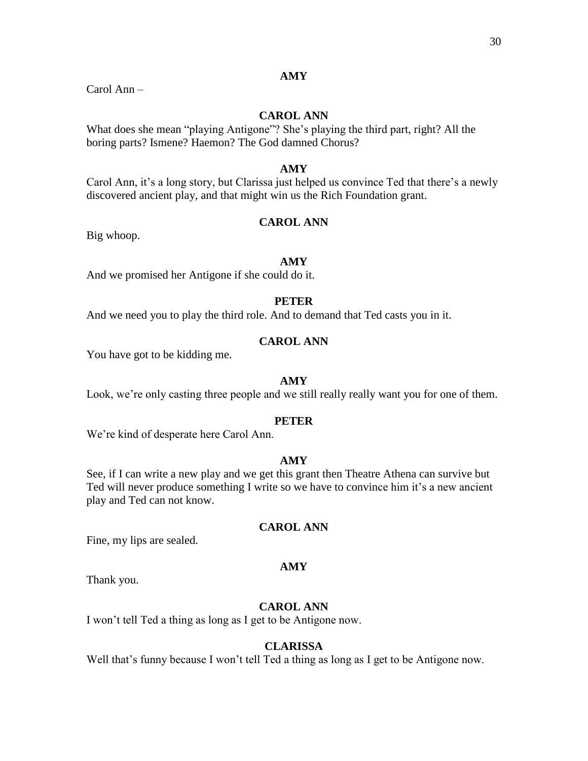Carol Ann –

### **CAROL ANN**

What does she mean "playing Antigone"? She's playing the third part, right? All the boring parts? Ismene? Haemon? The God damned Chorus?

### **AMY**

Carol Ann, it's a long story, but Clarissa just helped us convince Ted that there's a newly discovered ancient play, and that might win us the Rich Foundation grant.

### **CAROL ANN**

Big whoop.

#### **AMY**

And we promised her Antigone if she could do it.

### **PETER**

And we need you to play the third role. And to demand that Ted casts you in it.

### **CAROL ANN**

You have got to be kidding me.

#### **AMY**

Look, we're only casting three people and we still really really want you for one of them.

#### **PETER**

We're kind of desperate here Carol Ann.

### **AMY**

See, if I can write a new play and we get this grant then Theatre Athena can survive but Ted will never produce something I write so we have to convince him it's a new ancient play and Ted can not know.

### **CAROL ANN**

Fine, my lips are sealed.

#### **AMY**

Thank you.

### **CAROL ANN**

I won't tell Ted a thing as long as I get to be Antigone now.

#### **CLARISSA**

Well that's funny because I won't tell Ted a thing as long as I get to be Antigone now.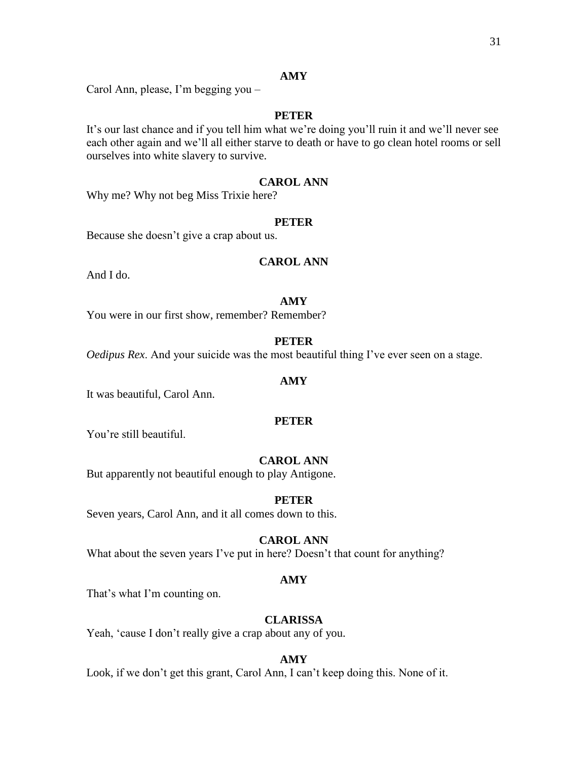Carol Ann, please, I'm begging you –

### **PETER**

It's our last chance and if you tell him what we're doing you'll ruin it and we'll never see each other again and we'll all either starve to death or have to go clean hotel rooms or sell ourselves into white slavery to survive.

### **CAROL ANN**

Why me? Why not beg Miss Trixie here?

### **PETER**

Because she doesn't give a crap about us.

### **CAROL ANN**

And I do.

#### **AMY**

You were in our first show, remember? Remember?

### **PETER**

*Oedipus Rex*. And your suicide was the most beautiful thing I've ever seen on a stage.

### **AMY**

It was beautiful, Carol Ann.

#### **PETER**

You're still beautiful.

### **CAROL ANN**

But apparently not beautiful enough to play Antigone.

#### **PETER**

Seven years, Carol Ann, and it all comes down to this.

### **CAROL ANN**

What about the seven years I've put in here? Doesn't that count for anything?

#### **AMY**

That's what I'm counting on.

### **CLARISSA**

Yeah, 'cause I don't really give a crap about any of you.

#### **AMY**

Look, if we don't get this grant, Carol Ann, I can't keep doing this. None of it.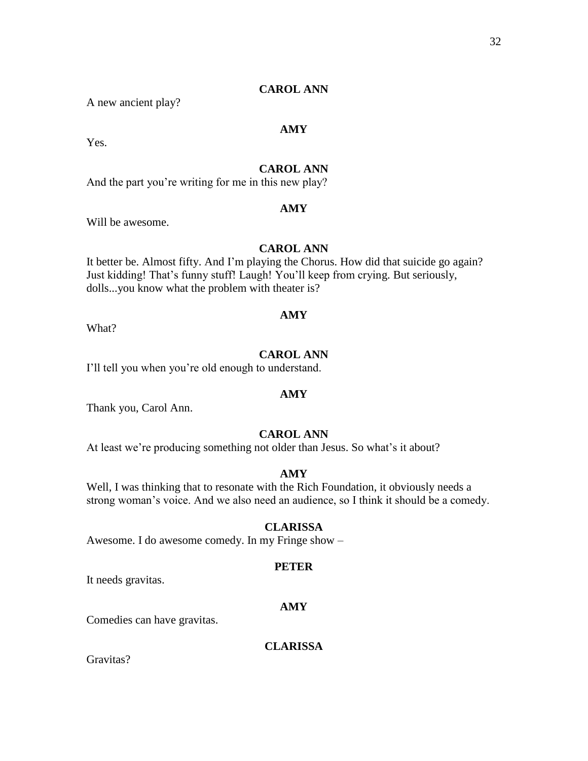### **CAROL ANN**

A new ancient play?

### **AMY**

Yes.

### **CAROL ANN**

And the part you're writing for me in this new play?

### **AMY**

Will be awesome.

### **CAROL ANN**

It better be. Almost fifty. And I'm playing the Chorus. How did that suicide go again? Just kidding! That's funny stuff! Laugh! You'll keep from crying. But seriously, dolls...you know what the problem with theater is?

### **AMY**

What?

### **CAROL ANN**

I'll tell you when you're old enough to understand.

#### **AMY**

Thank you, Carol Ann.

### **CAROL ANN**

At least we're producing something not older than Jesus. So what's it about?

#### **AMY**

Well, I was thinking that to resonate with the Rich Foundation, it obviously needs a strong woman's voice. And we also need an audience, so I think it should be a comedy.

### **CLARISSA**

Awesome. I do awesome comedy. In my Fringe show –

#### **PETER**

It needs gravitas.

#### **AMY**

Comedies can have gravitas.

### **CLARISSA**

Gravitas?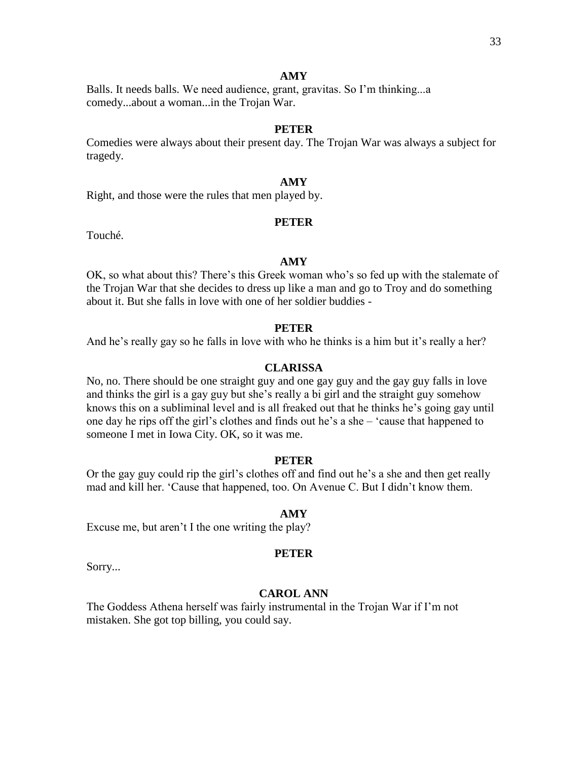Balls. It needs balls. We need audience, grant, gravitas. So I'm thinking...a comedy...about a woman...in the Trojan War.

### **PETER**

Comedies were always about their present day. The Trojan War was always a subject for tragedy.

### **AMY**

Right, and those were the rules that men played by.

### **PETER**

Touché.

#### **AMY**

OK, so what about this? There's this Greek woman who's so fed up with the stalemate of the Trojan War that she decides to dress up like a man and go to Troy and do something about it. But she falls in love with one of her soldier buddies -

### **PETER**

And he's really gay so he falls in love with who he thinks is a him but it's really a her?

### **CLARISSA**

No, no. There should be one straight guy and one gay guy and the gay guy falls in love and thinks the girl is a gay guy but she's really a bi girl and the straight guy somehow knows this on a subliminal level and is all freaked out that he thinks he's going gay until one day he rips off the girl's clothes and finds out he's a she – 'cause that happened to someone I met in Iowa City. OK, so it was me.

#### **PETER**

Or the gay guy could rip the girl's clothes off and find out he's a she and then get really mad and kill her. 'Cause that happened, too. On Avenue C. But I didn't know them.

#### **AMY**

Excuse me, but aren't I the one writing the play?

#### **PETER**

Sorry...

### **CAROL ANN**

The Goddess Athena herself was fairly instrumental in the Trojan War if I'm not mistaken. She got top billing, you could say.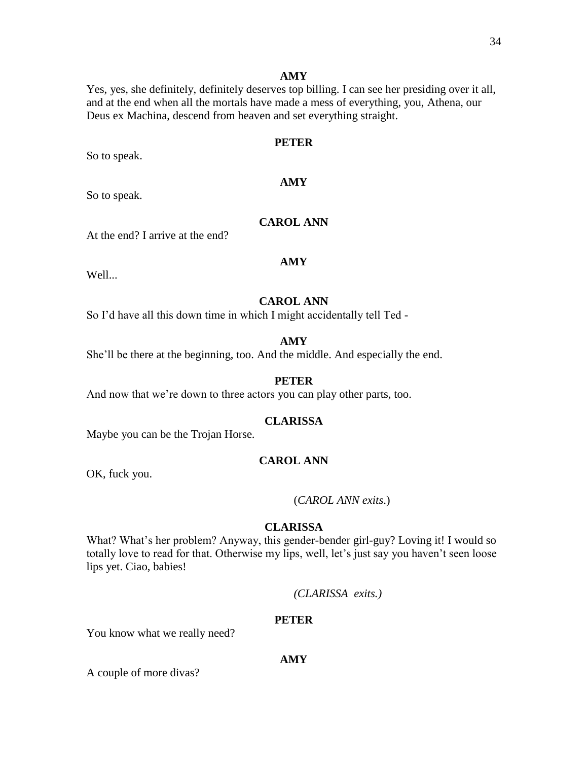Yes, yes, she definitely, definitely deserves top billing. I can see her presiding over it all, and at the end when all the mortals have made a mess of everything, you, Athena, our Deus ex Machina, descend from heaven and set everything straight.

### **PETER**

**AMY**

So to speak.

So to speak.

### **CAROL ANN**

At the end? I arrive at the end?

#### **AMY**

Well...

### **CAROL ANN**

So I'd have all this down time in which I might accidentally tell Ted -

#### **AMY**

She'll be there at the beginning, too. And the middle. And especially the end.

#### **PETER**

And now that we're down to three actors you can play other parts, too.

#### **CLARISSA**

Maybe you can be the Trojan Horse.

### **CAROL ANN**

OK, fuck you.

#### (*CAROL ANN exits*.)

### **CLARISSA**

What? What's her problem? Anyway, this gender-bender girl-guy? Loving it! I would so totally love to read for that. Otherwise my lips, well, let's just say you haven't seen loose lips yet. Ciao, babies!

*(CLARISSA exits.)*

#### **PETER**

You know what we really need?

### **AMY**

A couple of more divas?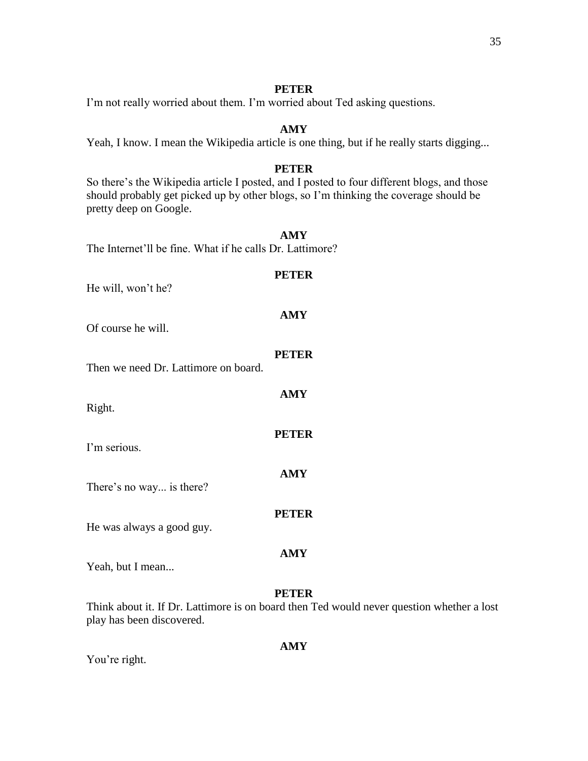### **PETER**

I'm not really worried about them. I'm worried about Ted asking questions.

### **AMY**

Yeah, I know. I mean the Wikipedia article is one thing, but if he really starts digging...

### **PETER**

So there's the Wikipedia article I posted, and I posted to four different blogs, and those should probably get picked up by other blogs, so I'm thinking the coverage should be pretty deep on Google.

### **AMY**

The Internet'll be fine. What if he calls Dr. Lattimore?

# **PETER** He will, won't he? **AMY** Of course he will. **PETER AMY PETER AMY** There's no way... is there? **PETER AMY** Yeah, but I mean...

### **PETER**

Think about it. If Dr. Lattimore is on board then Ted would never question whether a lost play has been discovered.

### **AMY**

You're right.

Then we need Dr. Lattimore on board.

Right.

I'm serious.

He was always a good guy.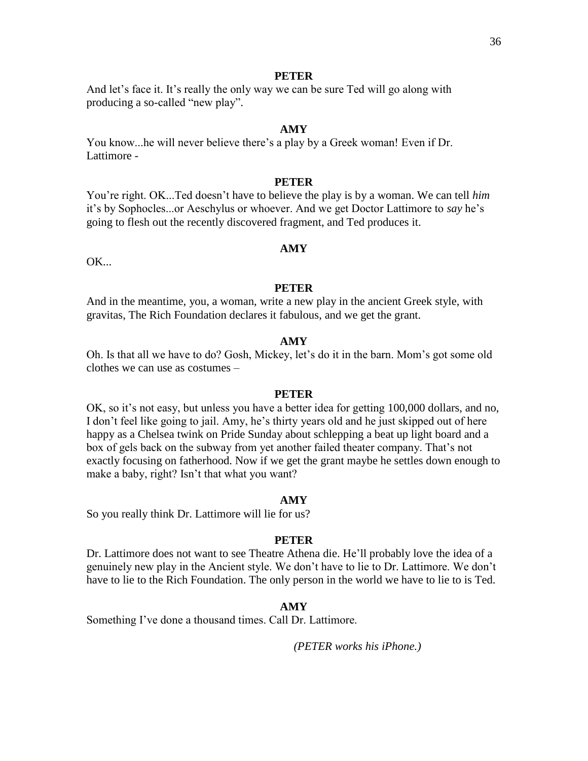And let's face it. It's really the only way we can be sure Ted will go along with producing a so-called "new play".

#### **AMY**

You know...he will never believe there's a play by a Greek woman! Even if Dr. Lattimore -

# **PETER**

You're right. OK...Ted doesn't have to believe the play is by a woman. We can tell *him* it's by Sophocles...or Aeschylus or whoever. And we get Doctor Lattimore to *say* he's going to flesh out the recently discovered fragment, and Ted produces it.

#### **AMY**

 $OK...$ 

#### **PETER**

And in the meantime, you, a woman, write a new play in the ancient Greek style, with gravitas, The Rich Foundation declares it fabulous, and we get the grant.

### **AMY**

Oh. Is that all we have to do? Gosh, Mickey, let's do it in the barn. Mom's got some old clothes we can use as costumes –

#### **PETER**

OK, so it's not easy, but unless you have a better idea for getting 100,000 dollars, and no, I don't feel like going to jail. Amy, he's thirty years old and he just skipped out of here happy as a Chelsea twink on Pride Sunday about schlepping a beat up light board and a box of gels back on the subway from yet another failed theater company. That's not exactly focusing on fatherhood. Now if we get the grant maybe he settles down enough to make a baby, right? Isn't that what you want?

#### **AMY**

So you really think Dr. Lattimore will lie for us?

#### **PETER**

Dr. Lattimore does not want to see Theatre Athena die. He'll probably love the idea of a genuinely new play in the Ancient style. We don't have to lie to Dr. Lattimore. We don't have to lie to the Rich Foundation. The only person in the world we have to lie to is Ted.

### **AMY**

Something I've done a thousand times. Call Dr. Lattimore.

*(PETER works his iPhone.)*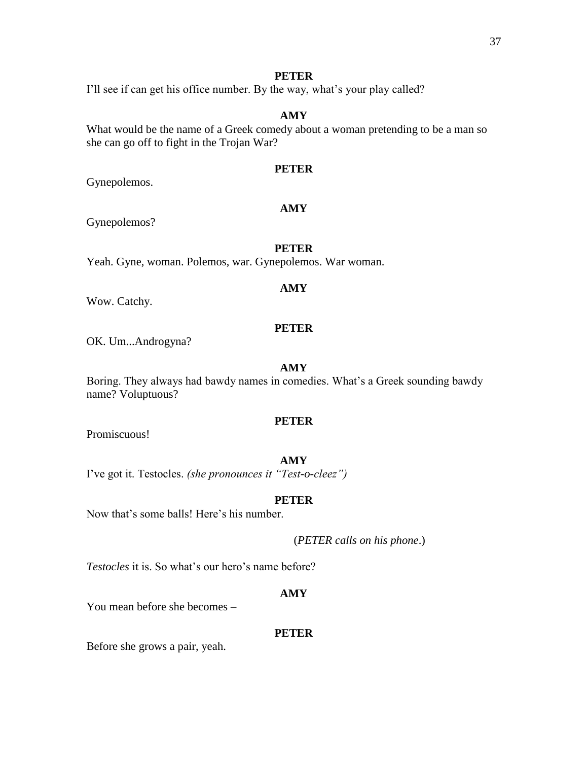I'll see if can get his office number. By the way, what's your play called?

# **AMY**

What would be the name of a Greek comedy about a woman pretending to be a man so she can go off to fight in the Trojan War?

# **PETER**

**AMY**

Gynepolemos.

# Gynepolemos?

# **PETER**

Yeah. Gyne, woman. Polemos, war. Gynepolemos. War woman.

# **AMY**

Wow. Catchy.

# **PETER**

OK. Um...Androgyna?

# **AMY**

Boring. They always had bawdy names in comedies. What's a Greek sounding bawdy name? Voluptuous?

# **PETER**

Promiscuous!

### **AMY**

I've got it. Testocles. *(she pronounces it "Test-o-cleez")*

# **PETER**

Now that's some balls! Here's his number.

(*PETER calls on his phone*.)

*Testocles* it is. So what's our hero's name before?

# **AMY**

You mean before she becomes –

# **PETER**

Before she grows a pair, yeah.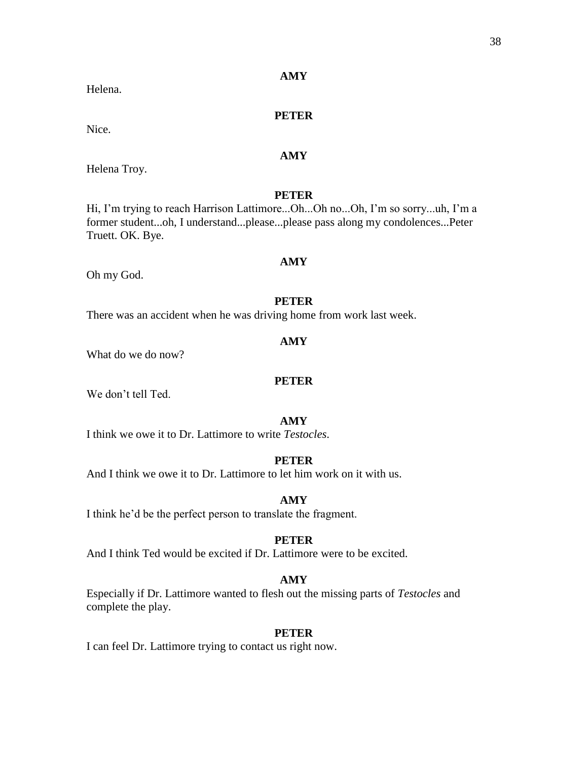# **PETER**

Nice.

Helena.

Helena Troy.

# **PETER**

**AMY**

Hi, I'm trying to reach Harrison Lattimore...Oh...Oh no...Oh, I'm so sorry...uh, I'm a former student...oh, I understand...please...please pass along my condolences...Peter Truett. OK. Bye.

Oh my God.

# **PETER**

**AMY**

There was an accident when he was driving home from work last week.

#### **AMY**

What do we do now?

#### **PETER**

We don't tell Ted.

# **AMY**

I think we owe it to Dr. Lattimore to write *Testocles*.

# **PETER**

And I think we owe it to Dr. Lattimore to let him work on it with us.

# **AMY**

I think he'd be the perfect person to translate the fragment.

# **PETER**

And I think Ted would be excited if Dr. Lattimore were to be excited.

# **AMY**

Especially if Dr. Lattimore wanted to flesh out the missing parts of *Testocles* and complete the play.

#### **PETER**

I can feel Dr. Lattimore trying to contact us right now.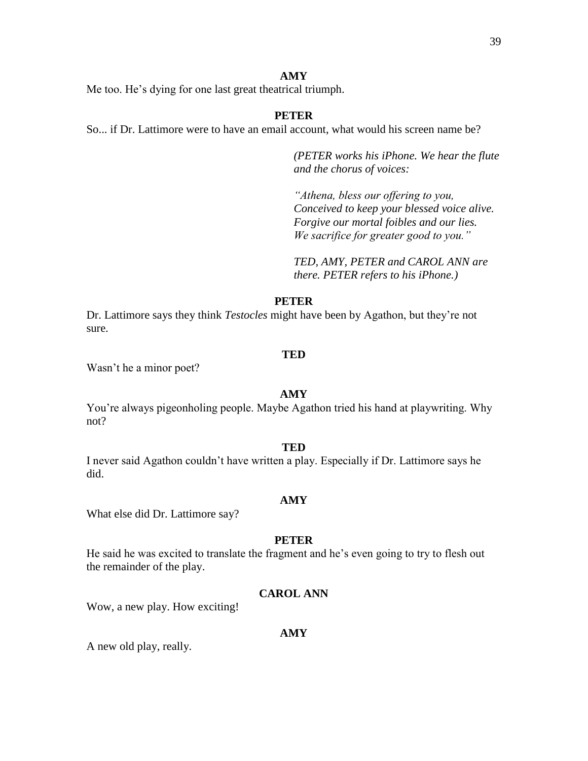Me too. He's dying for one last great theatrical triumph.

# **PETER**

So... if Dr. Lattimore were to have an email account, what would his screen name be?

*(PETER works his iPhone. We hear the flute and the chorus of voices:*

*"Athena, bless our offering to you, Conceived to keep your blessed voice alive. Forgive our mortal foibles and our lies. We sacrifice for greater good to you."*

*TED, AMY, PETER and CAROL ANN are there. PETER refers to his iPhone.)*

# **PETER**

Dr. Lattimore says they think *Testocles* might have been by Agathon, but they're not sure.

#### **TED**

Wasn't he a minor poet?

#### **AMY**

You're always pigeonholing people. Maybe Agathon tried his hand at playwriting. Why not?

### **TED**

I never said Agathon couldn't have written a play. Especially if Dr. Lattimore says he did.

#### **AMY**

What else did Dr. Lattimore say?

#### **PETER**

He said he was excited to translate the fragment and he's even going to try to flesh out the remainder of the play.

# **CAROL ANN**

Wow, a new play. How exciting!

#### **AMY**

A new old play, really.

#### 39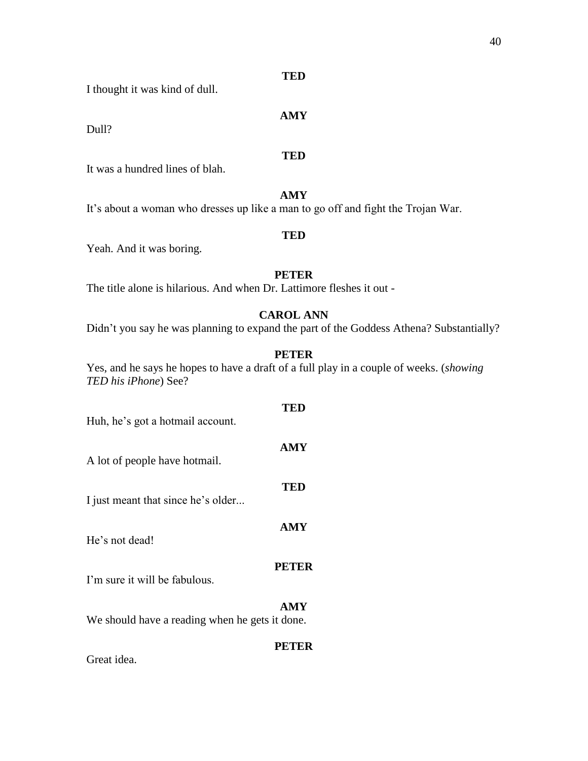**TED**

I thought it was kind of dull.

Dull?

**TED**

**AMY**

It was a hundred lines of blah.

**AMY** It's about a woman who dresses up like a man to go off and fight the Trojan War.

Yeah. And it was boring.

# **PETER**

**TED**

The title alone is hilarious. And when Dr. Lattimore fleshes it out -

# **CAROL ANN**

Didn't you say he was planning to expand the part of the Goddess Athena? Substantially?

# **PETER**

**TED**

**AMY**

**TED**

**AMY**

Yes, and he says he hopes to have a draft of a full play in a couple of weeks. (*showing TED his iPhone*) See?

Huh, he's got a hotmail account.

A lot of people have hotmail.

I just meant that since he's older...

He's not dead!

# **PETER**

I'm sure it will be fabulous.

# **AMY**

We should have a reading when he gets it done.

# **PETER**

Great idea.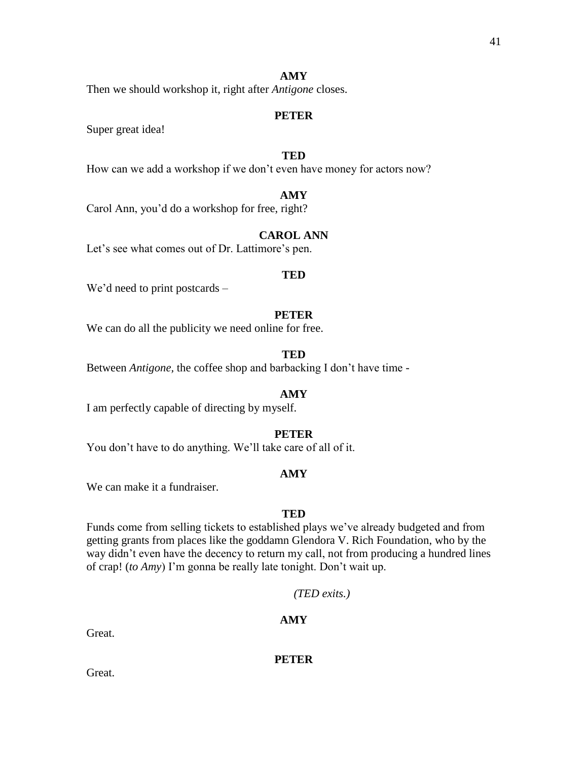Then we should workshop it, right after *Antigone* closes.

### **PETER**

Super great idea!

# **TED**

How can we add a workshop if we don't even have money for actors now?

# **AMY**

Carol Ann, you'd do a workshop for free, right?

# **CAROL ANN**

Let's see what comes out of Dr. Lattimore's pen.

#### **TED**

We'd need to print postcards –

#### **PETER**

We can do all the publicity we need online for free.

# **TED**

Between *Antigone,* the coffee shop and barbacking I don't have time -

#### **AMY**

I am perfectly capable of directing by myself.

### **PETER**

You don't have to do anything. We'll take care of all of it.

#### **AMY**

We can make it a fundraiser.

#### **TED**

Funds come from selling tickets to established plays we've already budgeted and from getting grants from places like the goddamn Glendora V. Rich Foundation, who by the way didn't even have the decency to return my call, not from producing a hundred lines of crap! (*to Amy*) I'm gonna be really late tonight. Don't wait up.

*(TED exits.)*

### **AMY**

Great.

**PETER**

Great.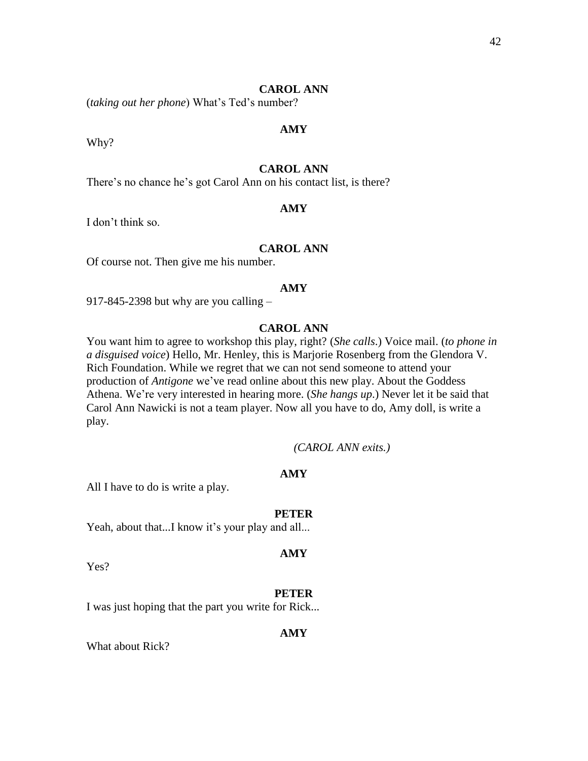### **CAROL ANN**

(*taking out her phone*) What's Ted's number?

Why?

# **CAROL ANN**

**AMY**

There's no chance he's got Carol Ann on his contact list, is there?

### **AMY**

I don't think so.

# **CAROL ANN**

Of course not. Then give me his number.

#### **AMY**

917-845-2398 but why are you calling –

# **CAROL ANN**

You want him to agree to workshop this play, right? (*She calls*.) Voice mail. (*to phone in a disguised voice*) Hello, Mr. Henley, this is Marjorie Rosenberg from the Glendora V. Rich Foundation. While we regret that we can not send someone to attend your production of *Antigone* we've read online about this new play. About the Goddess Athena. We're very interested in hearing more. (*She hangs up*.) Never let it be said that Carol Ann Nawicki is not a team player. Now all you have to do, Amy doll, is write a play.

*(CAROL ANN exits.)*

# **AMY**

All I have to do is write a play.

#### **PETER**

Yeah, about that...I know it's your play and all...

#### **AMY**

Yes?

#### **PETER**

I was just hoping that the part you write for Rick...

#### **AMY**

What about Rick?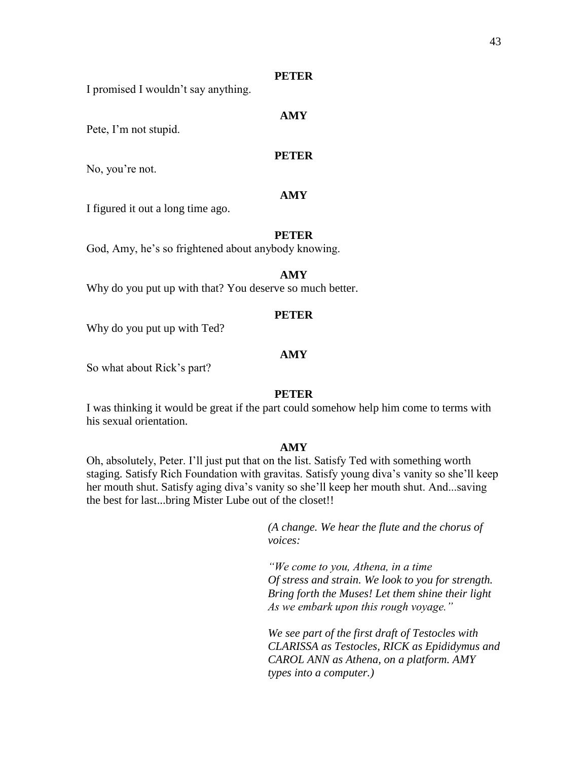I promised I wouldn't say anything.

# **AMY**

Pete, I'm not stupid.

# **PETER**

No, you're not.

# **AMY**

I figured it out a long time ago.

#### **PETER**

God, Amy, he's so frightened about anybody knowing.

### **AMY**

Why do you put up with that? You deserve so much better.

#### **PETER**

Why do you put up with Ted?

# **AMY**

So what about Rick's part?

#### **PETER**

I was thinking it would be great if the part could somehow help him come to terms with his sexual orientation.

### **AMY**

Oh, absolutely, Peter. I'll just put that on the list. Satisfy Ted with something worth staging. Satisfy Rich Foundation with gravitas. Satisfy young diva's vanity so she'll keep her mouth shut. Satisfy aging diva's vanity so she'll keep her mouth shut. And...saving the best for last...bring Mister Lube out of the closet!!

> *(A change. We hear the flute and the chorus of voices:*

*"We come to you, Athena, in a time Of stress and strain. We look to you for strength. Bring forth the Muses! Let them shine their light As we embark upon this rough voyage."*

*We see part of the first draft of Testocles with CLARISSA as Testocles, RICK as Epididymus and CAROL ANN as Athena, on a platform. AMY types into a computer.)*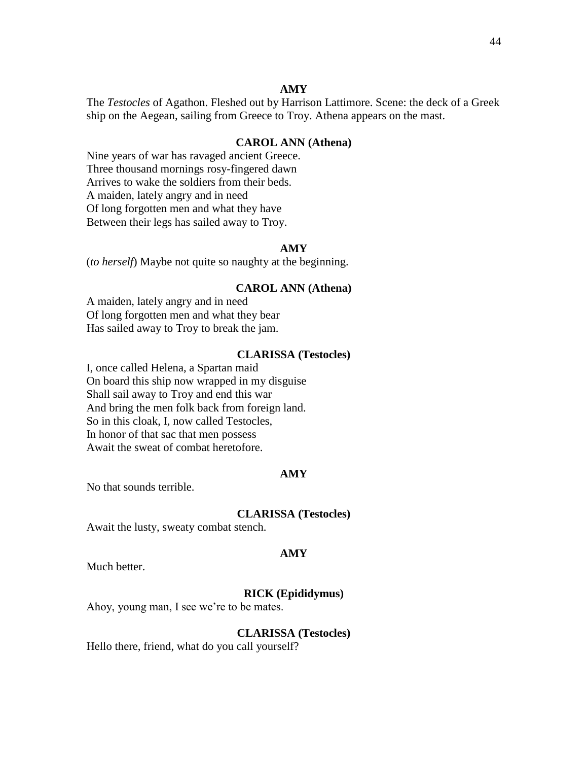The *Testocles* of Agathon. Fleshed out by Harrison Lattimore. Scene: the deck of a Greek ship on the Aegean, sailing from Greece to Troy. Athena appears on the mast.

# **CAROL ANN (Athena)**

Nine years of war has ravaged ancient Greece. Three thousand mornings rosy-fingered dawn Arrives to wake the soldiers from their beds. A maiden, lately angry and in need Of long forgotten men and what they have Between their legs has sailed away to Troy.

### **AMY**

(*to herself*) Maybe not quite so naughty at the beginning.

#### **CAROL ANN (Athena)**

A maiden, lately angry and in need Of long forgotten men and what they bear Has sailed away to Troy to break the jam.

### **CLARISSA (Testocles)**

I, once called Helena, a Spartan maid On board this ship now wrapped in my disguise Shall sail away to Troy and end this war And bring the men folk back from foreign land. So in this cloak, I, now called Testocles, In honor of that sac that men possess Await the sweat of combat heretofore.

#### **AMY**

No that sounds terrible.

#### **CLARISSA (Testocles)**

Await the lusty, sweaty combat stench.

#### **AMY**

Much better.

#### **RICK (Epididymus)**

Ahoy, young man, I see we're to be mates.

#### **CLARISSA (Testocles)**

Hello there, friend, what do you call yourself?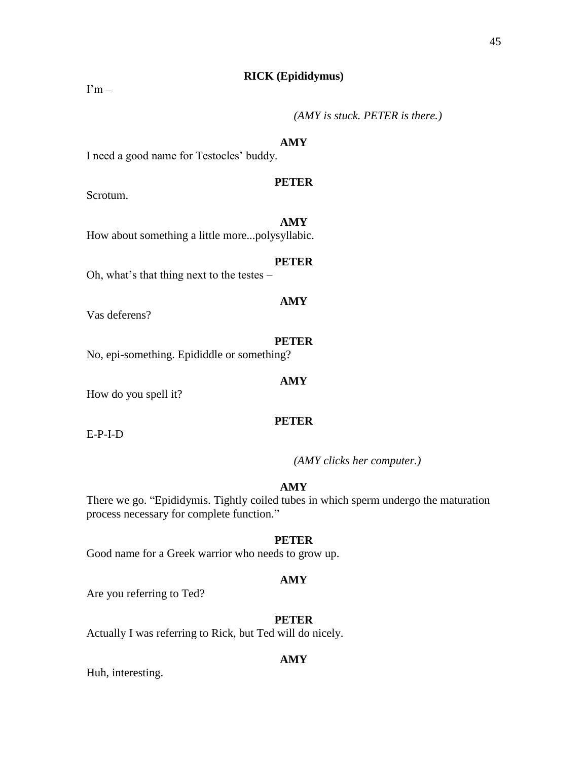# **RICK (Epididymus)**

 $\Gamma$ m –

# *(AMY is stuck. PETER is there.)*

#### **AMY**

I need a good name for Testocles' buddy.

# **PETER**

**AMY**

Scrotum.

How about something a little more...polysyllabic.

#### **PETER**

Oh, what's that thing next to the testes –

Vas deferens?

#### **PETER**

**AMY**

**AMY**

No, epi-something. Epididdle or something?

How do you spell it?

# **PETER**

E-P-I-D

*(AMY clicks her computer.)*

# **AMY**

There we go. "Epididymis. Tightly coiled tubes in which sperm undergo the maturation process necessary for complete function."

# **PETER**

Good name for a Greek warrior who needs to grow up.

#### **AMY**

Are you referring to Ted?

# **PETER**

Actually I was referring to Rick, but Ted will do nicely.

### **AMY**

Huh, interesting.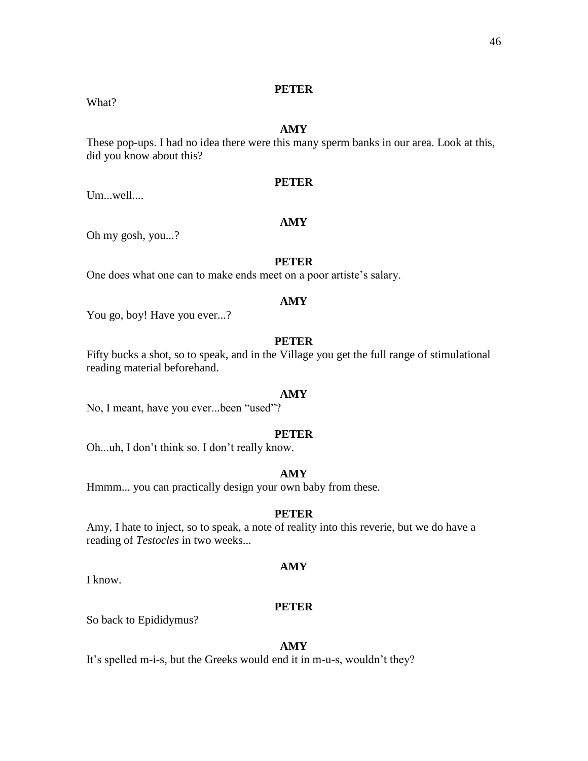# What?

# **AMY**

These pop-ups. I had no idea there were this many sperm banks in our area. Look at this, did you know about this?

# **PETER**

Um...well....

# **AMY**

Oh my gosh, you...?

#### **PETER**

One does what one can to make ends meet on a poor artiste's salary.

# **AMY**

You go, boy! Have you ever...?

# **PETER**

Fifty bucks a shot, so to speak, and in the Village you get the full range of stimulational reading material beforehand.

#### **AMY**

No, I meant, have you ever...been "used"?

### **PETER**

Oh...uh, I don't think so. I don't really know.

### **AMY**

Hmmm... you can practically design your own baby from these.

# **PETER**

Amy, I hate to inject, so to speak, a note of reality into this reverie, but we do have a reading of *Testocles* in two weeks...

#### **AMY**

I know.

#### **PETER**

So back to Epididymus?

#### **AMY**

It's spelled m-i-s, but the Greeks would end it in m-u-s, wouldn't they?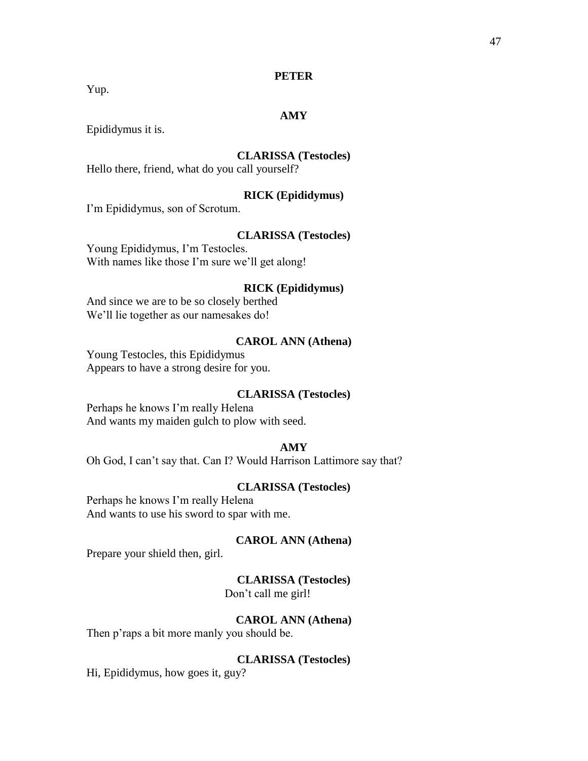Yup.

# **AMY**

Epididymus it is.

# **CLARISSA (Testocles)**

Hello there, friend, what do you call yourself?

# **RICK (Epididymus)**

I'm Epididymus, son of Scrotum.

#### **CLARISSA (Testocles)**

Young Epididymus, I'm Testocles. With names like those I'm sure we'll get along!

### **RICK (Epididymus)**

And since we are to be so closely berthed We'll lie together as our namesakes do!

#### **CAROL ANN (Athena)**

Young Testocles, this Epididymus Appears to have a strong desire for you.

#### **CLARISSA (Testocles)**

Perhaps he knows I'm really Helena And wants my maiden gulch to plow with seed.

# **AMY**

Oh God, I can't say that. Can I? Would Harrison Lattimore say that?

### **CLARISSA (Testocles)**

Perhaps he knows I'm really Helena And wants to use his sword to spar with me.

#### **CAROL ANN (Athena)**

Prepare your shield then, girl.

# **CLARISSA (Testocles)**

Don't call me girl!

# **CAROL ANN (Athena)**

Then p'raps a bit more manly you should be.

# **CLARISSA (Testocles)**

Hi, Epididymus, how goes it, guy?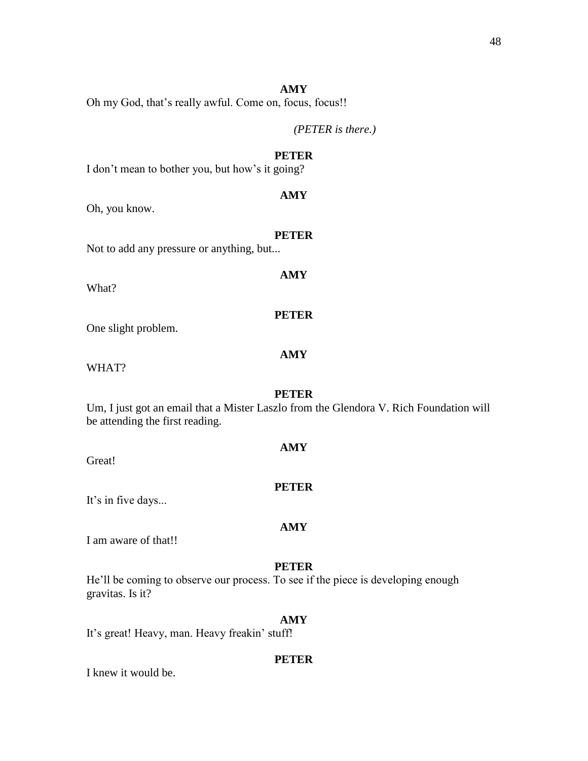Oh my God, that's really awful. Come on, focus, focus!!

*(PETER is there.)*

# **PETER**

I don't mean to bother you, but how's it going?

# **AMY**

Oh, you know.

#### **PETER**

**AMY**

Not to add any pressure or anything, but...

What?

One slight problem.

# **AMY**

**PETER**

WHAT?

# **PETER**

**AMY**

Um, I just got an email that a Mister Laszlo from the Glendora V. Rich Foundation will be attending the first reading.

Great!

It's in five days...

# **AMY**

**PETER**

I am aware of that!!

# **PETER**

He'll be coming to observe our process. To see if the piece is developing enough gravitas. Is it?

# **AMY**

It's great! Heavy, man. Heavy freakin' stuff!

# **PETER**

I knew it would be.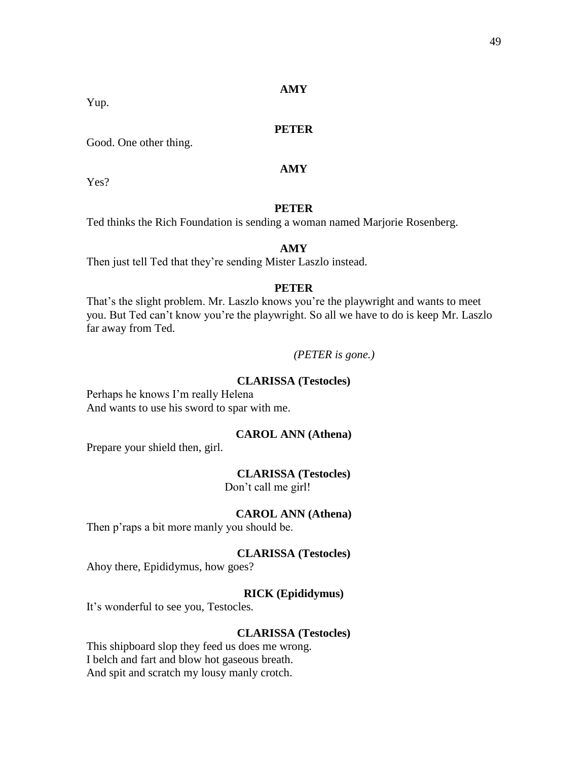### **PETER**

Good. One other thing.

# **AMY**

Yes?

# **PETER**

Ted thinks the Rich Foundation is sending a woman named Marjorie Rosenberg.

# **AMY**

Then just tell Ted that they're sending Mister Laszlo instead.

# **PETER**

That's the slight problem. Mr. Laszlo knows you're the playwright and wants to meet you. But Ted can't know you're the playwright. So all we have to do is keep Mr. Laszlo far away from Ted.

#### *(PETER is gone.)*

# **CLARISSA (Testocles)**

Perhaps he knows I'm really Helena And wants to use his sword to spar with me.

# **CAROL ANN (Athena)**

Prepare your shield then, girl.

#### **CLARISSA (Testocles)**

Don't call me girl!

# **CAROL ANN (Athena)**

Then p'raps a bit more manly you should be.

# **CLARISSA (Testocles)**

Ahoy there, Epididymus, how goes?

# **RICK (Epididymus)**

It's wonderful to see you, Testocles.

#### **CLARISSA (Testocles)**

This shipboard slop they feed us does me wrong. I belch and fart and blow hot gaseous breath. And spit and scratch my lousy manly crotch.

Yup.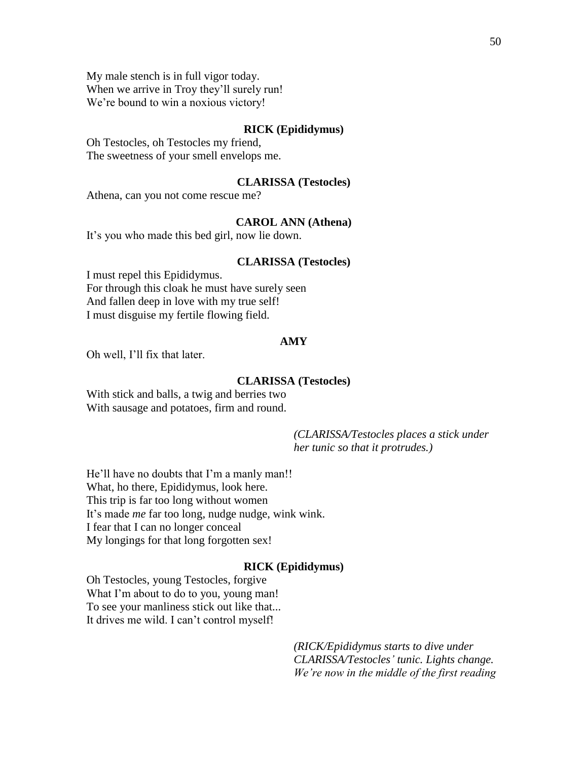My male stench is in full vigor today. When we arrive in Troy they'll surely run! We're bound to win a noxious victory!

#### **RICK (Epididymus)**

Oh Testocles, oh Testocles my friend, The sweetness of your smell envelops me.

#### **CLARISSA (Testocles)**

Athena, can you not come rescue me?

# **CAROL ANN (Athena)**

It's you who made this bed girl, now lie down.

#### **CLARISSA (Testocles)**

I must repel this Epididymus. For through this cloak he must have surely seen And fallen deep in love with my true self! I must disguise my fertile flowing field.

#### **AMY**

Oh well, I'll fix that later.

### **CLARISSA (Testocles)**

With stick and balls, a twig and berries two With sausage and potatoes, firm and round.

> *(CLARISSA/Testocles places a stick under her tunic so that it protrudes.)*

He'll have no doubts that I'm a manly man!! What, ho there, Epididymus, look here. This trip is far too long without women It's made *me* far too long, nudge nudge, wink wink. I fear that I can no longer conceal My longings for that long forgotten sex!

#### **RICK (Epididymus)**

Oh Testocles, young Testocles, forgive What I'm about to do to you, young man! To see your manliness stick out like that... It drives me wild. I can't control myself!

> *(RICK/Epididymus starts to dive under CLARISSA/Testocles' tunic. Lights change. We're now in the middle of the first reading*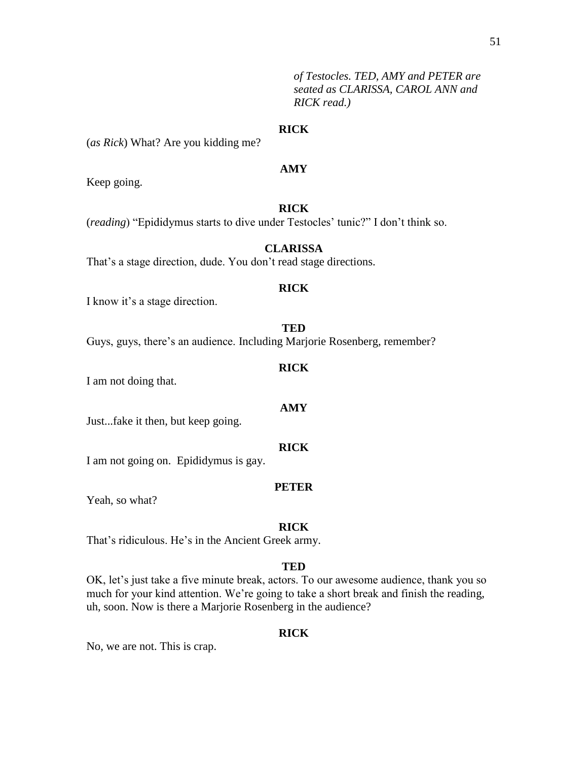*of Testocles. TED, AMY and PETER are seated as CLARISSA, CAROL ANN and RICK read.)*

### **RICK**

(*as Rick*) What? Are you kidding me?

# **AMY**

Keep going.

# **RICK**

(*reading*) "Epididymus starts to dive under Testocles' tunic?" I don't think so.

# **CLARISSA**

That's a stage direction, dude. You don't read stage directions.

# **RICK**

I know it's a stage direction.

#### **TED**

Guys, guys, there's an audience. Including Marjorie Rosenberg, remember?

#### **RICK**

**AMY**

I am not doing that.

Just...fake it then, but keep going.

#### **RICK**

I am not going on. Epididymus is gay.

#### **PETER**

Yeah, so what?

#### **RICK**

That's ridiculous. He's in the Ancient Greek army.

#### **TED**

OK, let's just take a five minute break, actors. To our awesome audience, thank you so much for your kind attention. We're going to take a short break and finish the reading, uh, soon. Now is there a Marjorie Rosenberg in the audience?

# **RICK**

No, we are not. This is crap.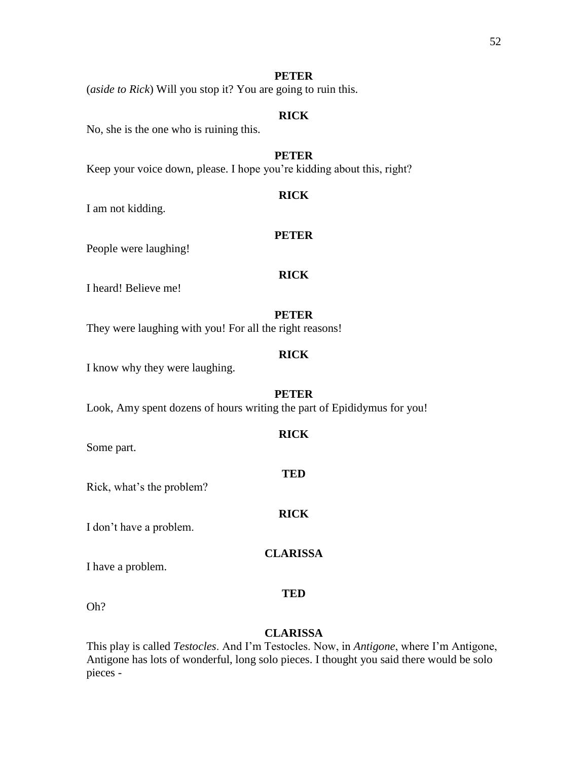(*aside to Rick*) Will you stop it? You are going to ruin this.

# **RICK**

No, she is the one who is ruining this.

# **PETER**

Keep your voice down, please. I hope you're kidding about this, right?

### **RICK**

I am not kidding.

People were laughing!

# **RICK**

**PETER**

I heard! Believe me!

# **PETER**

They were laughing with you! For all the right reasons!

# **RICK**

I know why they were laughing.

#### **PETER**

**RICK**

**TED**

**RICK**

Look, Amy spent dozens of hours writing the part of Epididymus for you!

Some part.

Rick, what's the problem?

I don't have a problem.

# **CLARISSA**

I have a problem.

Oh?

# **CLARISSA**

**TED**

This play is called *Testocles*. And I'm Testocles. Now, in *Antigone*, where I'm Antigone, Antigone has lots of wonderful, long solo pieces. I thought you said there would be solo pieces -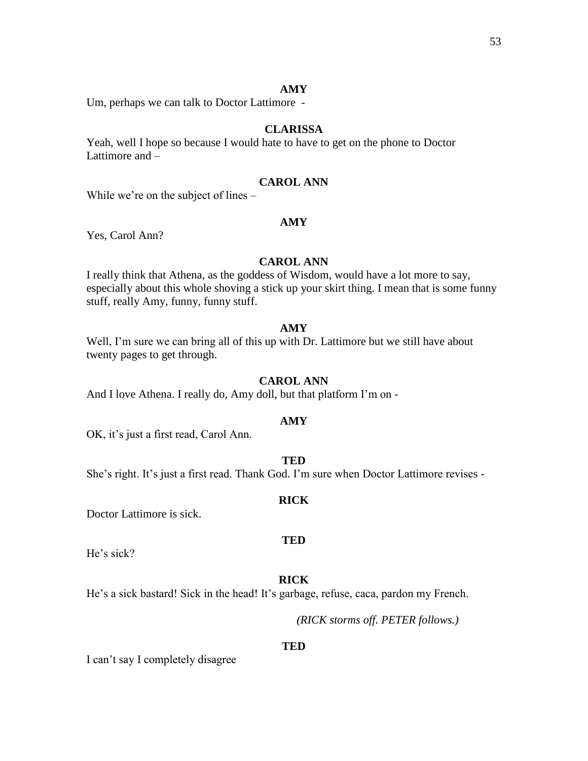Um, perhaps we can talk to Doctor Lattimore -

# **CLARISSA**

Yeah, well I hope so because I would hate to have to get on the phone to Doctor Lattimore and –

# **CAROL ANN**

While we're on the subject of lines –

# **AMY**

Yes, Carol Ann?

### **CAROL ANN**

I really think that Athena, as the goddess of Wisdom, would have a lot more to say, especially about this whole shoving a stick up your skirt thing. I mean that is some funny stuff, really Amy, funny, funny stuff.

# **AMY**

Well, I'm sure we can bring all of this up with Dr. Lattimore but we still have about twenty pages to get through.

#### **CAROL ANN**

And I love Athena. I really do, Amy doll, but that platform I'm on -

#### **AMY**

OK, it's just a first read, Carol Ann.

# **TED**

She's right. It's just a first read. Thank God. I'm sure when Doctor Lattimore revises -

#### **RICK**

**TED**

Doctor Lattimore is sick.

He's sick?

#### **RICK**

He's a sick bastard! Sick in the head! It's garbage, refuse, caca, pardon my French.

*(RICK storms off. PETER follows.)*

#### **TED**

I can't say I completely disagree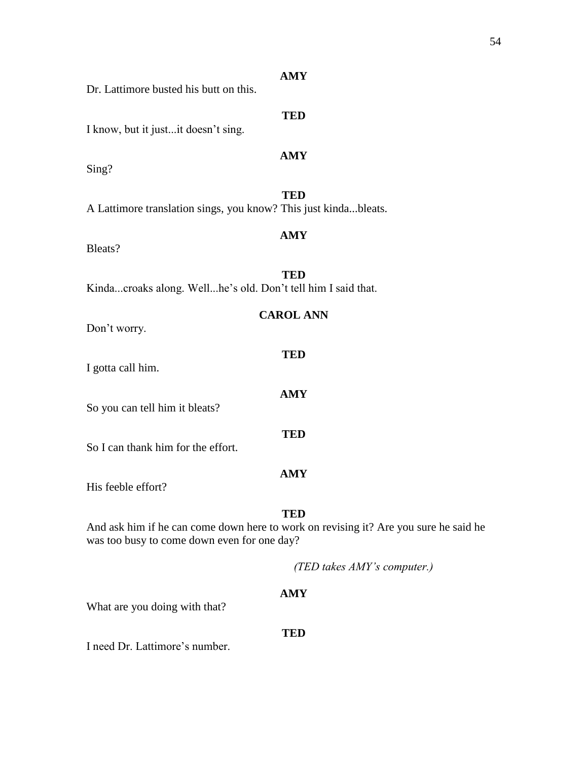| Dr. Lattimore busted his butt on this.                          | <b>AMY</b>                                                                                         |  |
|-----------------------------------------------------------------|----------------------------------------------------------------------------------------------------|--|
| I know, but it justit doesn't sing.                             | <b>TED</b>                                                                                         |  |
| Sing?                                                           | <b>AMY</b>                                                                                         |  |
| A Lattimore translation sings, you know? This just kindableats. | <b>TED</b>                                                                                         |  |
| Bleats?                                                         | <b>AMY</b>                                                                                         |  |
| Kindacroaks along. Wellhe's old. Don't tell him I said that.    | <b>TED</b>                                                                                         |  |
| <b>CAROL ANN</b><br>Don't worry.                                |                                                                                                    |  |
| I gotta call him.                                               | <b>TED</b>                                                                                         |  |
| So you can tell him it bleats?                                  | <b>AMY</b>                                                                                         |  |
| So I can thank him for the effort.                              | <b>TED</b>                                                                                         |  |
| His feeble effort?                                              | <b>AMY</b>                                                                                         |  |
| was too busy to come down even for one day?                     | <b>TED</b><br>And ask him if he can come down here to work on revising it? Are you sure he said he |  |
|                                                                 | (TED takes AMY's computer.)                                                                        |  |

What are you doing with that?

# **TED**

I need Dr. Lattimore's number.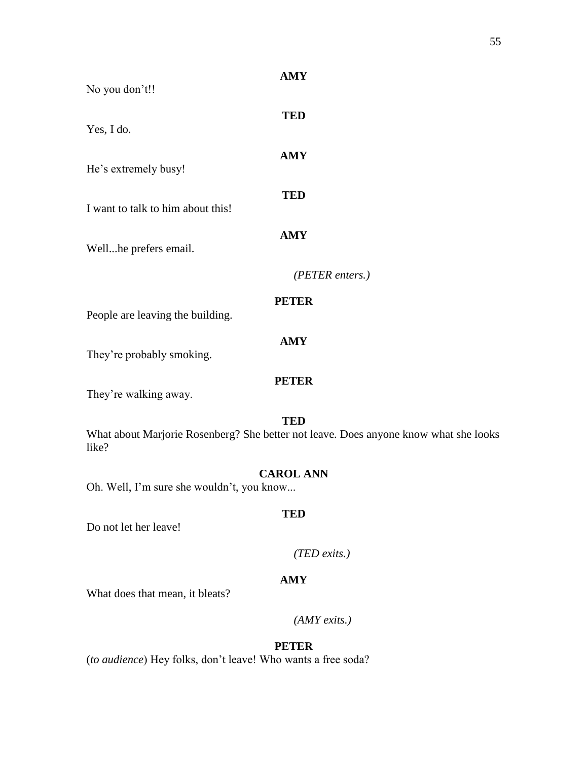| No you don't!!                            | <b>AMY</b>                                                                                         |
|-------------------------------------------|----------------------------------------------------------------------------------------------------|
| Yes, I do.                                | <b>TED</b>                                                                                         |
| He's extremely busy!                      | <b>AMY</b>                                                                                         |
| I want to talk to him about this!         | <b>TED</b>                                                                                         |
| Wellhe prefers email.                     | <b>AMY</b>                                                                                         |
|                                           | (PETER enters.)                                                                                    |
| People are leaving the building.          | <b>PETER</b>                                                                                       |
| They're probably smoking.                 | <b>AMY</b>                                                                                         |
| They're walking away.                     | <b>PETER</b>                                                                                       |
| like?                                     | <b>TED</b><br>What about Marjorie Rosenberg? She better not leave. Does anyone know what she looks |
| Oh. Well, I'm sure she wouldn't, you know | <b>CAROL ANN</b>                                                                                   |
| Do not let her leave!                     | <b>TED</b>                                                                                         |
|                                           | $(TED \; exits.)$                                                                                  |
| What does that mean, it bleats?           | <b>AMY</b>                                                                                         |
|                                           | $(AMY \, exists.)$                                                                                 |

(*to audience*) Hey folks, don't leave! Who wants a free soda?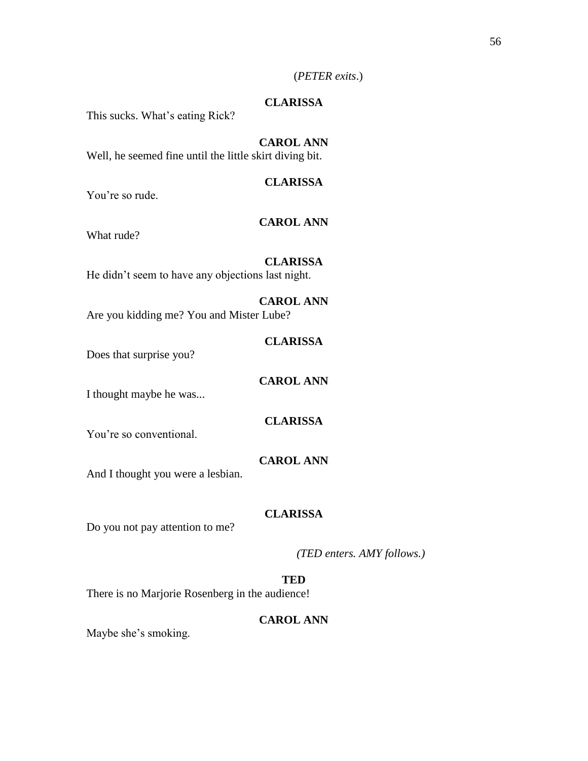# (*PETER exits*.)

# **CLARISSA**

This sucks. What's eating Rick?

# **CAROL ANN**

Well, he seemed fine until the little skirt diving bit.

# **CLARISSA**

You're so rude.

# **CAROL ANN**

What rude?

### **CLARISSA**

He didn't seem to have any objections last night.

# **CAROL ANN** Are you kidding me? You and Mister Lube?

# **CLARISSA**

Does that surprise you?

# **CAROL ANN**

I thought maybe he was...

# **CLARISSA**

You're so conventional.

# **CAROL ANN**

And I thought you were a lesbian.

# **CLARISSA**

Do you not pay attention to me?

*(TED enters. AMY follows.)*

### **TED**

There is no Marjorie Rosenberg in the audience!

# **CAROL ANN**

Maybe she's smoking.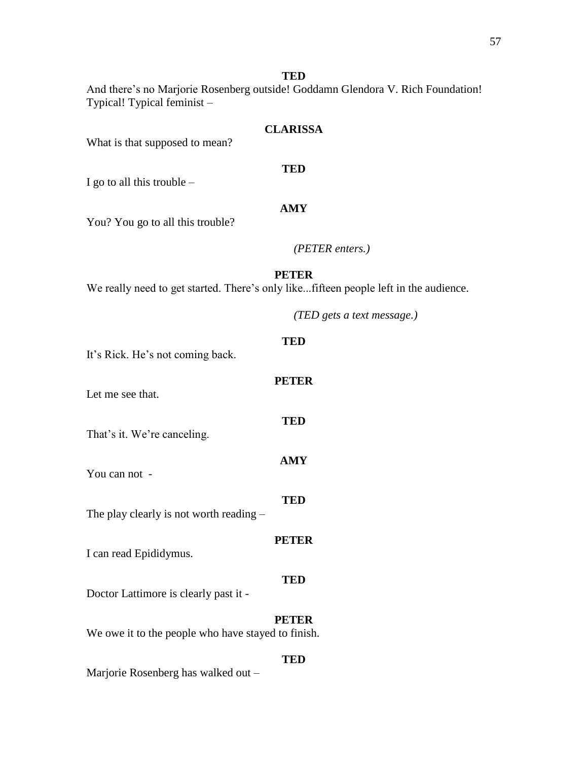# **TED**

And there's no Marjorie Rosenberg outside! Goddamn Glendora V. Rich Foundation! Typical! Typical feminist –

# **CLARISSA**

What is that supposed to mean?

# **TED**

I go to all this trouble  $-$ 

# **AMY**

You? You go to all this trouble?

# *(PETER enters.)*

# **PETER**

We really need to get started. There's only like...fifteen people left in the audience.

*(TED gets a text message.)*

# **TED** It's Rick. He's not coming back. **PETER** Let me see that. **TED** That's it. We're canceling. **AMY** You can not - **TED** The play clearly is not worth reading – **PETER** I can read Epididymus. **TED** Doctor Lattimore is clearly past it - **PETER** We owe it to the people who have stayed to finish.

# **TED**

Marjorie Rosenberg has walked out –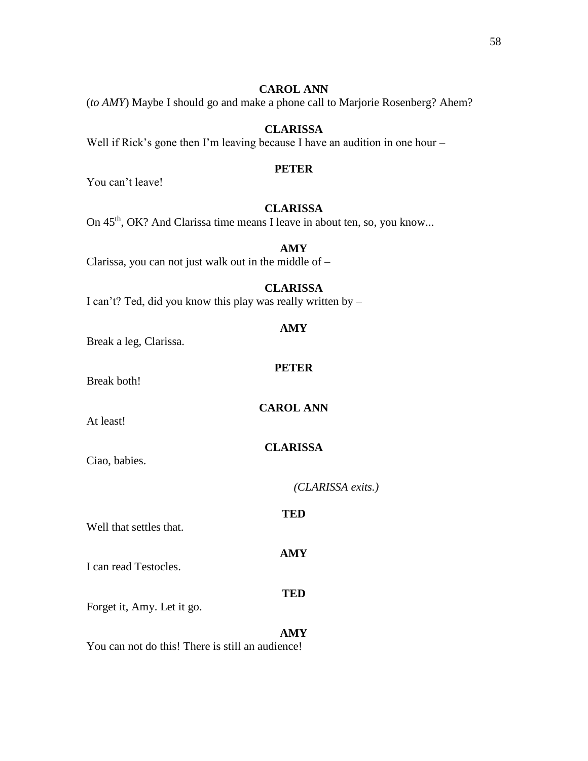# **CAROL ANN**

(*to AMY*) Maybe I should go and make a phone call to Marjorie Rosenberg? Ahem?

# **CLARISSA**

Well if Rick's gone then I'm leaving because I have an audition in one hour –

# **PETER**

You can't leave!

# **CLARISSA**

On 45<sup>th</sup>, OK? And Clarissa time means I leave in about ten, so, you know...

# **AMY**

Clarissa, you can not just walk out in the middle of –

# **CLARISSA**

**AMY**

**TED**

*(CLARISSA exits.)*

I can't? Ted, did you know this play was really written by –

| Break a leg, Clarissa.  | AMY              |
|-------------------------|------------------|
| Break both!             | <b>PETER</b>     |
| At least!               | <b>CAROL ANN</b> |
| Ciao, babies.           | <b>CLARISSA</b>  |
|                         | CLARI            |
| Well that settles that. | <b>TED</b>       |

I can read Testocles.

Forget it, Amy. Let it go.

# **AMY** You can not do this! There is still an audience!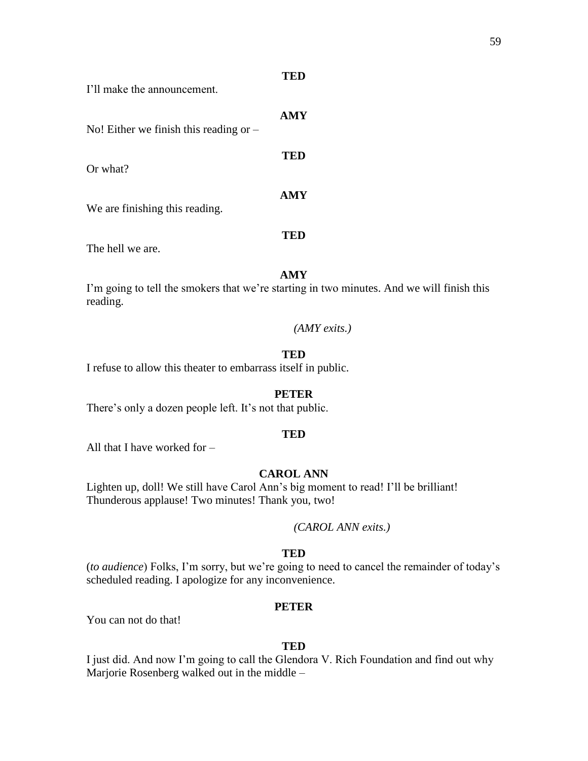| I'll make the announcement.              |            |
|------------------------------------------|------------|
| No! Either we finish this reading or $-$ | <b>AMY</b> |
| Or what?                                 | TED        |
| We are finishing this reading.           | <b>AMY</b> |
| The hell we are.                         | TED        |

**TED**

I'm going to tell the smokers that we're starting in two minutes. And we will finish this reading.

*(AMY exits.)*

# **TED**

I refuse to allow this theater to embarrass itself in public.

#### **PETER**

There's only a dozen people left. It's not that public.

#### **TED**

All that I have worked for –

# **CAROL ANN**

Lighten up, doll! We still have Carol Ann's big moment to read! I'll be brilliant! Thunderous applause! Two minutes! Thank you, two!

#### *(CAROL ANN exits.)*

#### **TED**

(*to audience*) Folks, I'm sorry, but we're going to need to cancel the remainder of today's scheduled reading. I apologize for any inconvenience.

#### **PETER**

You can not do that!

# **TED**

I just did. And now I'm going to call the Glendora V. Rich Foundation and find out why Marjorie Rosenberg walked out in the middle –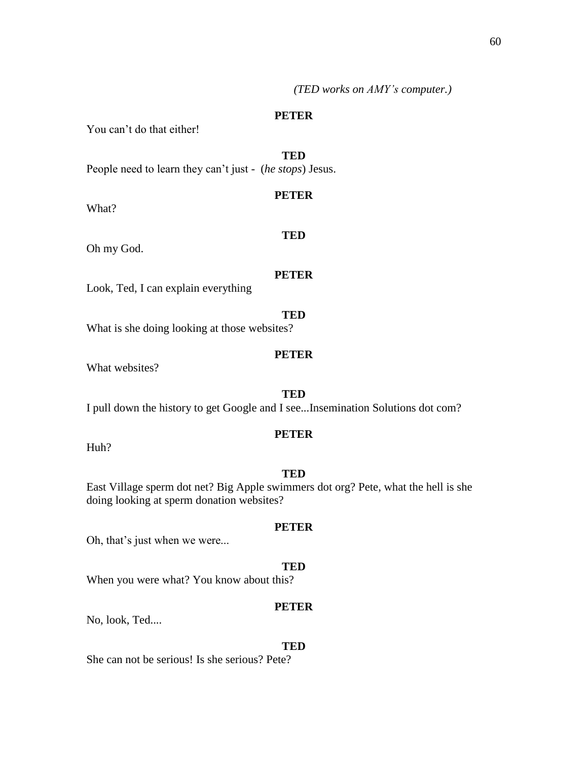*(TED works on AMY's computer.)*

#### **PETER**

**PETER**

You can't do that either!

**TED** People need to learn they can't just - (*he stops*) Jesus.

What?

Oh my God.

# **PETER**

**TED**

Look, Ted, I can explain everything

**TED** What is she doing looking at those websites?

### **PETER**

What websites?

#### **TED**

I pull down the history to get Google and I see...Insemination Solutions dot com?

### **PETER**

Huh?

### **TED**

East Village sperm dot net? Big Apple swimmers dot org? Pete, what the hell is she doing looking at sperm donation websites?

# Oh, that's just when we were...

#### **TED**

**PETER**

When you were what? You know about this?

#### **PETER**

No, look, Ted....

#### **TED**

She can not be serious! Is she serious? Pete?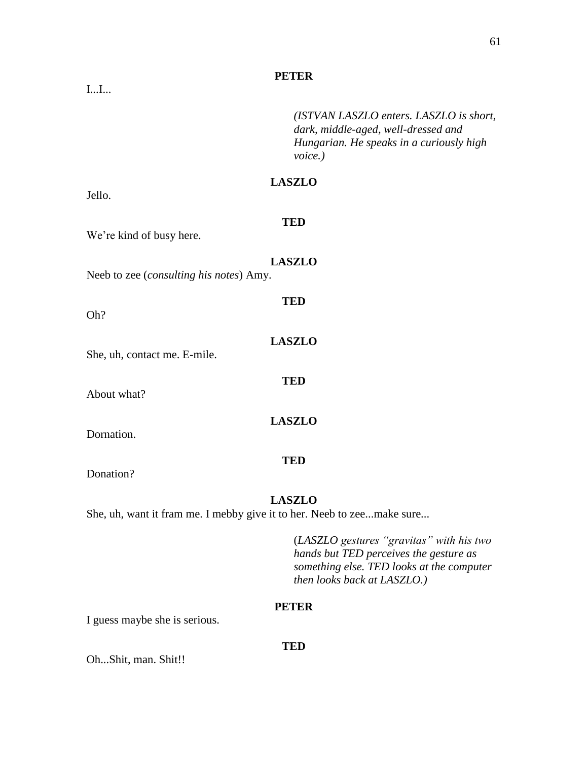*(ISTVAN LASZLO enters. LASZLO is short, dark, middle-aged, well-dressed and Hungarian. He speaks in a curiously high voice.)*

# **LASZLO**

Jello.

# **TED**

**LASZLO**

**TED**

**LASZLO**

**TED**

**LASZLO**

**TED**

We're kind of busy here.

Neeb to zee (*consulting his notes*) Amy.

Oh?

She, uh, contact me. E-mile.

About what?

Dornation.

Donation?

#### **LASZLO**

She, uh, want it fram me. I mebby give it to her. Neeb to zee...make sure...

(*LASZLO gestures "gravitas" with his two hands but TED perceives the gesture as something else. TED looks at the computer then looks back at LASZLO.)*

### **PETER**

I guess maybe she is serious.

#### **TED**

Oh...Shit, man. Shit!!

I...I...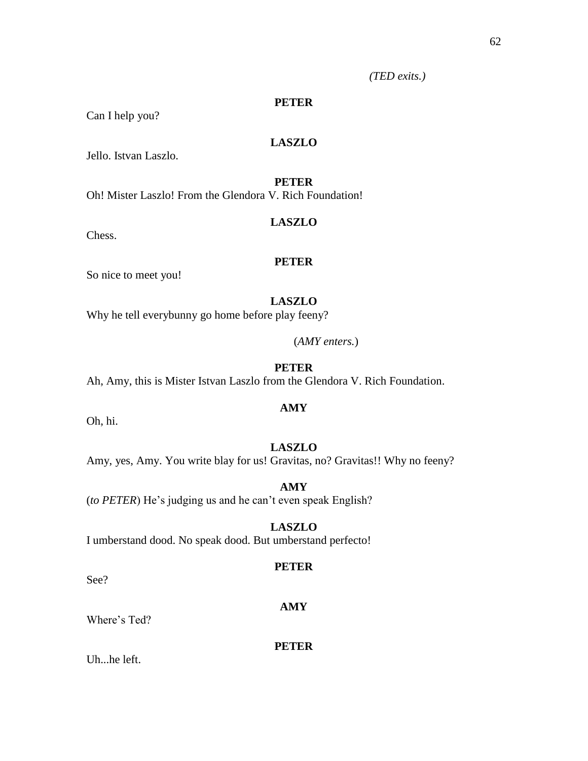*(TED exits.)*

# **PETER**

Can I help you?

# **LASZLO**

Jello. Istvan Laszlo.

# **PETER**

Oh! Mister Laszlo! From the Glendora V. Rich Foundation!

# **LASZLO**

Chess.

#### **PETER**

So nice to meet you!

# **LASZLO**

Why he tell everybunny go home before play feeny?

(*AMY enters.*)

# **PETER**

Ah, Amy, this is Mister Istvan Laszlo from the Glendora V. Rich Foundation.

# **AMY**

Oh, hi.

# **LASZLO**

Amy, yes, Amy. You write blay for us! Gravitas, no? Gravitas!! Why no feeny?

**AMY**

(*to PETER*) He's judging us and he can't even speak English?

# **LASZLO**

I umberstand dood. No speak dood. But umberstand perfecto!

# **PETER**

**AMY**

See?

#### Where's Ted?

**PETER**

Uh...he left.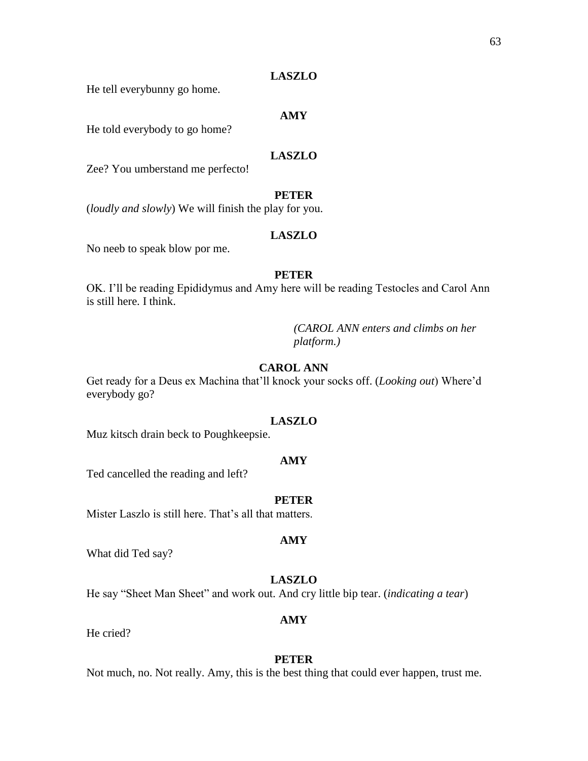### **LASZLO**

He tell everybunny go home.

# **AMY**

He told everybody to go home?

# **LASZLO**

Zee? You umberstand me perfecto!

# **PETER**

(*loudly and slowly*) We will finish the play for you.

#### **LASZLO**

No neeb to speak blow por me.

# **PETER**

OK. I'll be reading Epididymus and Amy here will be reading Testocles and Carol Ann is still here. I think.

> *(CAROL ANN enters and climbs on her platform.)*

# **CAROL ANN**

Get ready for a Deus ex Machina that'll knock your socks off. (*Looking out*) Where'd everybody go?

#### **LASZLO**

Muz kitsch drain beck to Poughkeepsie.

#### **AMY**

Ted cancelled the reading and left?

#### **PETER**

Mister Laszlo is still here. That's all that matters.

What did Ted say?

### **LASZLO**

He say "Sheet Man Sheet" and work out. And cry little bip tear. (*indicating a tear*)

### **AMY**

He cried?

#### **PETER**

Not much, no. Not really. Amy, this is the best thing that could ever happen, trust me.

#### **AMY**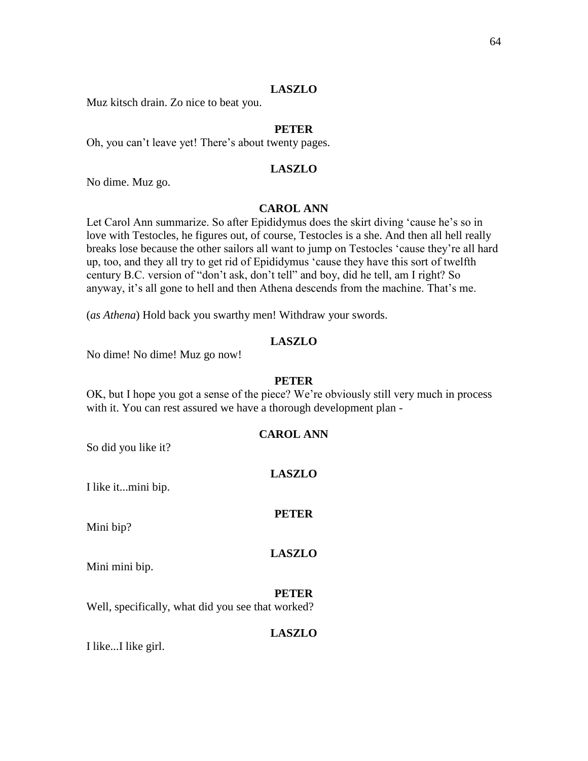# **LASZLO**

Muz kitsch drain. Zo nice to beat you.

# **PETER**

Oh, you can't leave yet! There's about twenty pages.

# **LASZLO**

No dime. Muz go.

# **CAROL ANN**

Let Carol Ann summarize. So after Epididymus does the skirt diving 'cause he's so in love with Testocles, he figures out, of course, Testocles is a she. And then all hell really breaks lose because the other sailors all want to jump on Testocles 'cause they're all hard up, too, and they all try to get rid of Epididymus 'cause they have this sort of twelfth century B.C. version of "don't ask, don't tell" and boy, did he tell, am I right? So anyway, it's all gone to hell and then Athena descends from the machine. That's me.

(*as Athena*) Hold back you swarthy men! Withdraw your swords.

### **LASZLO**

No dime! No dime! Muz go now!

#### **PETER**

OK, but I hope you got a sense of the piece? We're obviously still very much in process with it. You can rest assured we have a thorough development plan -

### **CAROL ANN**

So did you like it?

**LASZLO**

I like it...mini bip.

#### **PETER**

**LASZLO**

Mini bip?

Mini mini bip.

#### **PETER**

Well, specifically, what did you see that worked?

# **LASZLO**

I like...I like girl.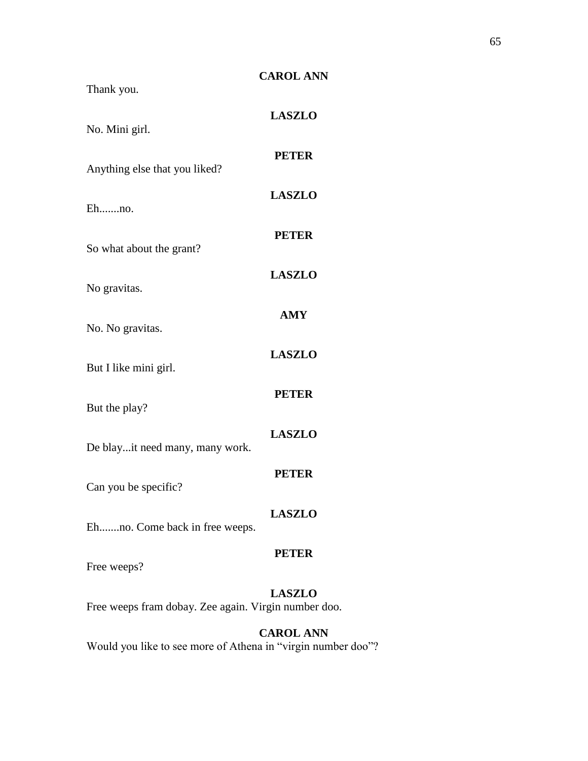| Thank you.                                                            | <b>CAROL ANN</b> |  |
|-----------------------------------------------------------------------|------------------|--|
| No. Mini girl.                                                        | <b>LASZLO</b>    |  |
| Anything else that you liked?                                         | <b>PETER</b>     |  |
| Ehno.                                                                 | <b>LASZLO</b>    |  |
| So what about the grant?                                              | <b>PETER</b>     |  |
| No gravitas.                                                          | <b>LASZLO</b>    |  |
|                                                                       | <b>AMY</b>       |  |
| No. No gravitas.                                                      | <b>LASZLO</b>    |  |
| But I like mini girl.                                                 | <b>PETER</b>     |  |
| But the play?                                                         | <b>LASZLO</b>    |  |
| De blayit need many, many work.                                       | <b>PETER</b>     |  |
| Can you be specific?                                                  | <b>LASZLO</b>    |  |
| Ehno. Come back in free weeps.                                        | <b>PETER</b>     |  |
| Free weeps?                                                           |                  |  |
| <b>LASZLO</b><br>Free weeps fram dobay. Zee again. Virgin number doo. |                  |  |

# **CAROL ANN**

Would you like to see more of Athena in "virgin number doo"?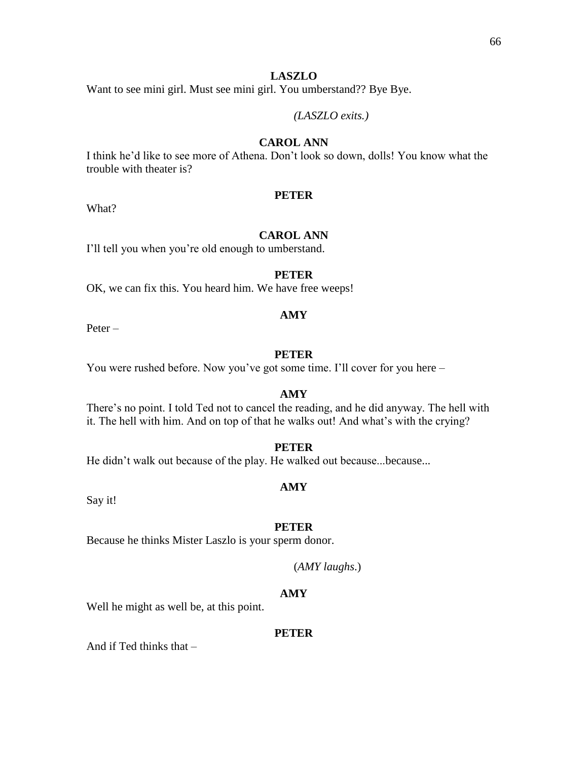# **LASZLO**

Want to see mini girl. Must see mini girl. You umberstand?? Bye Bye.

*(LASZLO exits.)*

# **CAROL ANN**

I think he'd like to see more of Athena. Don't look so down, dolls! You know what the trouble with theater is?

### **PETER**

What?

# **CAROL ANN**

I'll tell you when you're old enough to umberstand.

# **PETER**

OK, we can fix this. You heard him. We have free weeps!

#### **AMY**

Peter –

# **PETER**

You were rushed before. Now you've got some time. I'll cover for you here –

#### **AMY**

There's no point. I told Ted not to cancel the reading, and he did anyway. The hell with it. The hell with him. And on top of that he walks out! And what's with the crying?

# **PETER**

He didn't walk out because of the play. He walked out because...because...

#### **AMY**

Say it!

#### **PETER**

Because he thinks Mister Laszlo is your sperm donor.

# (*AMY laughs*.)

### **AMY**

Well he might as well be, at this point.

#### **PETER**

And if Ted thinks that –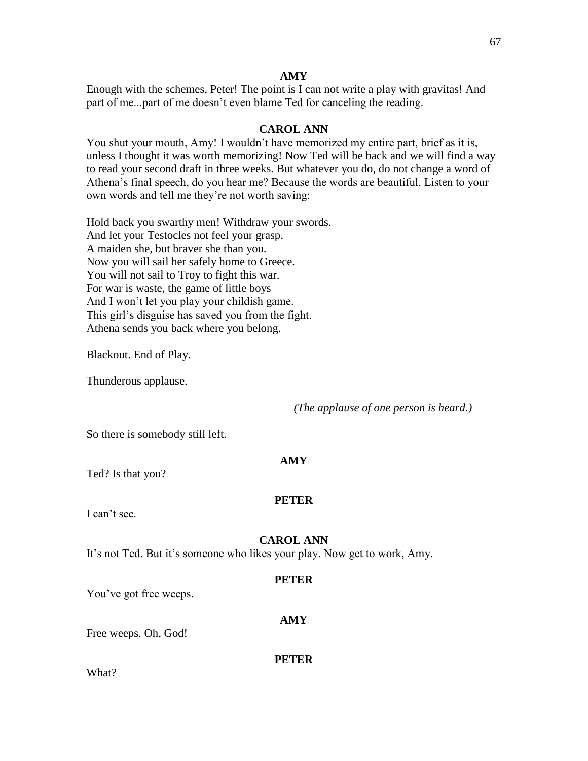Enough with the schemes, Peter! The point is I can not write a play with gravitas! And part of me...part of me doesn't even blame Ted for canceling the reading.

### **CAROL ANN**

You shut your mouth, Amy! I wouldn't have memorized my entire part, brief as it is, unless I thought it was worth memorizing! Now Ted will be back and we will find a way to read your second draft in three weeks. But whatever you do, do not change a word of Athena's final speech, do you hear me? Because the words are beautiful. Listen to your own words and tell me they're not worth saving:

Hold back you swarthy men! Withdraw your swords. And let your Testocles not feel your grasp. A maiden she, but braver she than you. Now you will sail her safely home to Greece. You will not sail to Troy to fight this war. For war is waste, the game of little boys And I won't let you play your childish game. This girl's disguise has saved you from the fight. Athena sends you back where you belong.

Blackout. End of Play.

Thunderous applause.

*(The applause of one person is heard.)*

So there is somebody still left.

#### **AMY**

Ted? Is that you?

# **PETER**

I can't see.

#### **CAROL ANN**

It's not Ted. But it's someone who likes your play. Now get to work, Amy.

#### **PETER**

**AMY**

You've got free weeps.

Free weeps. Oh, God!

#### **PETER**

What?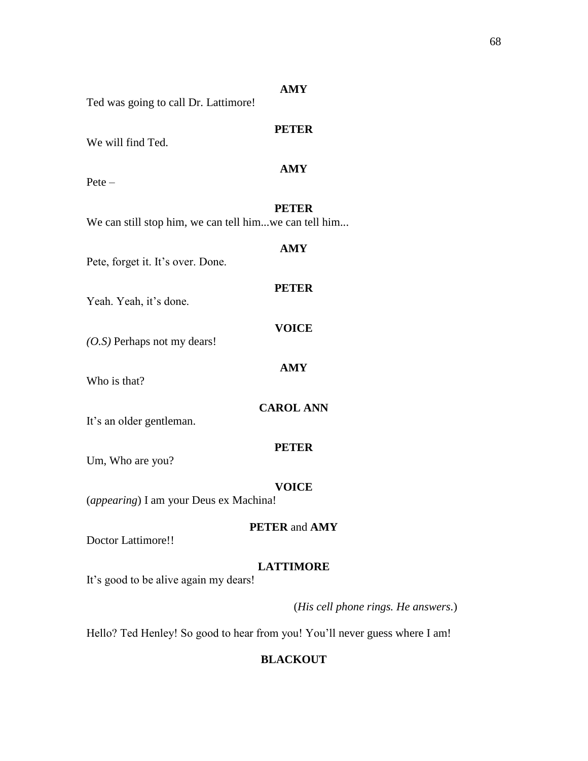|                                                       | <b>AMY</b>                  |
|-------------------------------------------------------|-----------------------------|
| Ted was going to call Dr. Lattimore!                  |                             |
| We will find Ted.                                     | <b>PETER</b>                |
| $Pete -$                                              | <b>AMY</b>                  |
| We can still stop him, we can tell himwe can tell him | <b>PETER</b>                |
| Pete, forget it. It's over. Done.                     | <b>AMY</b>                  |
| Yeah. Yeah, it's done.                                | <b>PETER</b>                |
| (O.S) Perhaps not my dears!                           | <b>VOICE</b>                |
| Who is that?                                          | <b>AMY</b>                  |
| It's an older gentleman.                              | <b>CAROL ANN</b>            |
| Um, Who are you?                                      | <b>PETER</b>                |
| (appearing) I am your Deus ex Machina!                | <b>VOICE</b>                |
| <b>Doctor Lattimore!!</b>                             | <b>PETER</b> and <b>AMY</b> |
| It's good to be alive again my dears!                 | <b>LATTIMORE</b>            |

(*His cell phone rings. He answers.*)

Hello? Ted Henley! So good to hear from you! You'll never guess where I am!

# **BLACKOUT**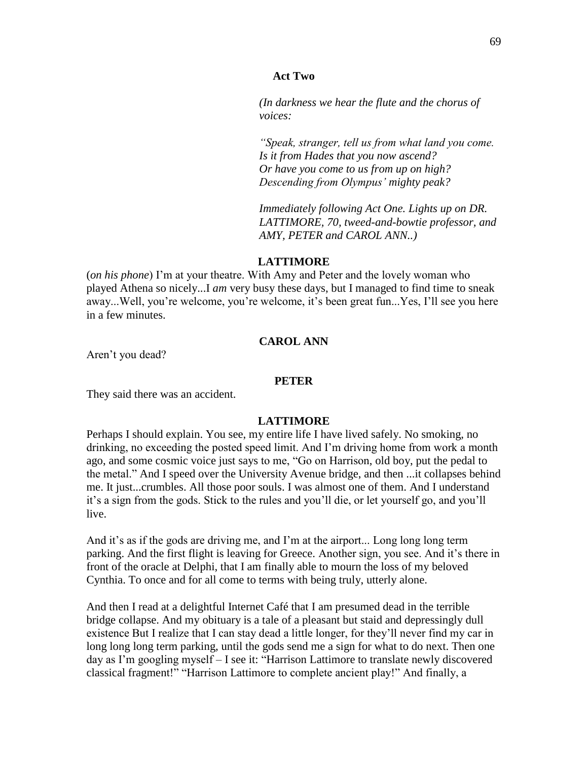#### **Act Two**

*(In darkness we hear the flute and the chorus of voices:* 

*"Speak, stranger, tell us from what land you come. Is it from Hades that you now ascend? Or have you come to us from up on high? Descending from Olympus' mighty peak?* 

*Immediately following Act One. Lights up on DR. LATTIMORE, 70, tweed-and-bowtie professor, and AMY, PETER and CAROL ANN..)*

### **LATTIMORE**

(*on his phone*) I'm at your theatre. With Amy and Peter and the lovely woman who played Athena so nicely...I *am* very busy these days, but I managed to find time to sneak away...Well, you're welcome, you're welcome, it's been great fun...Yes, I'll see you here in a few minutes.

# **CAROL ANN**

Aren't you dead?

### **PETER**

They said there was an accident.

# **LATTIMORE**

Perhaps I should explain. You see, my entire life I have lived safely. No smoking, no drinking, no exceeding the posted speed limit. And I'm driving home from work a month ago, and some cosmic voice just says to me, "Go on Harrison, old boy, put the pedal to the metal." And I speed over the University Avenue bridge, and then ...it collapses behind me. It just...crumbles. All those poor souls. I was almost one of them. And I understand it's a sign from the gods. Stick to the rules and you'll die, or let yourself go, and you'll live.

And it's as if the gods are driving me, and I'm at the airport... Long long long term parking. And the first flight is leaving for Greece. Another sign, you see. And it's there in front of the oracle at Delphi, that I am finally able to mourn the loss of my beloved Cynthia. To once and for all come to terms with being truly, utterly alone.

And then I read at a delightful Internet Café that I am presumed dead in the terrible bridge collapse. And my obituary is a tale of a pleasant but staid and depressingly dull existence But I realize that I can stay dead a little longer, for they'll never find my car in long long long term parking, until the gods send me a sign for what to do next. Then one day as I'm googling myself – I see it: "Harrison Lattimore to translate newly discovered classical fragment!" "Harrison Lattimore to complete ancient play!" And finally, a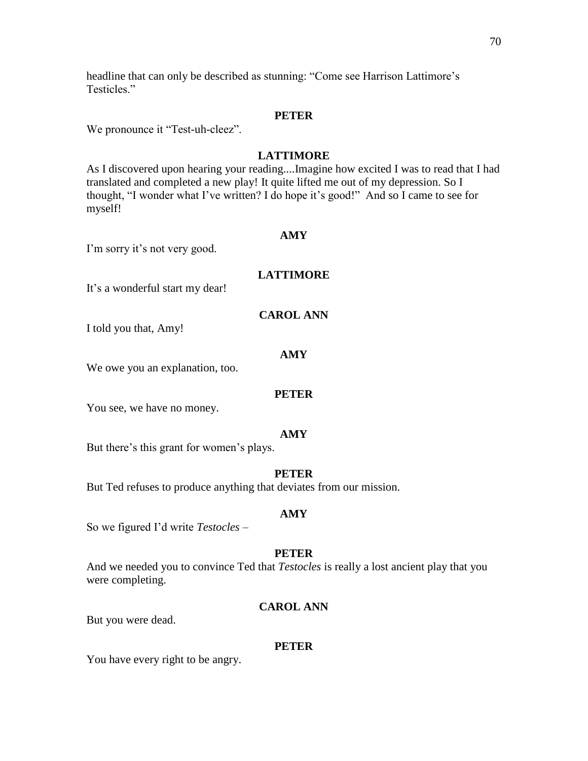headline that can only be described as stunning: "Come see Harrison Lattimore's Testicles."

### **PETER**

We pronounce it "Test-uh-cleez".

# **LATTIMORE**

As I discovered upon hearing your reading....Imagine how excited I was to read that I had translated and completed a new play! It quite lifted me out of my depression. So I thought, "I wonder what I've written? I do hope it's good!" And so I came to see for myself!

#### **AMY**

I'm sorry it's not very good.

# **LATTIMORE**

It's a wonderful start my dear!

#### **CAROL ANN**

I told you that, Amy!

# **AMY**

We owe you an explanation, too.

#### **PETER**

You see, we have no money.

#### **AMY**

But there's this grant for women's plays.

#### **PETER**

But Ted refuses to produce anything that deviates from our mission.

#### **AMY**

So we figured I'd write *Testocles* –

#### **PETER**

And we needed you to convince Ted that *Testocles* is really a lost ancient play that you were completing.

### **CAROL ANN**

But you were dead.

#### **PETER**

You have every right to be angry.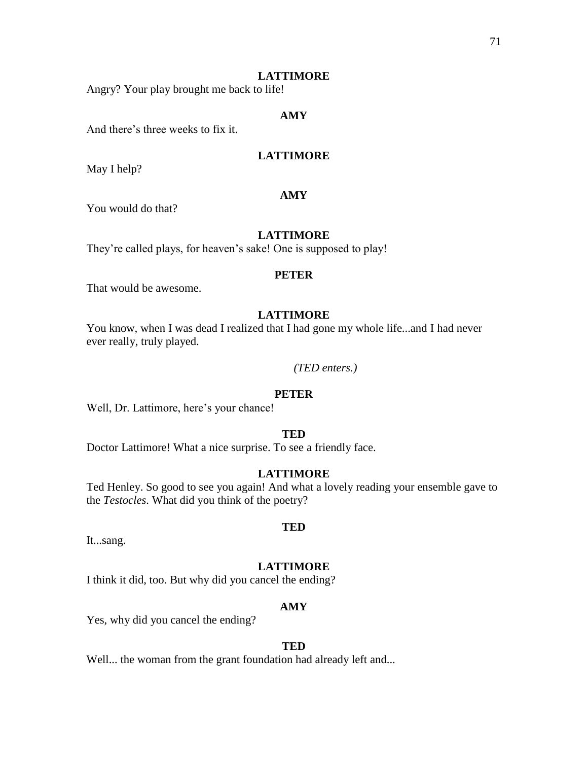### **LATTIMORE**

Angry? Your play brought me back to life!

# **AMY**

And there's three weeks to fix it.

# **LATTIMORE**

May I help?

# **AMY**

You would do that?

# **LATTIMORE**

They're called plays, for heaven's sake! One is supposed to play!

#### **PETER**

That would be awesome.

# **LATTIMORE**

You know, when I was dead I realized that I had gone my whole life...and I had never ever really, truly played.

*(TED enters.)*

#### **PETER**

Well, Dr. Lattimore, here's your chance!

# **TED**

Doctor Lattimore! What a nice surprise. To see a friendly face.

# **LATTIMORE**

Ted Henley. So good to see you again! And what a lovely reading your ensemble gave to the *Testocles*. What did you think of the poetry?

**TED**

It...sang.

### **LATTIMORE**

I think it did, too. But why did you cancel the ending?

#### **AMY**

Yes, why did you cancel the ending?

#### **TED**

Well... the woman from the grant foundation had already left and...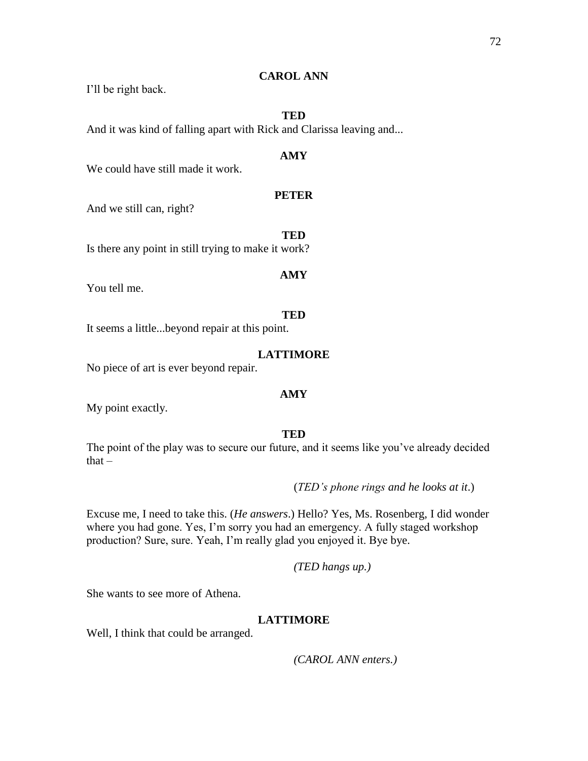# **CAROL ANN**

I'll be right back.

# **TED**

And it was kind of falling apart with Rick and Clarissa leaving and...

# **AMY**

We could have still made it work.

# **PETER**

And we still can, right?

**TED** Is there any point in still trying to make it work?

# **AMY**

You tell me.

# **TED**

It seems a little...beyond repair at this point.

# **LATTIMORE**

No piece of art is ever beyond repair.

# **AMY**

My point exactly.

# **TED**

The point of the play was to secure our future, and it seems like you've already decided  $that -$ 

(*TED's phone rings and he looks at it*.)

Excuse me, I need to take this. (*He answers*.) Hello? Yes, Ms. Rosenberg, I did wonder where you had gone. Yes, I'm sorry you had an emergency. A fully staged workshop production? Sure, sure. Yeah, I'm really glad you enjoyed it. Bye bye.

*(TED hangs up.)*

She wants to see more of Athena.

# **LATTIMORE**

Well, I think that could be arranged.

*(CAROL ANN enters.)*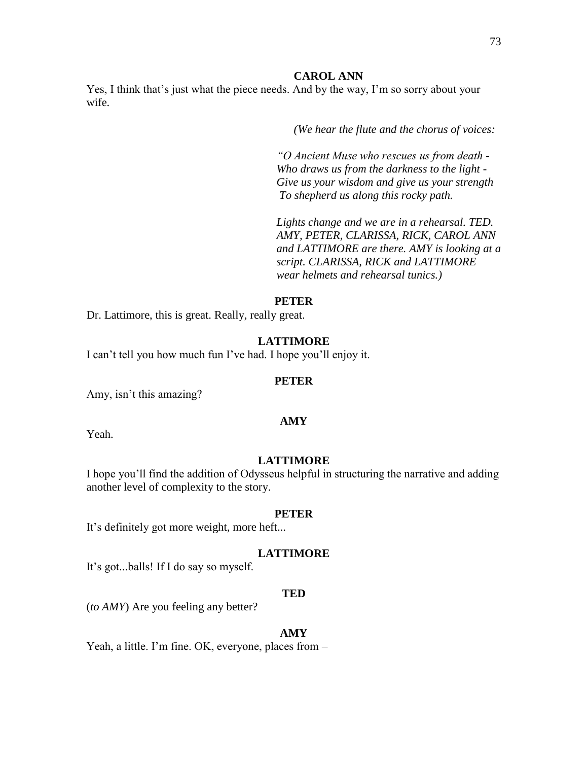### **CAROL ANN**

Yes, I think that's just what the piece needs. And by the way, I'm so sorry about your wife.

*(We hear the flute and the chorus of voices:*

*"O Ancient Muse who rescues us from death - Who draws us from the darkness to the light - Give us your wisdom and give us your strength To shepherd us along this rocky path.*

*Lights change and we are in a rehearsal. TED. AMY, PETER, CLARISSA, RICK, CAROL ANN and LATTIMORE are there. AMY is looking at a script. CLARISSA, RICK and LATTIMORE wear helmets and rehearsal tunics.)*

# **PETER**

Dr. Lattimore, this is great. Really, really great.

### **LATTIMORE**

I can't tell you how much fun I've had. I hope you'll enjoy it.

### **PETER**

Amy, isn't this amazing?

Yeah.

**AMY**

# **LATTIMORE**

I hope you'll find the addition of Odysseus helpful in structuring the narrative and adding another level of complexity to the story.

#### **PETER**

It's definitely got more weight, more heft...

#### **LATTIMORE**

It's got...balls! If I do say so myself.

### **TED**

(*to AMY*) Are you feeling any better?

#### **AMY**

Yeah, a little. I'm fine. OK, everyone, places from –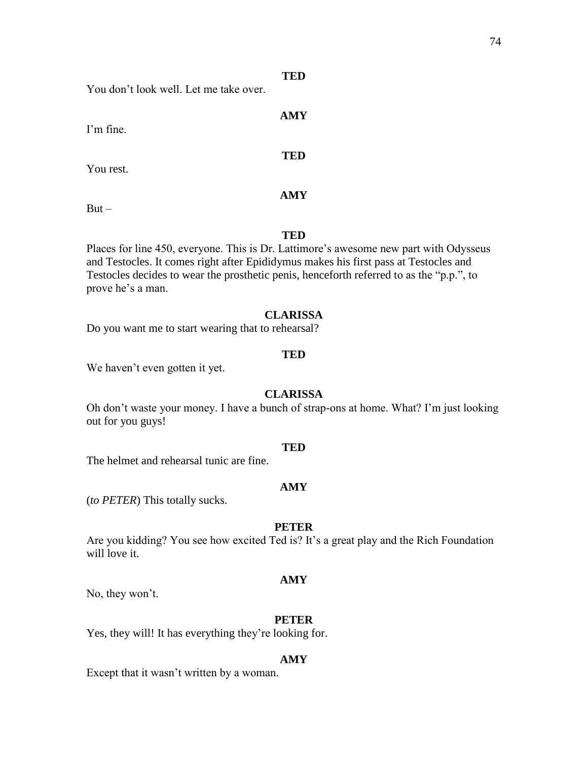You don't look well. Let me take over.

I'm fine.

You rest.

**AMY**

**TED**

**TED**

**AMY**

 $But -$ 

**TED**

Places for line 450, everyone. This is Dr. Lattimore's awesome new part with Odysseus and Testocles. It comes right after Epididymus makes his first pass at Testocles and Testocles decides to wear the prosthetic penis, henceforth referred to as the "p.p.", to prove he's a man.

# **CLARISSA**

Do you want me to start wearing that to rehearsal?

# **TED**

We haven't even gotten it yet.

# **CLARISSA**

Oh don't waste your money. I have a bunch of strap-ons at home. What? I'm just looking out for you guys!

### **TED**

The helmet and rehearsal tunic are fine.

# **AMY**

(*to PETER*) This totally sucks.

# **PETER**

Are you kidding? You see how excited Ted is? It's a great play and the Rich Foundation will love it.

# **AMY**

No, they won't.

# **PETER**

Yes, they will! It has everything they're looking for.

# **AMY**

Except that it wasn't written by a woman.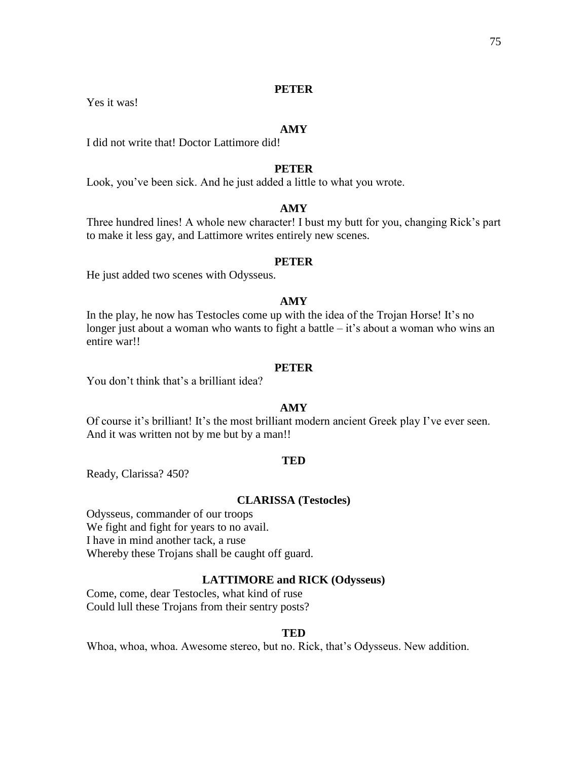# **PETER**

Yes it was!

### **AMY**

I did not write that! Doctor Lattimore did!

# **PETER**

Look, you've been sick. And he just added a little to what you wrote.

# **AMY**

Three hundred lines! A whole new character! I bust my butt for you, changing Rick's part to make it less gay, and Lattimore writes entirely new scenes.

#### **PETER**

He just added two scenes with Odysseus.

### **AMY**

In the play, he now has Testocles come up with the idea of the Trojan Horse! It's no longer just about a woman who wants to fight a battle  $-$  it's about a woman who wins an entire war!!

### **PETER**

You don't think that's a brilliant idea?

# **AMY**

Of course it's brilliant! It's the most brilliant modern ancient Greek play I've ever seen. And it was written not by me but by a man!!

### **TED**

Ready, Clarissa? 450?

### **CLARISSA (Testocles)**

Odysseus, commander of our troops We fight and fight for years to no avail. I have in mind another tack, a ruse Whereby these Trojans shall be caught off guard.

### **LATTIMORE and RICK (Odysseus)**

Come, come, dear Testocles, what kind of ruse Could lull these Trojans from their sentry posts?

#### **TED**

Whoa, whoa, whoa. Awesome stereo, but no. Rick, that's Odysseus. New addition.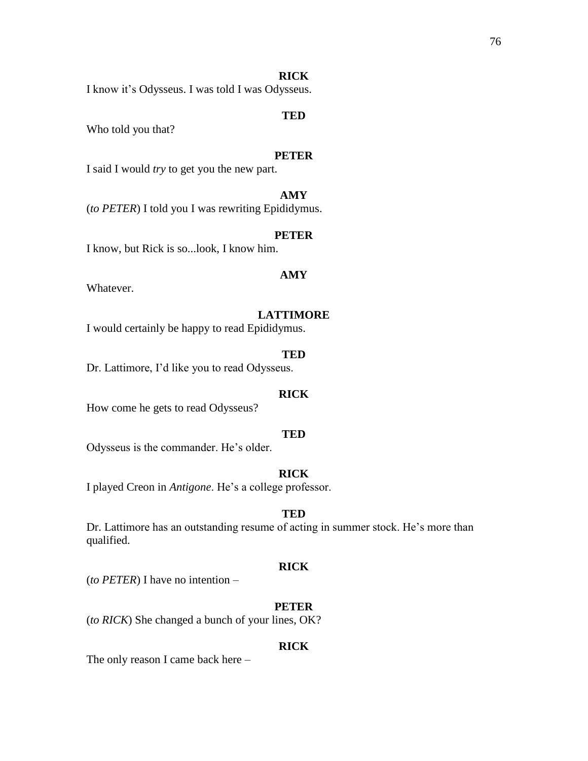### **RICK**

I know it's Odysseus. I was told I was Odysseus.

# **TED**

Who told you that?

### **PETER**

I said I would *try* to get you the new part.

# **AMY**

(*to PETER*) I told you I was rewriting Epididymus.

### **PETER**

I know, but Rick is so...look, I know him.

# **AMY**

Whatever.

### **LATTIMORE**

I would certainly be happy to read Epididymus.

# **TED**

Dr. Lattimore, I'd like you to read Odysseus.

# **RICK**

How come he gets to read Odysseus?

# **TED**

Odysseus is the commander. He's older.

# **RICK**

I played Creon in *Antigone*. He's a college professor.

# **TED**

Dr. Lattimore has an outstanding resume of acting in summer stock. He's more than qualified.

#### **RICK**

(*to PETER*) I have no intention –

# **PETER**

(*to RICK*) She changed a bunch of your lines, OK?

### **RICK**

The only reason I came back here –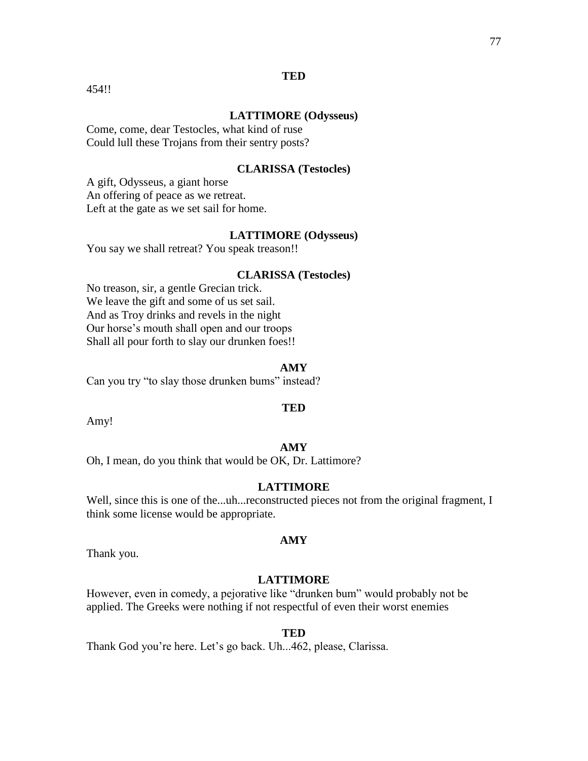# **TED**

454!!

# **LATTIMORE (Odysseus)**

Come, come, dear Testocles, what kind of ruse Could lull these Trojans from their sentry posts?

# **CLARISSA (Testocles)**

A gift, Odysseus, a giant horse An offering of peace as we retreat. Left at the gate as we set sail for home.

### **LATTIMORE (Odysseus)**

You say we shall retreat? You speak treason!!

# **CLARISSA (Testocles)**

No treason, sir, a gentle Grecian trick. We leave the gift and some of us set sail. And as Troy drinks and revels in the night Our horse's mouth shall open and our troops Shall all pour forth to slay our drunken foes!!

### **AMY**

Can you try "to slay those drunken bums" instead?

#### **TED**

Amy!

# **AMY**

Oh, I mean, do you think that would be OK, Dr. Lattimore?

### **LATTIMORE**

Well, since this is one of the...uh...reconstructed pieces not from the original fragment, I think some license would be appropriate.

Thank you.

#### **LATTIMORE**

**AMY**

However, even in comedy, a pejorative like "drunken bum" would probably not be applied. The Greeks were nothing if not respectful of even their worst enemies

#### **TED**

Thank God you're here. Let's go back. Uh...462, please, Clarissa.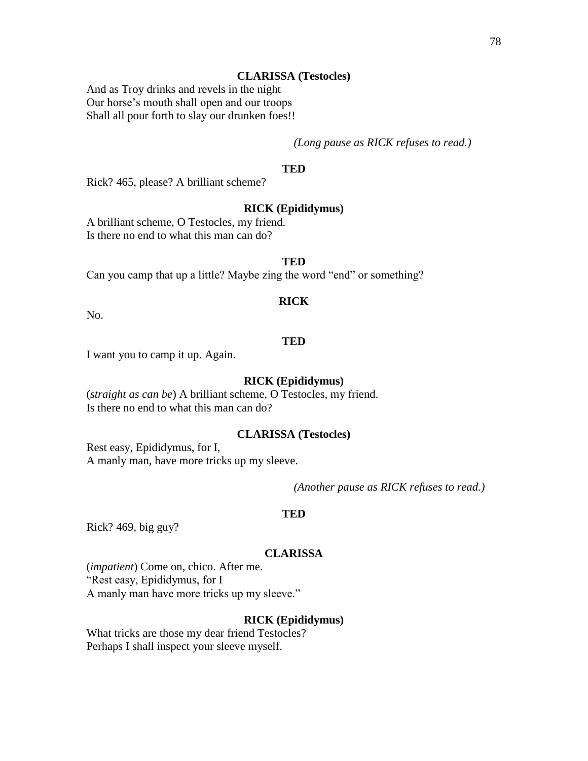# **CLARISSA (Testocles)**

And as Troy drinks and revels in the night Our horse's mouth shall open and our troops Shall all pour forth to slay our drunken foes!!

*(Long pause as RICK refuses to read.)*

# **TED**

Rick? 465, please? A brilliant scheme?

### **RICK (Epididymus)**

A brilliant scheme, O Testocles, my friend. Is there no end to what this man can do?

### **TED**

Can you camp that up a little? Maybe zing the word "end" or something?

# **RICK**

No.

### **TED**

I want you to camp it up. Again.

### **RICK (Epididymus)**

(*straight as can be*) A brilliant scheme, O Testocles, my friend. Is there no end to what this man can do?

### **CLARISSA (Testocles)**

Rest easy, Epididymus, for I, A manly man, have more tricks up my sleeve.

*(Another pause as RICK refuses to read.)*

# **TED**

Rick? 469, big guy?

#### **CLARISSA**

(*impatient*) Come on, chico. After me. "Rest easy, Epididymus, for I A manly man have more tricks up my sleeve."

## **RICK (Epididymus)**

What tricks are those my dear friend Testocles? Perhaps I shall inspect your sleeve myself.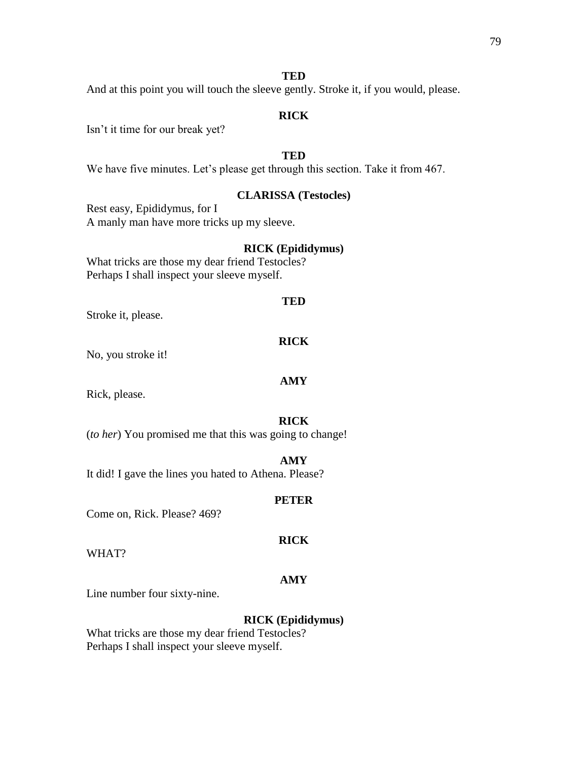### **TED**

And at this point you will touch the sleeve gently. Stroke it, if you would, please.

# **RICK**

Isn't it time for our break yet?

# **TED**

We have five minutes. Let's please get through this section. Take it from 467.

# **CLARISSA (Testocles)**

Rest easy, Epididymus, for I A manly man have more tricks up my sleeve.

# **RICK (Epididymus)**

What tricks are those my dear friend Testocles? Perhaps I shall inspect your sleeve myself.

### **TED**

Stroke it, please.

#### **RICK**

No, you stroke it!

### **AMY**

Rick, please.

# **RICK**

(*to her*) You promised me that this was going to change!

### **AMY**

It did! I gave the lines you hated to Athena. Please?

### **PETER**

Come on, Rick. Please? 469?

#### WHAT?

# **AMY**

**RICK**

Line number four sixty-nine.

# **RICK (Epididymus)**

What tricks are those my dear friend Testocles? Perhaps I shall inspect your sleeve myself.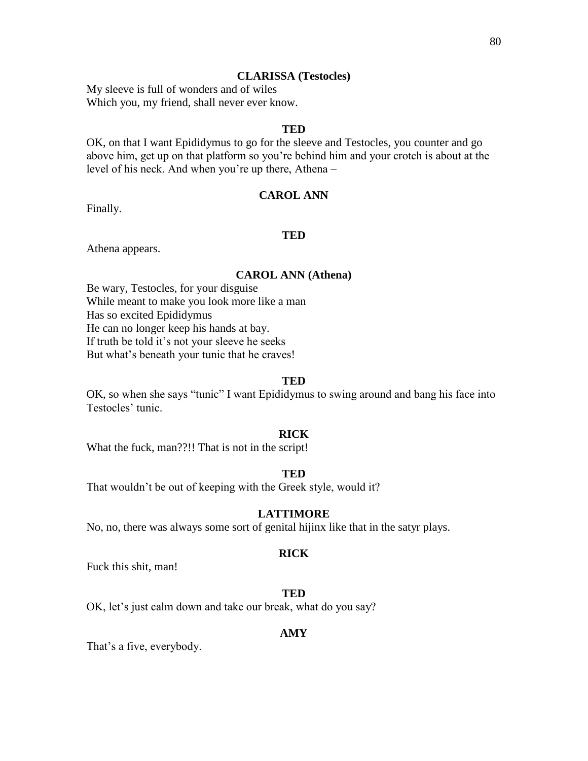### **CLARISSA (Testocles)**

My sleeve is full of wonders and of wiles Which you, my friend, shall never ever know.

# **TED**

OK, on that I want Epididymus to go for the sleeve and Testocles, you counter and go above him, get up on that platform so you're behind him and your crotch is about at the level of his neck. And when you're up there, Athena –

### **CAROL ANN**

Finally.

### **TED**

Athena appears.

### **CAROL ANN (Athena)**

Be wary, Testocles, for your disguise While meant to make you look more like a man Has so excited Epididymus He can no longer keep his hands at bay. If truth be told it's not your sleeve he seeks But what's beneath your tunic that he craves!

#### **TED**

OK, so when she says "tunic" I want Epididymus to swing around and bang his face into Testocles' tunic.

### **RICK**

What the fuck, man??!! That is not in the script!

#### **TED**

That wouldn't be out of keeping with the Greek style, would it?

# **LATTIMORE**

No, no, there was always some sort of genital hijinx like that in the satyr plays.

#### **RICK**

Fuck this shit, man!

### **TED**

OK, let's just calm down and take our break, what do you say?

# **AMY**

That's a five, everybody.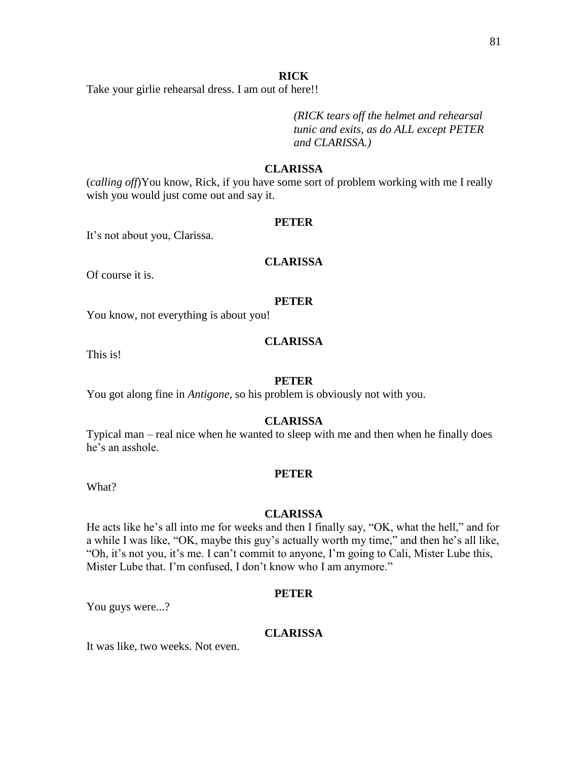### **RICK**

Take your girlie rehearsal dress. I am out of here!!

*(RICK tears off the helmet and rehearsal tunic and exits, as do ALL except PETER and CLARISSA.)* 

# **CLARISSA**

(*calling off*)You know, Rick, if you have some sort of problem working with me I really wish you would just come out and say it.

### **PETER**

It's not about you, Clarissa.

### **CLARISSA**

Of course it is.

# **PETER**

You know, not everything is about you!

### **CLARISSA**

This is!

### **PETER**

You got along fine in *Antigone*, so his problem is obviously not with you.

### **CLARISSA**

Typical man – real nice when he wanted to sleep with me and then when he finally does he's an asshole.

### **PETER**

What?

# **CLARISSA**

He acts like he's all into me for weeks and then I finally say, "OK, what the hell," and for a while I was like, "OK, maybe this guy's actually worth my time," and then he's all like, "Oh, it's not you, it's me. I can't commit to anyone, I'm going to Cali, Mister Lube this, Mister Lube that. I'm confused, I don't know who I am anymore."

### **PETER**

You guys were...?

# **CLARISSA**

It was like, two weeks. Not even.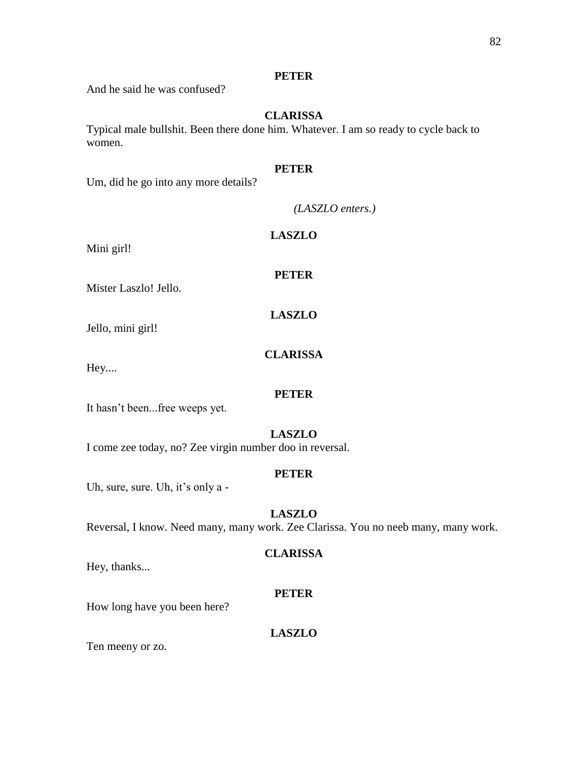# **PETER**

And he said he was confused?

# **CLARISSA**

Typical male bullshit. Been there done him. Whatever. I am so ready to cycle back to women.

# **PETER**

Um, did he go into any more details?

*(LASZLO enters.)*

Mini girl!

**PETER**

**LASZLO**

**CLARISSA**

**LASZLO**

Mister Laszlo! Jello.

Jello, mini girl!

Hey....

**PETER**

It hasn't been...free weeps yet.

# **LASZLO**

I come zee today, no? Zee virgin number doo in reversal.

# **PETER**

Uh, sure, sure. Uh, it's only a -

# **LASZLO**

Reversal, I know. Need many, many work. Zee Clarissa. You no neeb many, many work.

# **CLARISSA**

Hey, thanks...

# **PETER**

How long have you been here?

# **LASZLO**

Ten meeny or zo.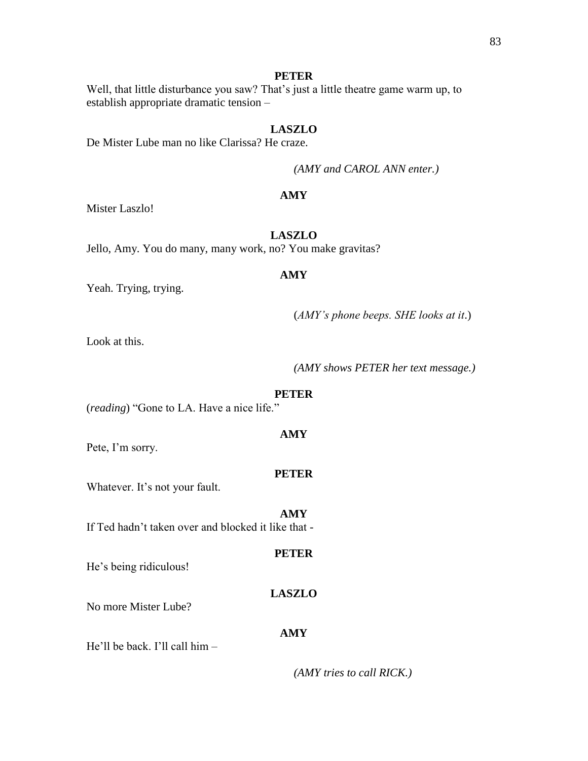# **PETER**

Well, that little disturbance you saw? That's just a little theatre game warm up, to establish appropriate dramatic tension –

# **LASZLO**

De Mister Lube man no like Clarissa? He craze.

*(AMY and CAROL ANN enter.)*

# **AMY**

Mister Laszlo!

# **LASZLO**

Jello, Amy. You do many, many work, no? You make gravitas?

## **AMY**

Yeah. Trying, trying.

(*AMY's phone beeps. SHE looks at it*.)

Look at this.

*(AMY shows PETER her text message.)*

#### **PETER**

**AMY**

(*reading*) "Gone to LA. Have a nice life."

Pete, I'm sorry.

#### **PETER**

**AMY**

Whatever. It's not your fault.

If Ted hadn't taken over and blocked it like that -

### **PETER**

He's being ridiculous!

# **LASZLO**

No more Mister Lube?

### **AMY**

He'll be back. I'll call him –

*(AMY tries to call RICK.)*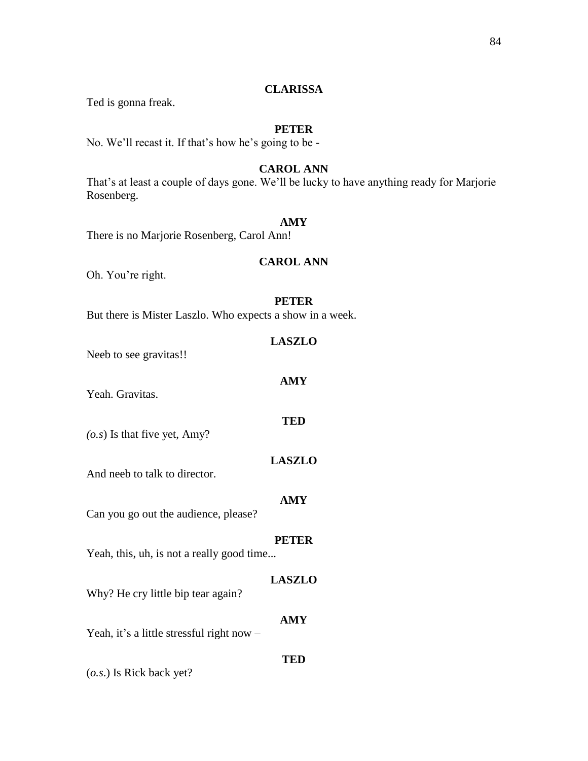# **CLARISSA**

Ted is gonna freak.

# **PETER**

No. We'll recast it. If that's how he's going to be -

# **CAROL ANN**

That's at least a couple of days gone. We'll be lucky to have anything ready for Marjorie Rosenberg.

# **AMY**

There is no Marjorie Rosenberg, Carol Ann!

### **CAROL ANN**

Oh. You're right.

### **PETER**

**AMY**

**TED**

But there is Mister Laszlo. Who expects a show in a week.

| <b>LASZLO</b> |
|---------------|
|               |

Neeb to see gravitas!!

Yeah. Gravitas.

*(o.s*) Is that five yet, Amy?

And neeb to talk to director.

### **AMY**

**LASZLO**

Can you go out the audience, please?

### **PETER**

Yeah, this, uh, is not a really good time...

### **LASZLO**

Why? He cry little bip tear again?

Yeah, it's a little stressful right now -

**TED**

**AMY**

(*o.s*.) Is Rick back yet?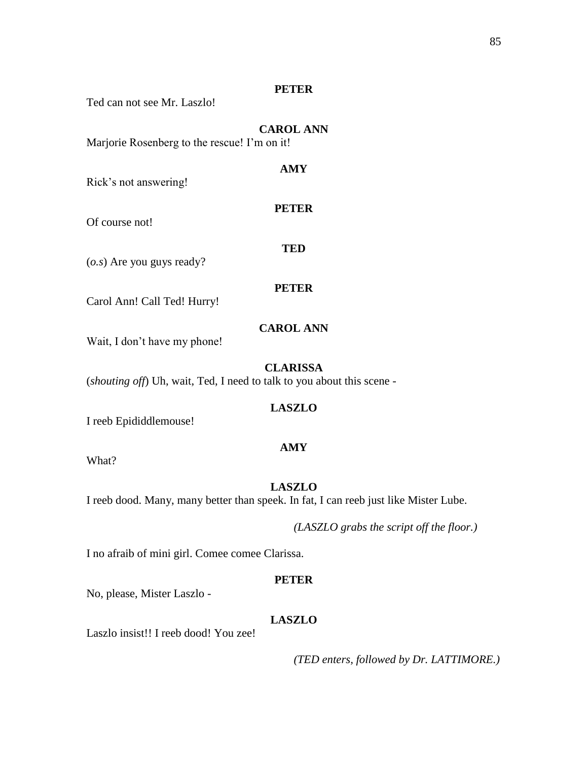# **PETER**

Ted can not see Mr. Laszlo!

# **CAROL ANN**

**AMY**

**PETER**

**TED**

Marjorie Rosenberg to the rescue! I'm on it!

Rick's not answering!

Of course not!

(*o.s*) Are you guys ready?

# **PETER**

Carol Ann! Call Ted! Hurry!

# **CAROL ANN**

Wait, I don't have my phone!

### **CLARISSA**

(*shouting off*) Uh, wait, Ted, I need to talk to you about this scene -

# **LASZLO**

I reeb Epididdlemouse!

### **AMY**

What?

# **LASZLO**

I reeb dood. Many, many better than speek. In fat, I can reeb just like Mister Lube.

*(LASZLO grabs the script off the floor.)*

I no afraib of mini girl. Comee comee Clarissa.

### **PETER**

No, please, Mister Laszlo -

# **LASZLO**

Laszlo insist!! I reeb dood! You zee!

*(TED enters, followed by Dr. LATTIMORE.)*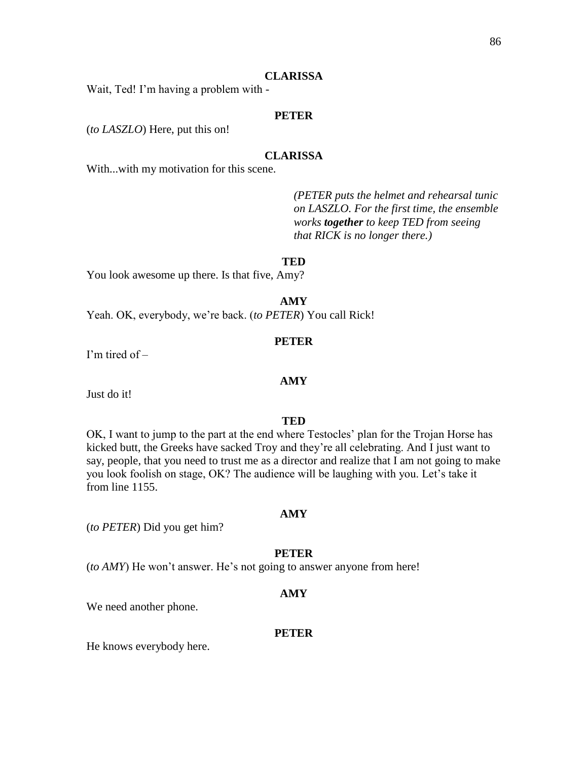#### **CLARISSA**

Wait, Ted! I'm having a problem with -

# **PETER**

(*to LASZLO*) Here, put this on!

# **CLARISSA**

With...with my motivation for this scene.

*(PETER puts the helmet and rehearsal tunic on LASZLO. For the first time, the ensemble works together to keep TED from seeing that RICK is no longer there.)*

#### **TED**

You look awesome up there. Is that five, Amy?

**AMY**

Yeah. OK, everybody, we're back. (*to PETER*) You call Rick!

#### **PETER**

I'm tired of –

Just do it!

#### **TED**

**AMY**

OK, I want to jump to the part at the end where Testocles' plan for the Trojan Horse has kicked butt, the Greeks have sacked Troy and they're all celebrating. And I just want to say, people, that you need to trust me as a director and realize that I am not going to make you look foolish on stage, OK? The audience will be laughing with you. Let's take it from line 1155.

#### **AMY**

(*to PETER*) Did you get him?

#### **PETER**

(*to AMY*) He won't answer. He's not going to answer anyone from here!

#### **AMY**

We need another phone.

### **PETER**

He knows everybody here.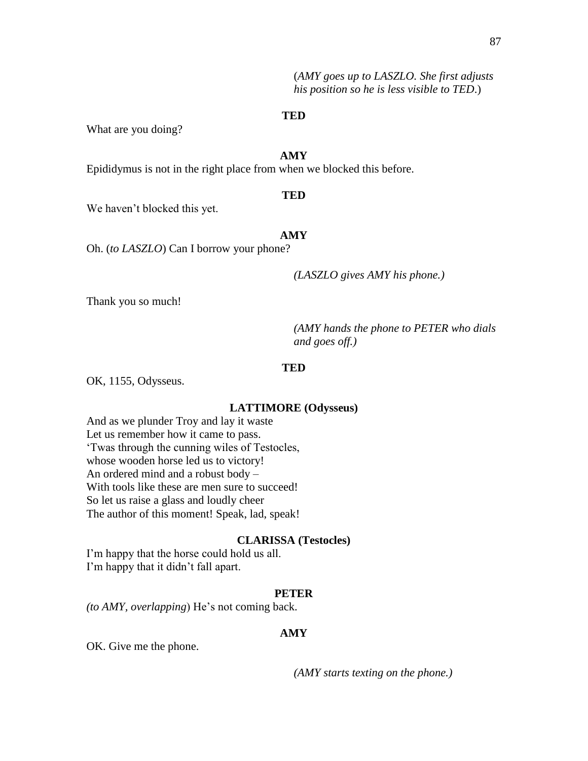(*AMY goes up to LASZLO. She first adjusts his position so he is less visible to TED*.)

### **TED**

What are you doing?

# **AMY**

Epididymus is not in the right place from when we blocked this before.

### **TED**

We haven't blocked this yet.

### **AMY**

Oh. (*to LASZLO*) Can I borrow your phone?

*(LASZLO gives AMY his phone.)*

Thank you so much!

*(AMY hands the phone to PETER who dials and goes off.)*

#### **TED**

OK, 1155, Odysseus.

### **LATTIMORE (Odysseus)**

And as we plunder Troy and lay it waste Let us remember how it came to pass. 'Twas through the cunning wiles of Testocles, whose wooden horse led us to victory! An ordered mind and a robust body – With tools like these are men sure to succeed! So let us raise a glass and loudly cheer The author of this moment! Speak, lad, speak!

### **CLARISSA (Testocles)**

I'm happy that the horse could hold us all. I'm happy that it didn't fall apart.

### **PETER**

*(to AMY, overlapping*) He's not coming back.

# **AMY**

OK. Give me the phone.

*(AMY starts texting on the phone.)*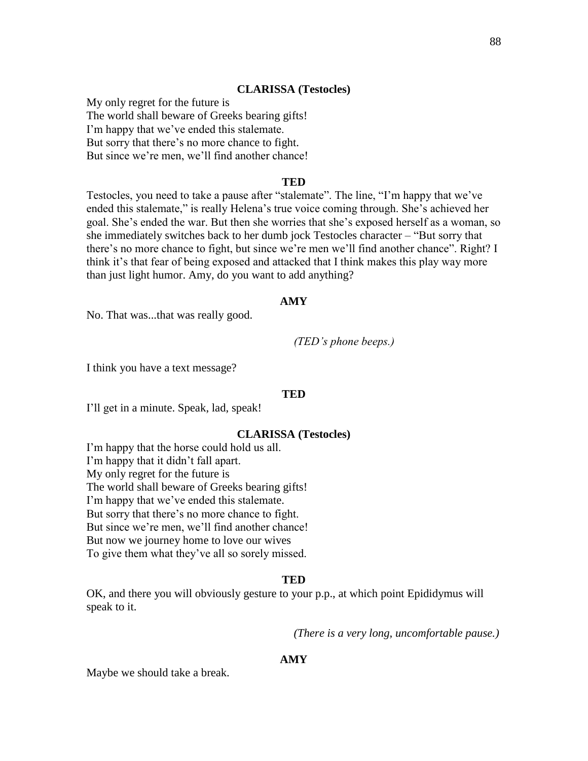#### **CLARISSA (Testocles)**

My only regret for the future is The world shall beware of Greeks bearing gifts! I'm happy that we've ended this stalemate. But sorry that there's no more chance to fight. But since we're men, we'll find another chance!

### **TED**

Testocles, you need to take a pause after "stalemate". The line, "I'm happy that we've ended this stalemate," is really Helena's true voice coming through. She's achieved her goal. She's ended the war. But then she worries that she's exposed herself as a woman, so she immediately switches back to her dumb jock Testocles character – "But sorry that there's no more chance to fight, but since we're men we'll find another chance". Right? I think it's that fear of being exposed and attacked that I think makes this play way more than just light humor. Amy, do you want to add anything?

### **AMY**

No. That was...that was really good.

*(TED's phone beeps.)*

I think you have a text message?

#### **TED**

I'll get in a minute. Speak, lad, speak!

### **CLARISSA (Testocles)**

I'm happy that the horse could hold us all. I'm happy that it didn't fall apart. My only regret for the future is The world shall beware of Greeks bearing gifts! I'm happy that we've ended this stalemate. But sorry that there's no more chance to fight. But since we're men, we'll find another chance! But now we journey home to love our wives To give them what they've all so sorely missed.

#### **TED**

OK, and there you will obviously gesture to your p.p., at which point Epididymus will speak to it.

*(There is a very long, uncomfortable pause.)*

# **AMY**

Maybe we should take a break.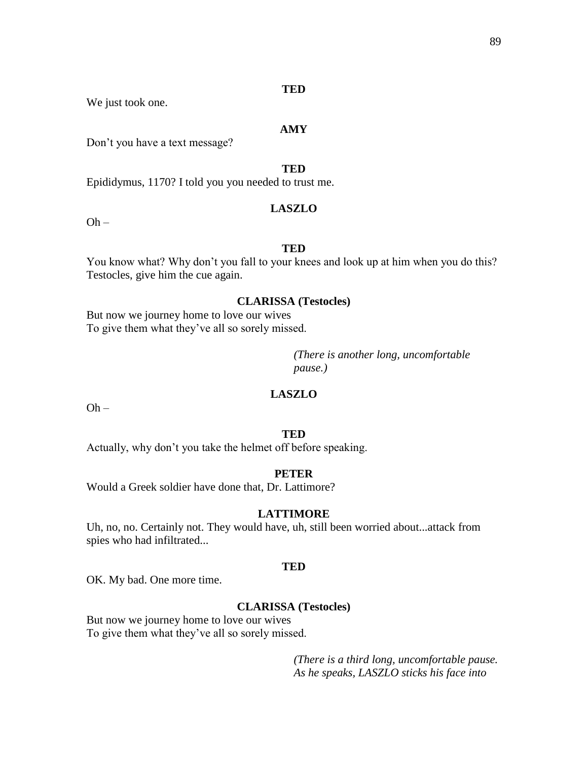### **TED**

We just took one.

# **AMY**

Don't you have a text message?

**TED**

Epididymus, 1170? I told you you needed to trust me.

# **LASZLO**

 $Oh -$ 

# **TED**

You know what? Why don't you fall to your knees and look up at him when you do this? Testocles, give him the cue again.

# **CLARISSA (Testocles)**

But now we journey home to love our wives To give them what they've all so sorely missed.

> *(There is another long, uncomfortable pause.)*

# **LASZLO**

 $Oh -$ 

### **TED**

Actually, why don't you take the helmet off before speaking.

#### **PETER**

Would a Greek soldier have done that, Dr. Lattimore?

# **LATTIMORE**

Uh, no, no. Certainly not. They would have, uh, still been worried about...attack from spies who had infiltrated...

#### **TED**

OK. My bad. One more time.

### **CLARISSA (Testocles)**

But now we journey home to love our wives To give them what they've all so sorely missed.

> *(There is a third long, uncomfortable pause. As he speaks, LASZLO sticks his face into*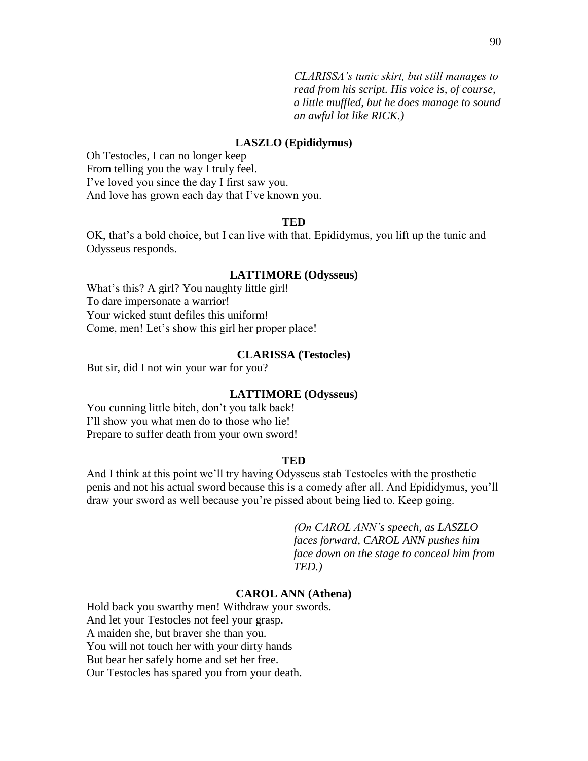*CLARISSA's tunic skirt, but still manages to read from his script. His voice is, of course, a little muffled, but he does manage to sound an awful lot like RICK.)*

### **LASZLO (Epididymus)**

Oh Testocles, I can no longer keep From telling you the way I truly feel. I've loved you since the day I first saw you. And love has grown each day that I've known you.

### **TED**

OK, that's a bold choice, but I can live with that. Epididymus, you lift up the tunic and Odysseus responds.

#### **LATTIMORE (Odysseus)**

What's this? A girl? You naughty little girl! To dare impersonate a warrior! Your wicked stunt defiles this uniform! Come, men! Let's show this girl her proper place!

### **CLARISSA (Testocles)**

But sir, did I not win your war for you?

#### **LATTIMORE (Odysseus)**

You cunning little bitch, don't you talk back! I'll show you what men do to those who lie! Prepare to suffer death from your own sword!

#### **TED**

And I think at this point we'll try having Odysseus stab Testocles with the prosthetic penis and not his actual sword because this is a comedy after all. And Epididymus, you'll draw your sword as well because you're pissed about being lied to. Keep going.

> *(On CAROL ANN's speech, as LASZLO faces forward, CAROL ANN pushes him face down on the stage to conceal him from TED.)*

### **CAROL ANN (Athena)**

Hold back you swarthy men! Withdraw your swords. And let your Testocles not feel your grasp. A maiden she, but braver she than you. You will not touch her with your dirty hands But bear her safely home and set her free. Our Testocles has spared you from your death.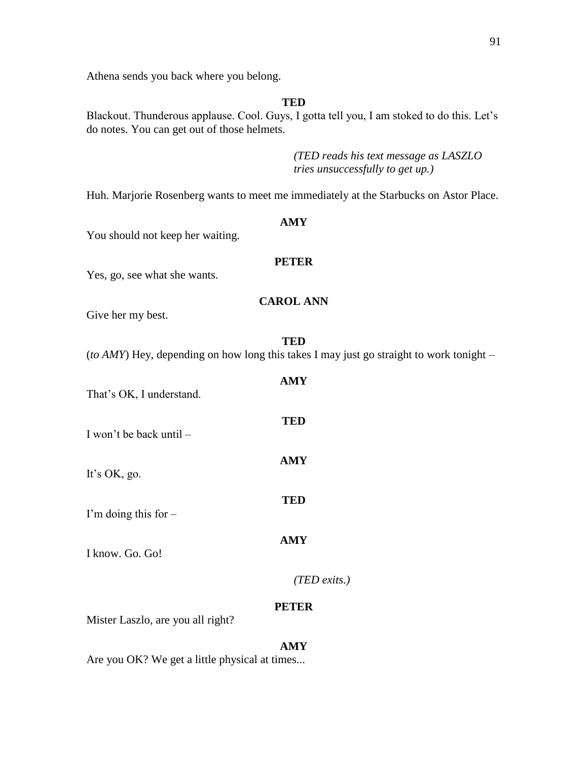Athena sends you back where you belong.

**TED**

Blackout. Thunderous applause. Cool. Guys, I gotta tell you, I am stoked to do this. Let's do notes. You can get out of those helmets.

> *(TED reads his text message as LASZLO tries unsuccessfully to get up.)*

Huh. Marjorie Rosenberg wants to meet me immediately at the Starbucks on Astor Place.

**AMY**

You should not keep her waiting.

# **PETER**

Yes, go, see what she wants.

# **CAROL ANN**

Give her my best.

(*to AMY*) Hey, depending on how long this takes I may just go straight to work tonight –

**AMY**

**TED**

**AMY**

**TED**

**AMY**

That's OK, I understand.

I won't be back until –

It's OK, go.

I'm doing this for –

I know. Go. Go!

*(TED exits.)*

# **PETER**

Mister Laszlo, are you all right?

# **AMY**

Are you OK? We get a little physical at times...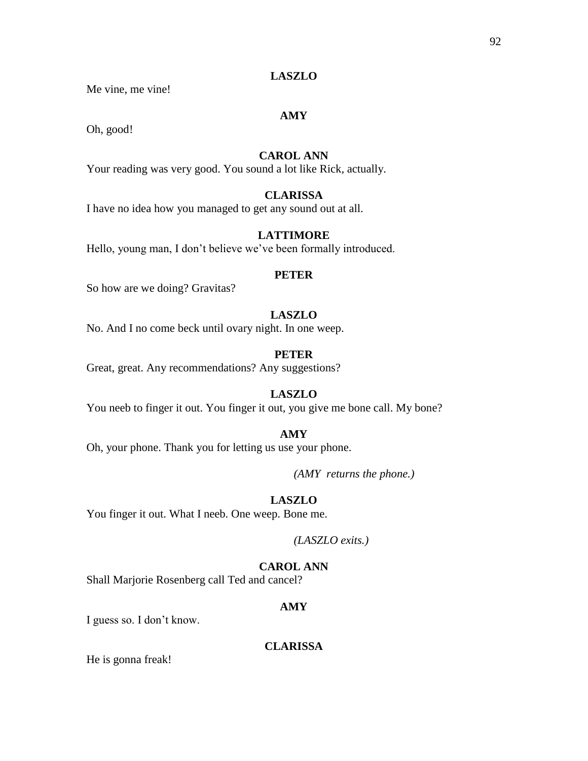# **LASZLO**

Me vine, me vine!

# **AMY**

Oh, good!

# **CAROL ANN**

Your reading was very good. You sound a lot like Rick, actually.

# **CLARISSA**

I have no idea how you managed to get any sound out at all.

# **LATTIMORE**

Hello, young man, I don't believe we've been formally introduced.

# **PETER**

So how are we doing? Gravitas?

# **LASZLO**

No. And I no come beck until ovary night. In one weep.

# **PETER**

Great, great. Any recommendations? Any suggestions?

# **LASZLO**

You neeb to finger it out. You finger it out, you give me bone call. My bone?

### **AMY**

Oh, your phone. Thank you for letting us use your phone.

*(AMY returns the phone.)*

# **LASZLO**

You finger it out. What I neeb. One weep. Bone me.

*(LASZLO exits.)*

# **CAROL ANN**

Shall Marjorie Rosenberg call Ted and cancel?

### **AMY**

I guess so. I don't know.

# **CLARISSA**

He is gonna freak!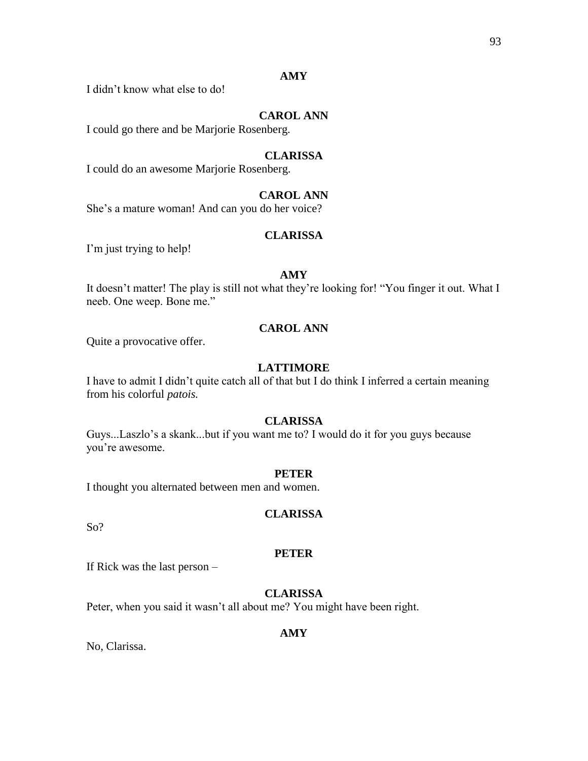# **AMY**

I didn't know what else to do!

# **CAROL ANN**

I could go there and be Marjorie Rosenberg.

# **CLARISSA**

I could do an awesome Marjorie Rosenberg.

# **CAROL ANN**

She's a mature woman! And can you do her voice?

# **CLARISSA**

I'm just trying to help!

# **AMY**

It doesn't matter! The play is still not what they're looking for! "You finger it out. What I neeb. One weep. Bone me."

# **CAROL ANN**

Quite a provocative offer.

# **LATTIMORE**

I have to admit I didn't quite catch all of that but I do think I inferred a certain meaning from his colorful *patois.*

# **CLARISSA**

Guys...Laszlo's a skank...but if you want me to? I would do it for you guys because you're awesome.

# **PETER**

I thought you alternated between men and women.

# **CLARISSA**

So?

# **PETER**

If Rick was the last person –

# **CLARISSA**

Peter, when you said it wasn't all about me? You might have been right.

# **AMY**

No, Clarissa.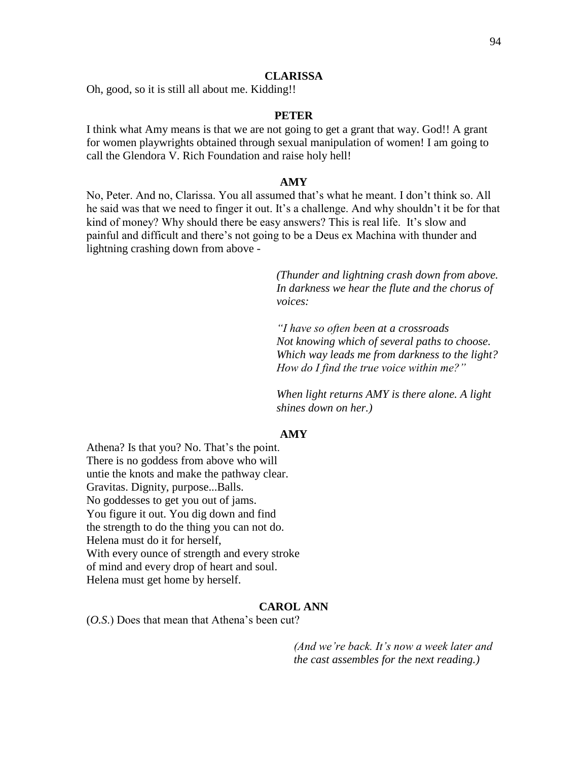#### **CLARISSA**

Oh, good, so it is still all about me. Kidding!!

### **PETER**

I think what Amy means is that we are not going to get a grant that way. God!! A grant for women playwrights obtained through sexual manipulation of women! I am going to call the Glendora V. Rich Foundation and raise holy hell!

#### **AMY**

No, Peter. And no, Clarissa. You all assumed that's what he meant. I don't think so. All he said was that we need to finger it out. It's a challenge. And why shouldn't it be for that kind of money? Why should there be easy answers? This is real life. It's slow and painful and difficult and there's not going to be a Deus ex Machina with thunder and lightning crashing down from above -

> *(Thunder and lightning crash down from above. In darkness we hear the flute and the chorus of voices:*

> *"I have so often been at a crossroads Not knowing which of several paths to choose. Which way leads me from darkness to the light? How do I find the true voice within me?"*

*When light returns AMY is there alone. A light shines down on her.)*

# **AMY**

Athena? Is that you? No. That's the point. There is no goddess from above who will untie the knots and make the pathway clear. Gravitas. Dignity, purpose...Balls. No goddesses to get you out of jams. You figure it out. You dig down and find the strength to do the thing you can not do. Helena must do it for herself, With every ounce of strength and every stroke of mind and every drop of heart and soul. Helena must get home by herself.

#### **CAROL ANN**

(*O.S*.) Does that mean that Athena's been cut?

*(And we're back. It's now a week later and the cast assembles for the next reading.)*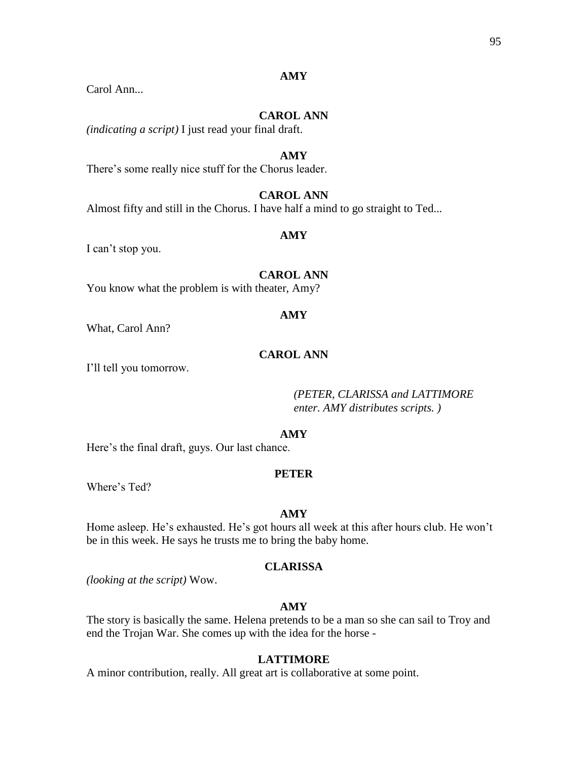# **AMY**

# Carol Ann...

# **CAROL ANN**

*(indicating a script)* I just read your final draft.

### **AMY**

There's some really nice stuff for the Chorus leader.

# **CAROL ANN**

Almost fifty and still in the Chorus. I have half a mind to go straight to Ted...

### **AMY**

I can't stop you.

# **CAROL ANN**

You know what the problem is with theater, Amy?

### **AMY**

What, Carol Ann?

# **CAROL ANN**

I'll tell you tomorrow.

*(PETER, CLARISSA and LATTIMORE enter. AMY distributes scripts. )*

# **AMY**

Here's the final draft, guys. Our last chance.

#### **PETER**

Where's Ted?

# **AMY**

Home asleep. He's exhausted. He's got hours all week at this after hours club. He won't be in this week. He says he trusts me to bring the baby home.

### **CLARISSA**

*(looking at the script)* Wow.

### **AMY**

The story is basically the same. Helena pretends to be a man so she can sail to Troy and end the Trojan War. She comes up with the idea for the horse -

# **LATTIMORE**

A minor contribution, really. All great art is collaborative at some point.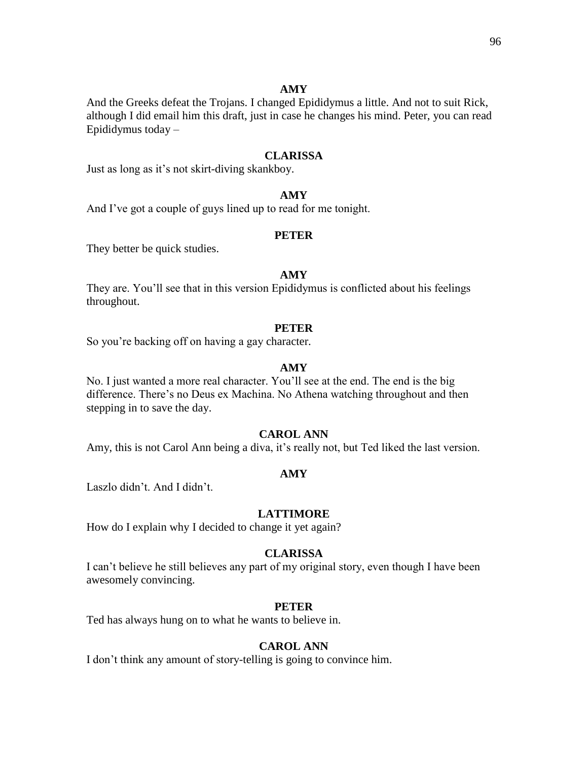96

# **AMY**

And the Greeks defeat the Trojans. I changed Epididymus a little. And not to suit Rick, although I did email him this draft, just in case he changes his mind. Peter, you can read Epididymus today –

## **CLARISSA**

Just as long as it's not skirt-diving skankboy.

# **AMY**

And I've got a couple of guys lined up to read for me tonight.

# **PETER**

They better be quick studies.

### **AMY**

They are. You'll see that in this version Epididymus is conflicted about his feelings throughout.

### **PETER**

So you're backing off on having a gay character.

# **AMY**

No. I just wanted a more real character. You'll see at the end. The end is the big difference. There's no Deus ex Machina. No Athena watching throughout and then stepping in to save the day.

# **CAROL ANN**

Amy, this is not Carol Ann being a diva, it's really not, but Ted liked the last version.

### **AMY**

Laszlo didn't. And I didn't.

# **LATTIMORE**

How do I explain why I decided to change it yet again?

### **CLARISSA**

I can't believe he still believes any part of my original story, even though I have been awesomely convincing.

#### **PETER**

Ted has always hung on to what he wants to believe in.

### **CAROL ANN**

I don't think any amount of story-telling is going to convince him.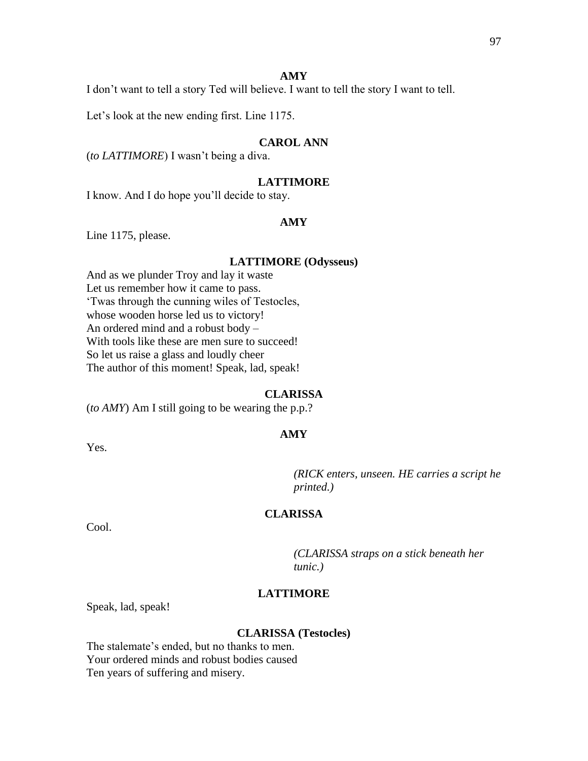#### **AMY**

I don't want to tell a story Ted will believe. I want to tell the story I want to tell.

Let's look at the new ending first. Line 1175.

# **CAROL ANN**

(*to LATTIMORE*) I wasn't being a diva.

# **LATTIMORE**

I know. And I do hope you'll decide to stay.

# **AMY**

Line 1175, please.

#### **LATTIMORE (Odysseus)**

And as we plunder Troy and lay it waste Let us remember how it came to pass. 'Twas through the cunning wiles of Testocles, whose wooden horse led us to victory! An ordered mind and a robust body – With tools like these are men sure to succeed! So let us raise a glass and loudly cheer The author of this moment! Speak, lad, speak!

### **CLARISSA**

**AMY**

(*to AMY*) Am I still going to be wearing the p.p.?

Yes.

*(RICK enters, unseen. HE carries a script he printed.)*

# **CLARISSA**

Cool.

*(CLARISSA straps on a stick beneath her tunic.)*

# **LATTIMORE**

Speak, lad, speak!

#### **CLARISSA (Testocles)**

The stalemate's ended, but no thanks to men. Your ordered minds and robust bodies caused Ten years of suffering and misery.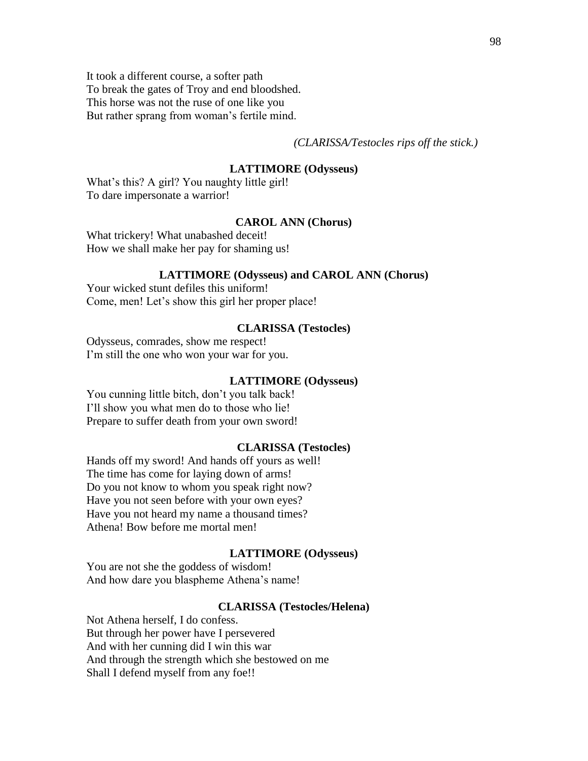It took a different course, a softer path To break the gates of Troy and end bloodshed. This horse was not the ruse of one like you But rather sprang from woman's fertile mind.

*(CLARISSA/Testocles rips off the stick.)*

### **LATTIMORE (Odysseus)**

What's this? A girl? You naughty little girl! To dare impersonate a warrior!

# **CAROL ANN (Chorus)**

What trickery! What unabashed deceit! How we shall make her pay for shaming us!

#### **LATTIMORE (Odysseus) and CAROL ANN (Chorus)**

Your wicked stunt defiles this uniform! Come, men! Let's show this girl her proper place!

## **CLARISSA (Testocles)**

Odysseus, comrades, show me respect! I'm still the one who won your war for you.

#### **LATTIMORE (Odysseus)**

You cunning little bitch, don't you talk back! I'll show you what men do to those who lie! Prepare to suffer death from your own sword!

#### **CLARISSA (Testocles)**

Hands off my sword! And hands off yours as well! The time has come for laying down of arms! Do you not know to whom you speak right now? Have you not seen before with your own eyes? Have you not heard my name a thousand times? Athena! Bow before me mortal men!

#### **LATTIMORE (Odysseus)**

You are not she the goddess of wisdom! And how dare you blaspheme Athena's name!

#### **CLARISSA (Testocles/Helena)**

Not Athena herself, I do confess. But through her power have I persevered And with her cunning did I win this war And through the strength which she bestowed on me Shall I defend myself from any foe!!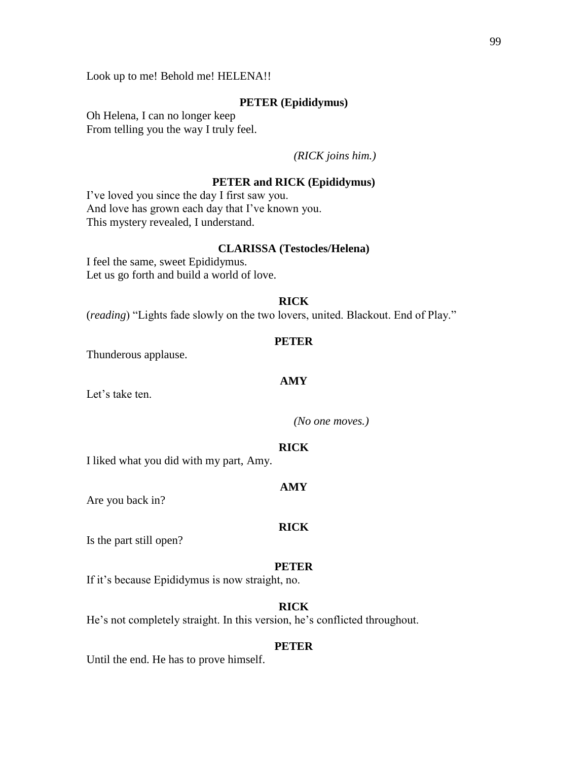Look up to me! Behold me! HELENA!!

# **PETER (Epididymus)**

Oh Helena, I can no longer keep From telling you the way I truly feel.

*(RICK joins him.)*

# **PETER and RICK (Epididymus)**

I've loved you since the day I first saw you. And love has grown each day that I've known you. This mystery revealed, I understand.

# **CLARISSA (Testocles/Helena)**

I feel the same, sweet Epididymus. Let us go forth and build a world of love.

### **RICK**

(*reading*) "Lights fade slowly on the two lovers, united. Blackout. End of Play."

#### **PETER**

Thunderous applause.

#### **AMY**

Let's take ten.

*(No one moves.)* 

#### **RICK**

I liked what you did with my part, Amy.

#### **AMY**

Are you back in?

#### **RICK**

Is the part still open?

#### **PETER**

If it's because Epididymus is now straight, no.

### **RICK**

He's not completely straight. In this version, he's conflicted throughout.

### **PETER**

Until the end. He has to prove himself.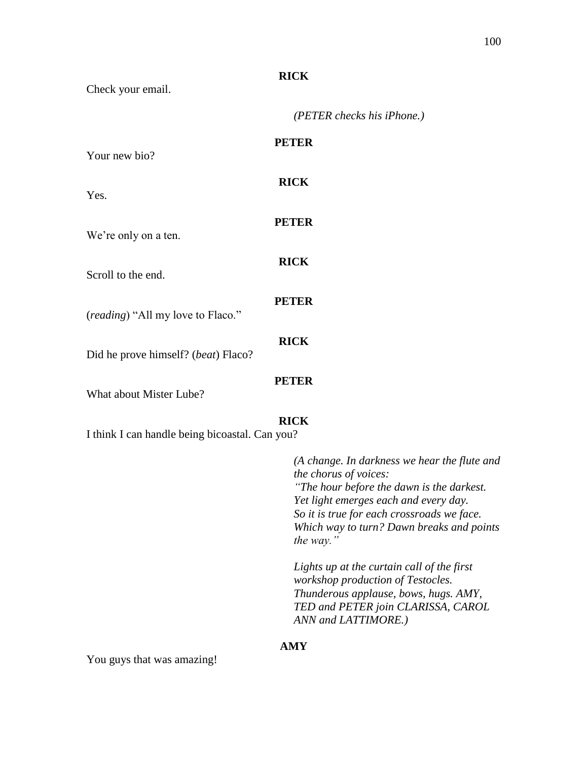# **RICK**

Check your email.

*(PETER checks his iPhone.)*

| Your new bio?                       | <b>PETER</b> |
|-------------------------------------|--------------|
| Yes.                                | <b>RICK</b>  |
| We're only on a ten.                | <b>PETER</b> |
| Scroll to the end.                  | <b>RICK</b>  |
| (reading) "All my love to Flaco."   | <b>PETER</b> |
| Did he prove himself? (beat) Flaco? | <b>RICK</b>  |
| What about Mister Lube?             | <b>PETER</b> |

# **RICK**

I think I can handle being bicoastal. Can you?

*(A change. In darkness we hear the flute and the chorus of voices: "The hour before the dawn is the darkest. Yet light emerges each and every day. So it is true for each crossroads we face. Which way to turn? Dawn breaks and points the way."*

*Lights up at the curtain call of the first workshop production of Testocles. Thunderous applause, bows, hugs. AMY, TED and PETER join CLARISSA, CAROL ANN and LATTIMORE.)*

# **AMY**

You guys that was amazing!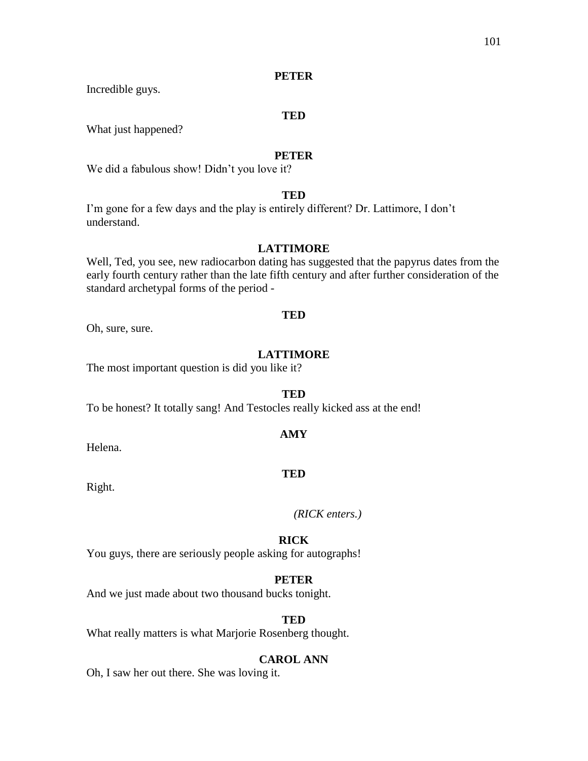# **PETER**

Incredible guys.

### **TED**

What just happened?

## **PETER**

We did a fabulous show! Didn't you love it?

# **TED**

I'm gone for a few days and the play is entirely different? Dr. Lattimore, I don't understand.

# **LATTIMORE**

Well, Ted, you see, new radiocarbon dating has suggested that the papyrus dates from the early fourth century rather than the late fifth century and after further consideration of the standard archetypal forms of the period -

### **TED**

Oh, sure, sure.

# **LATTIMORE**

The most important question is did you like it?

### **TED**

To be honest? It totally sang! And Testocles really kicked ass at the end!

# **AMY**

Helena.

### **TED**

Right.

*(RICK enters.)*

### **RICK**

You guys, there are seriously people asking for autographs!

### **PETER**

And we just made about two thousand bucks tonight.

## **TED**

What really matters is what Marjorie Rosenberg thought.

### **CAROL ANN**

Oh, I saw her out there. She was loving it.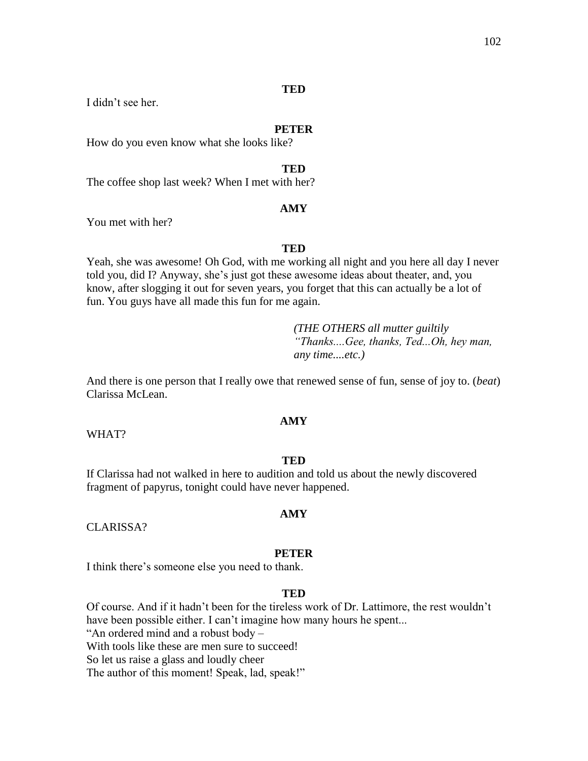# **TED**

I didn't see her.

#### **PETER**

How do you even know what she looks like?

### **TED**

The coffee shop last week? When I met with her?

### **AMY**

You met with her?

### **TED**

Yeah, she was awesome! Oh God, with me working all night and you here all day I never told you, did I? Anyway, she's just got these awesome ideas about theater, and, you know, after slogging it out for seven years, you forget that this can actually be a lot of fun. You guys have all made this fun for me again.

> *(THE OTHERS all mutter guiltily "Thanks....Gee, thanks, Ted...Oh, hey man, any time....etc.)*

And there is one person that I really owe that renewed sense of fun, sense of joy to. (*beat*) Clarissa McLean.

# **AMY**

WHAT?

#### **TED**

If Clarissa had not walked in here to audition and told us about the newly discovered fragment of papyrus, tonight could have never happened.

CLARISSA?

#### **PETER**

**AMY**

I think there's someone else you need to thank.

### **TED**

Of course. And if it hadn't been for the tireless work of Dr. Lattimore, the rest wouldn't have been possible either. I can't imagine how many hours he spent... "An ordered mind and a robust body – With tools like these are men sure to succeed! So let us raise a glass and loudly cheer The author of this moment! Speak, lad, speak!"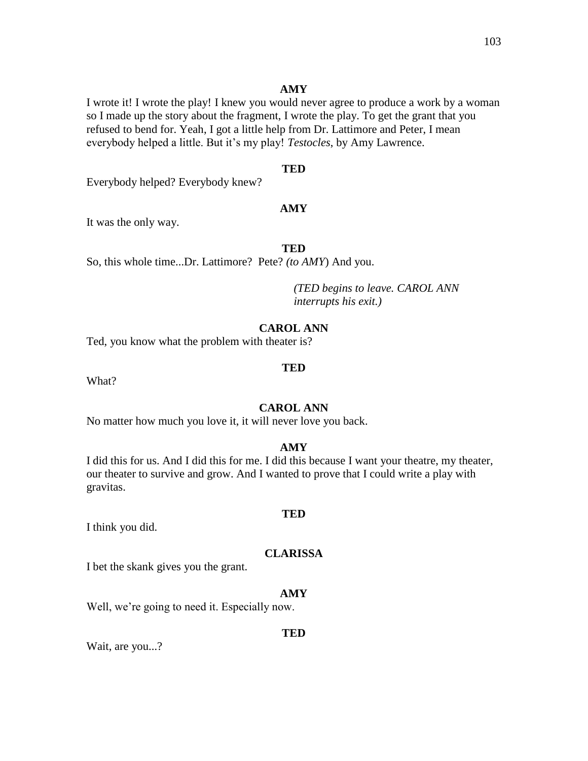### **AMY**

I wrote it! I wrote the play! I knew you would never agree to produce a work by a woman so I made up the story about the fragment, I wrote the play. To get the grant that you refused to bend for. Yeah, I got a little help from Dr. Lattimore and Peter, I mean everybody helped a little. But it's my play! *Testocles*, by Amy Lawrence.

# **TED**

Everybody helped? Everybody knew?

### **AMY**

It was the only way.

### **TED**

So, this whole time...Dr. Lattimore? Pete? *(to AMY*) And you.

*(TED begins to leave. CAROL ANN interrupts his exit.)*

#### **CAROL ANN**

Ted, you know what the problem with theater is?

#### **TED**

What?

# **CAROL ANN**

No matter how much you love it, it will never love you back.

# **AMY**

I did this for us. And I did this for me. I did this because I want your theatre, my theater, our theater to survive and grow. And I wanted to prove that I could write a play with gravitas.

#### **TED**

I think you did.

#### **CLARISSA**

I bet the skank gives you the grant.

### **AMY**

Well, we're going to need it. Especially now.

# **TED**

Wait, are you...?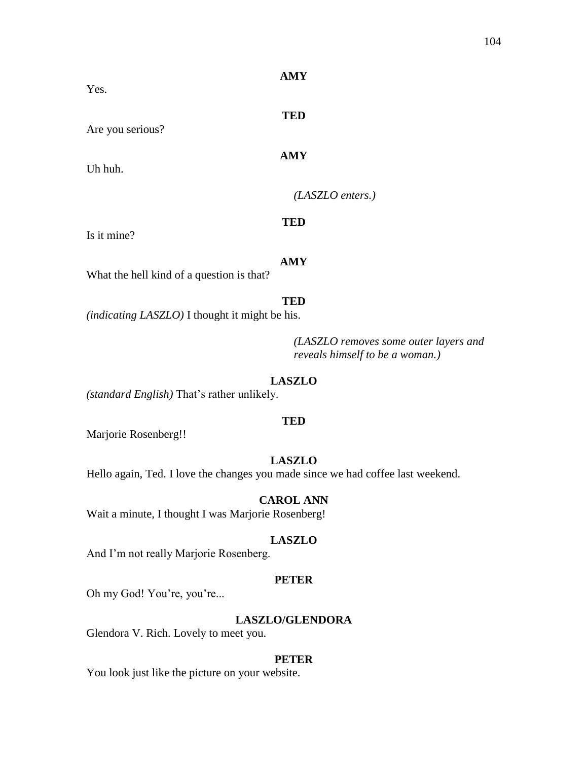| Yes.                                      | <b>AMY</b>         |
|-------------------------------------------|--------------------|
| Are you serious?                          | <b>TED</b>         |
| Uh huh.                                   | <b>AMY</b>         |
|                                           | $(LASZLO$ enters.) |
| Is it mine?                               | <b>TED</b>         |
| What the hell kind of a question is that? | <b>AMY</b>         |

### **TED**

*(indicating LASZLO)* I thought it might be his.

*(LASZLO removes some outer layers and reveals himself to be a woman.)*

### **LASZLO**

*(standard English)* That's rather unlikely.

### **TED**

Marjorie Rosenberg!!

# **LASZLO**

Hello again, Ted. I love the changes you made since we had coffee last weekend.

#### **CAROL ANN**

Wait a minute, I thought I was Marjorie Rosenberg!

### **LASZLO**

And I'm not really Marjorie Rosenberg.

#### **PETER**

Oh my God! You're, you're...

# **LASZLO/GLENDORA**

Glendora V. Rich. Lovely to meet you.

#### **PETER**

You look just like the picture on your website.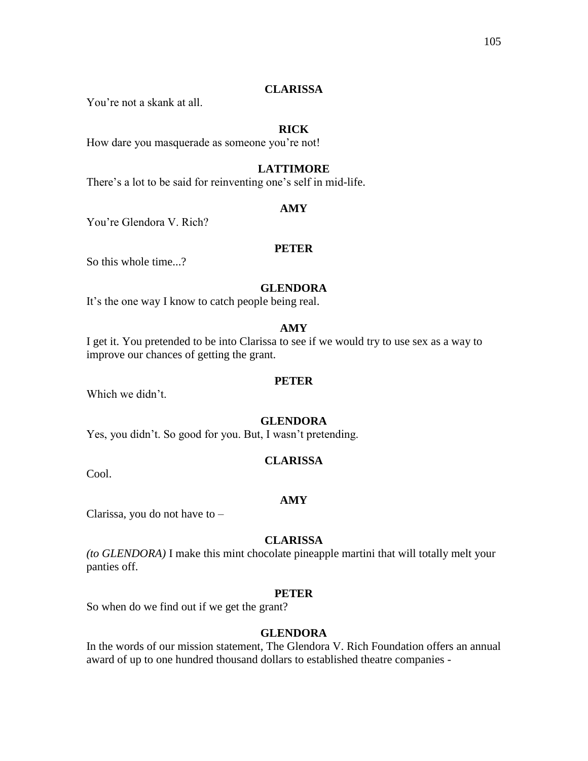# **CLARISSA**

You're not a skank at all.

# **RICK**

How dare you masquerade as someone you're not!

# **LATTIMORE**

There's a lot to be said for reinventing one's self in mid-life.

### **AMY**

You're Glendora V. Rich?

# **PETER**

So this whole time...?

# **GLENDORA**

It's the one way I know to catch people being real.

# **AMY**

I get it. You pretended to be into Clarissa to see if we would try to use sex as a way to improve our chances of getting the grant.

#### **PETER**

Which we didn't.

### **GLENDORA**

Yes, you didn't. So good for you. But, I wasn't pretending.

# **CLARISSA**

Cool.

#### **AMY**

Clarissa, you do not have to –

# **CLARISSA**

*(to GLENDORA)* I make this mint chocolate pineapple martini that will totally melt your panties off.

# **PETER**

So when do we find out if we get the grant?

# **GLENDORA**

In the words of our mission statement, The Glendora V. Rich Foundation offers an annual award of up to one hundred thousand dollars to established theatre companies -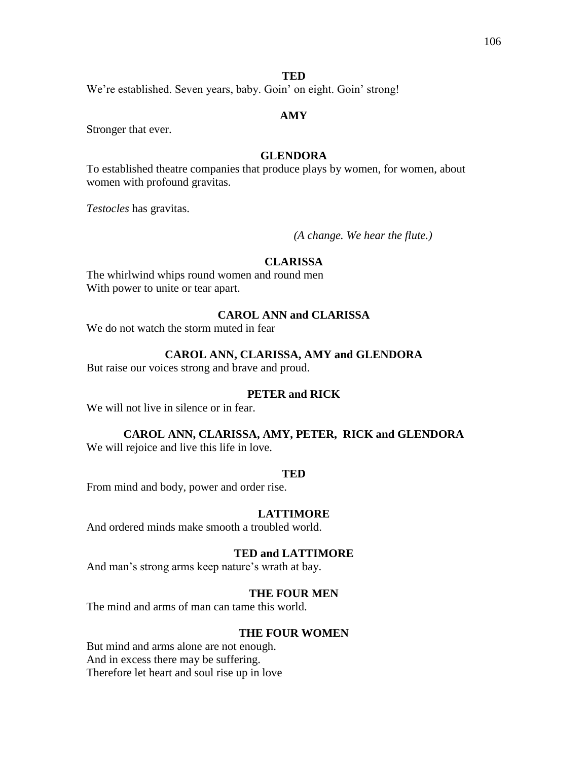### **TED**

We're established. Seven years, baby. Goin' on eight. Goin' strong!

# **AMY**

Stronger that ever.

# **GLENDORA**

To established theatre companies that produce plays by women, for women, about women with profound gravitas.

*Testocles* has gravitas.

*(A change. We hear the flute.)* 

# **CLARISSA**

The whirlwind whips round women and round men With power to unite or tear apart.

# **CAROL ANN and CLARISSA**

We do not watch the storm muted in fear

# **CAROL ANN, CLARISSA, AMY and GLENDORA**

But raise our voices strong and brave and proud.

#### **PETER and RICK**

We will not live in silence or in fear.

# **CAROL ANN, CLARISSA, AMY, PETER, RICK and GLENDORA**

We will rejoice and live this life in love.

#### **TED**

From mind and body, power and order rise.

# **LATTIMORE**

And ordered minds make smooth a troubled world.

### **TED and LATTIMORE**

And man's strong arms keep nature's wrath at bay.

### **THE FOUR MEN**

The mind and arms of man can tame this world.

#### **THE FOUR WOMEN**

But mind and arms alone are not enough. And in excess there may be suffering. Therefore let heart and soul rise up in love